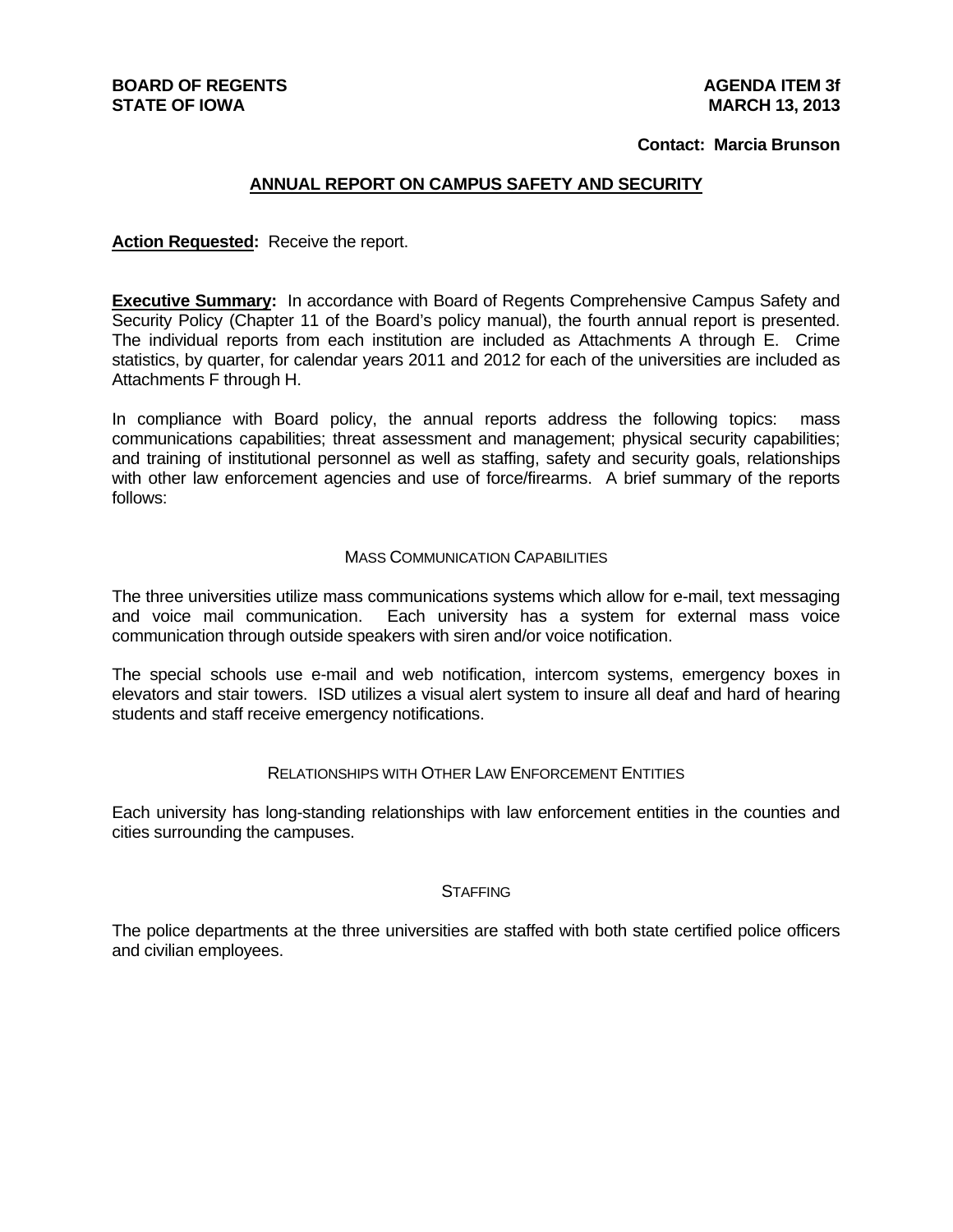#### **BOARD OF REGENTS STATE OF IOWA**

#### **Contact: Marcia Brunson**

#### **ANNUAL REPORT ON CAMPUS SAFETY AND SECURITY**

**Action Requested:** Receive the report.

**Executive Summary:** In accordance with Board of Regents Comprehensive Campus Safety and Security Policy (Chapter 11 of the Board's policy manual), the fourth annual report is presented. The individual reports from each institution are included as Attachments A through E. Crime statistics, by quarter, for calendar years 2011 and 2012 for each of the universities are included as Attachments F through H.

In compliance with Board policy, the annual reports address the following topics: mass communications capabilities; threat assessment and management; physical security capabilities; and training of institutional personnel as well as staffing, safety and security goals, relationships with other law enforcement agencies and use of force/firearms. A brief summary of the reports follows:

#### MASS COMMUNICATION CAPABILITIES

The three universities utilize mass communications systems which allow for e-mail, text messaging and voice mail communication. Each university has a system for external mass voice communication through outside speakers with siren and/or voice notification.

The special schools use e-mail and web notification, intercom systems, emergency boxes in elevators and stair towers. ISD utilizes a visual alert system to insure all deaf and hard of hearing students and staff receive emergency notifications.

#### RELATIONSHIPS WITH OTHER LAW ENFORCEMENT ENTITIES

Each university has long-standing relationships with law enforcement entities in the counties and cities surrounding the campuses.

#### **STAFFING**

The police departments at the three universities are staffed with both state certified police officers and civilian employees.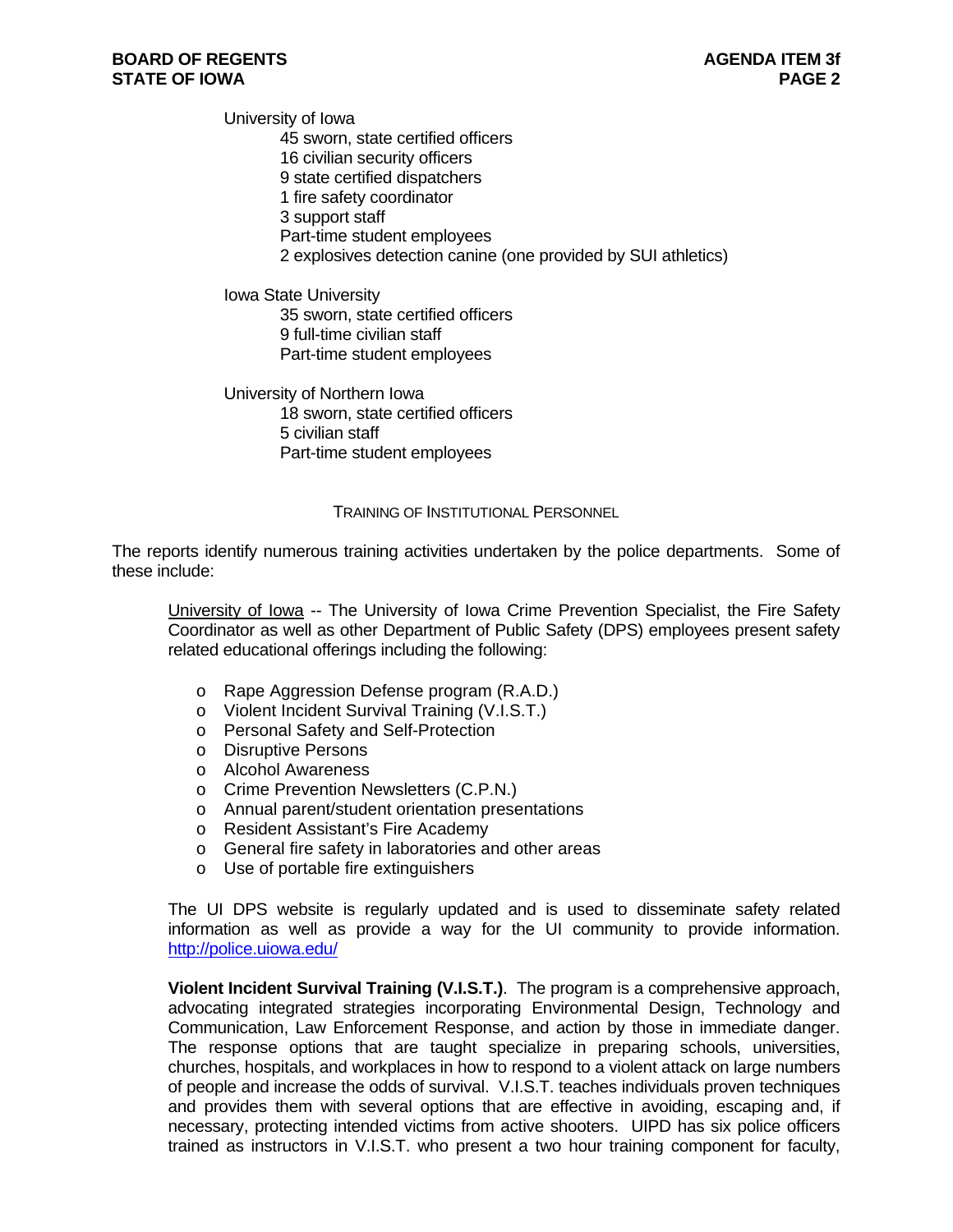University of Iowa 45 sworn, state certified officers 16 civilian security officers 9 state certified dispatchers 1 fire safety coordinator 3 support staff Part-time student employees 2 explosives detection canine (one provided by SUI athletics)

Iowa State University 35 sworn, state certified officers 9 full-time civilian staff Part-time student employees

University of Northern Iowa 18 sworn, state certified officers 5 civilian staff Part-time student employees

#### TRAINING OF INSTITUTIONAL PERSONNEL

The reports identify numerous training activities undertaken by the police departments. Some of these include:

University of Iowa -- The University of Iowa Crime Prevention Specialist, the Fire Safety Coordinator as well as other Department of Public Safety (DPS) employees present safety related educational offerings including the following:

- o Rape Aggression Defense program (R.A.D.)
- o Violent Incident Survival Training (V.I.S.T.)
- o Personal Safety and Self-Protection
- o Disruptive Persons
- o Alcohol Awareness
- o Crime Prevention Newsletters (C.P.N.)
- o Annual parent/student orientation presentations
- o Resident Assistant's Fire Academy
- o General fire safety in laboratories and other areas
- o Use of portable fire extinguishers

The UI DPS website is regularly updated and is used to disseminate safety related information as well as provide a way for the UI community to provide information. http://police.uiowa.edu/

**Violent Incident Survival Training (V.I.S.T.)**. The program is a comprehensive approach, advocating integrated strategies incorporating Environmental Design, Technology and Communication, Law Enforcement Response, and action by those in immediate danger. The response options that are taught specialize in preparing schools, universities, churches, hospitals, and workplaces in how to respond to a violent attack on large numbers of people and increase the odds of survival. V.I.S.T. teaches individuals proven techniques and provides them with several options that are effective in avoiding, escaping and, if necessary, protecting intended victims from active shooters. UIPD has six police officers trained as instructors in V.I.S.T. who present a two hour training component for faculty,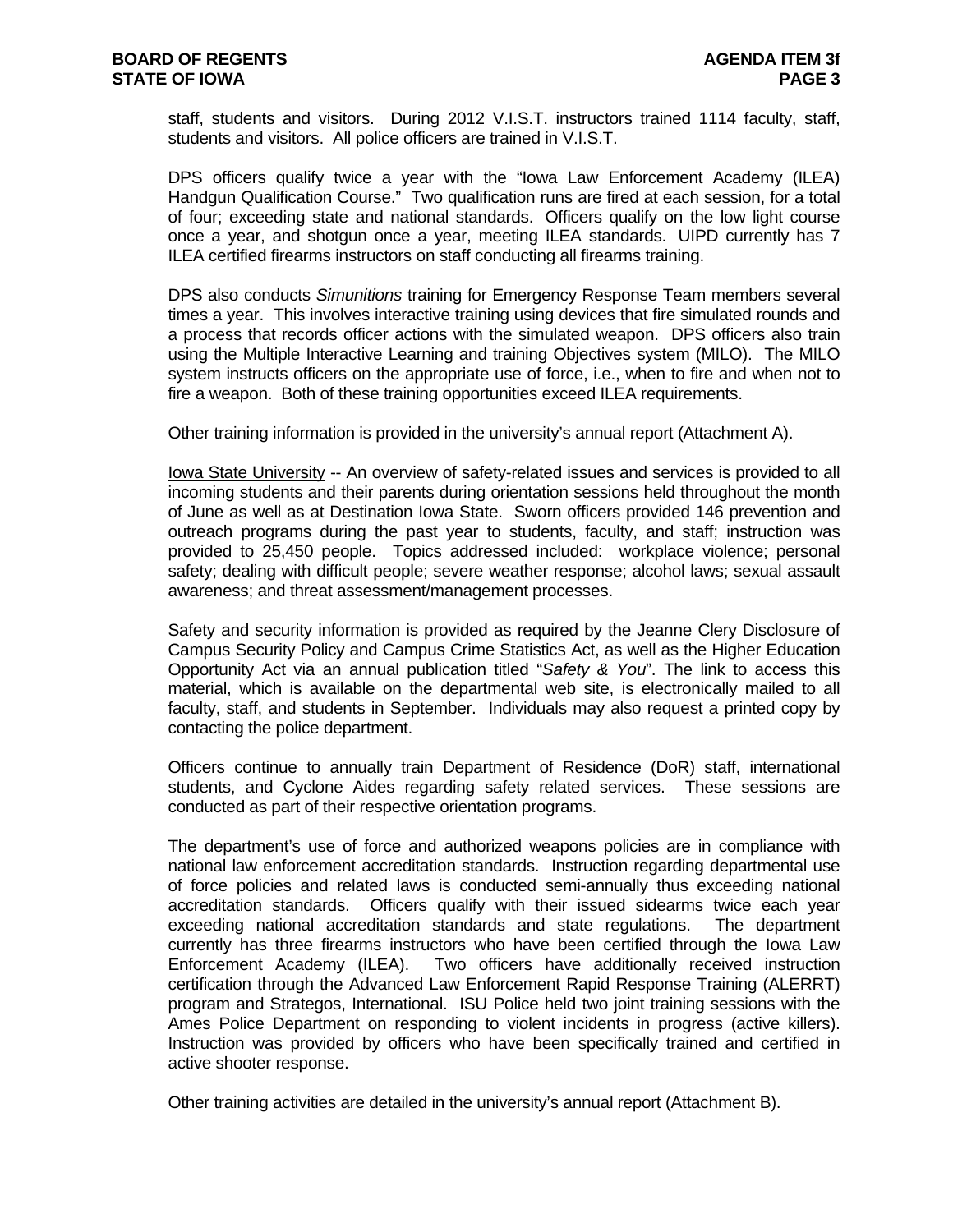staff, students and visitors. During 2012 V.I.S.T. instructors trained 1114 faculty, staff, students and visitors. All police officers are trained in V.I.S.T.

DPS officers qualify twice a year with the "Iowa Law Enforcement Academy (ILEA) Handgun Qualification Course." Two qualification runs are fired at each session, for a total of four; exceeding state and national standards. Officers qualify on the low light course once a year, and shotgun once a year, meeting ILEA standards. UIPD currently has 7 ILEA certified firearms instructors on staff conducting all firearms training.

DPS also conducts *Simunitions* training for Emergency Response Team members several times a year. This involves interactive training using devices that fire simulated rounds and a process that records officer actions with the simulated weapon. DPS officers also train using the Multiple Interactive Learning and training Objectives system (MILO). The MILO system instructs officers on the appropriate use of force, i.e., when to fire and when not to fire a weapon. Both of these training opportunities exceed ILEA requirements.

Other training information is provided in the university's annual report (Attachment A).

Iowa State University -- An overview of safety-related issues and services is provided to all incoming students and their parents during orientation sessions held throughout the month of June as well as at Destination Iowa State. Sworn officers provided 146 prevention and outreach programs during the past year to students, faculty, and staff; instruction was provided to 25,450 people. Topics addressed included: workplace violence; personal safety; dealing with difficult people; severe weather response; alcohol laws; sexual assault awareness; and threat assessment/management processes.

Safety and security information is provided as required by the Jeanne Clery Disclosure of Campus Security Policy and Campus Crime Statistics Act, as well as the Higher Education Opportunity Act via an annual publication titled "*Safety & You*". The link to access this material, which is available on the departmental web site, is electronically mailed to all faculty, staff, and students in September. Individuals may also request a printed copy by contacting the police department.

Officers continue to annually train Department of Residence (DoR) staff, international students, and Cyclone Aides regarding safety related services. These sessions are conducted as part of their respective orientation programs.

The department's use of force and authorized weapons policies are in compliance with national law enforcement accreditation standards. Instruction regarding departmental use of force policies and related laws is conducted semi-annually thus exceeding national accreditation standards. Officers qualify with their issued sidearms twice each year exceeding national accreditation standards and state regulations. The department currently has three firearms instructors who have been certified through the Iowa Law Enforcement Academy (ILEA). Two officers have additionally received instruction certification through the Advanced Law Enforcement Rapid Response Training (ALERRT) program and Strategos, International. ISU Police held two joint training sessions with the Ames Police Department on responding to violent incidents in progress (active killers). Instruction was provided by officers who have been specifically trained and certified in active shooter response.

Other training activities are detailed in the university's annual report (Attachment B).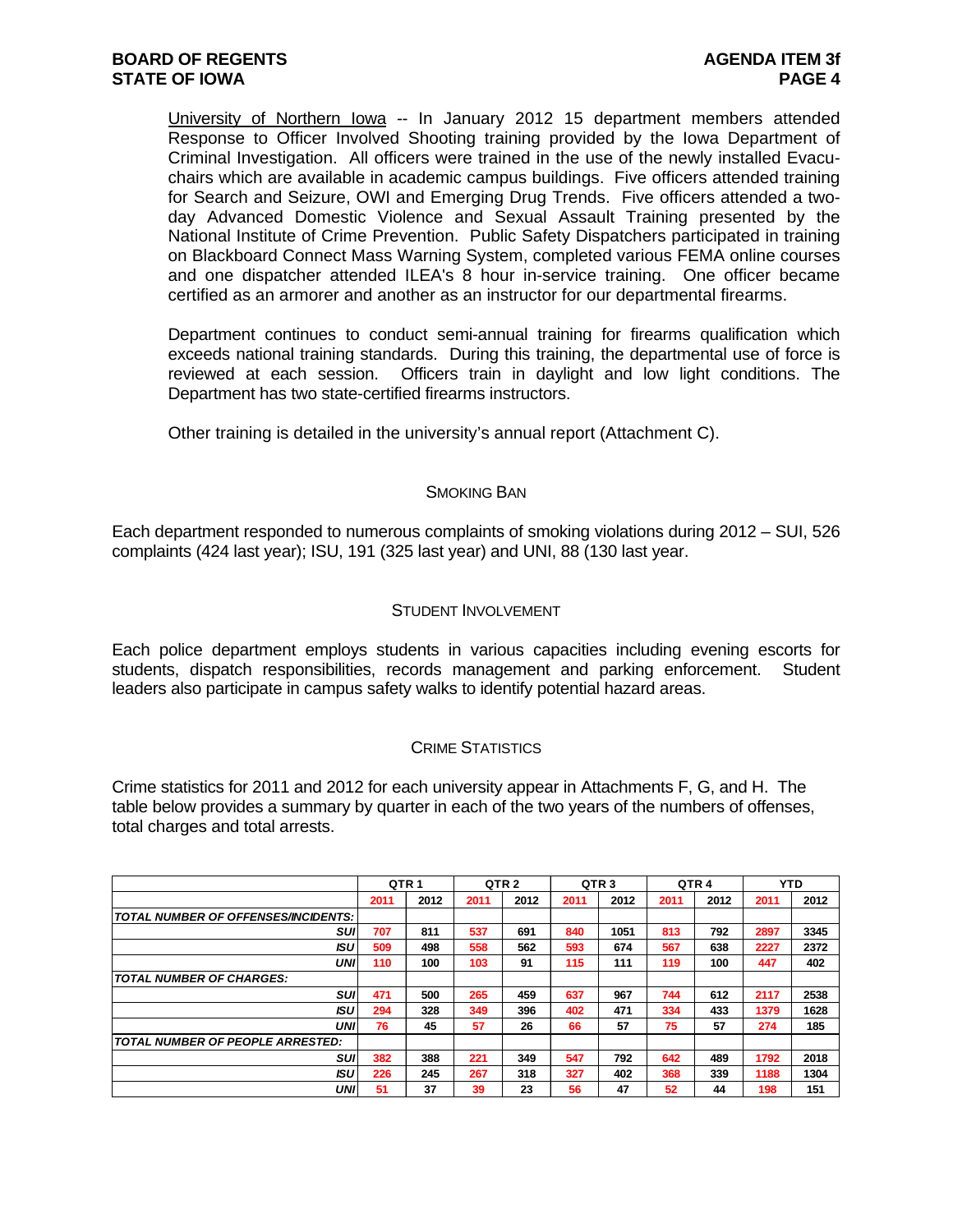University of Northern Iowa -- In January 2012 15 department members attended Response to Officer Involved Shooting training provided by the Iowa Department of Criminal Investigation. All officers were trained in the use of the newly installed Evacuchairs which are available in academic campus buildings. Five officers attended training for Search and Seizure, OWI and Emerging Drug Trends. Five officers attended a twoday Advanced Domestic Violence and Sexual Assault Training presented by the National Institute of Crime Prevention. Public Safety Dispatchers participated in training on Blackboard Connect Mass Warning System, completed various FEMA online courses and one dispatcher attended ILEA's 8 hour in-service training. One officer became certified as an armorer and another as an instructor for our departmental firearms.

Department continues to conduct semi-annual training for firearms qualification which exceeds national training standards. During this training, the departmental use of force is reviewed at each session. Officers train in daylight and low light conditions. The Department has two state-certified firearms instructors.

Other training is detailed in the university's annual report (Attachment C).

#### SMOKING BAN

Each department responded to numerous complaints of smoking violations during 2012 – SUI, 526 complaints (424 last year); ISU, 191 (325 last year) and UNI, 88 (130 last year.

#### STUDENT INVOLVEMENT

Each police department employs students in various capacities including evening escorts for students, dispatch responsibilities, records management and parking enforcement. Student leaders also participate in campus safety walks to identify potential hazard areas.

#### CRIME STATISTICS

Crime statistics for 2011 and 2012 for each university appear in Attachments F, G, and H. The table below provides a summary by quarter in each of the two years of the numbers of offenses, total charges and total arrests.

|                                            | QTR <sub>1</sub> |      |      | QTR <sub>2</sub> | QTR <sub>3</sub> |      | QTR <sub>4</sub> |      |      | <b>YTD</b> |
|--------------------------------------------|------------------|------|------|------------------|------------------|------|------------------|------|------|------------|
|                                            | 2011             | 2012 | 2011 | 2012             | 2011             | 2012 | 2011             | 2012 | 2011 | 2012       |
| <b>TOTAL NUMBER OF OFFENSES/INCIDENTS:</b> |                  |      |      |                  |                  |      |                  |      |      |            |
| <b>SUI</b>                                 | 707              | 811  | 537  | 691              | 840              | 1051 | 813              | 792  | 2897 | 3345       |
| <b>ISU</b>                                 | 509              | 498  | 558  | 562              | 593              | 674  | 567              | 638  | 2227 | 2372       |
| UNI                                        | 110              | 100  | 103  | 91               | 115              | 111  | 119              | 100  | 447  | 402        |
| <b>TOTAL NUMBER OF CHARGES:</b>            |                  |      |      |                  |                  |      |                  |      |      |            |
| <b>SUI</b>                                 | 471              | 500  | 265  | 459              | 637              | 967  | 744              | 612  | 2117 | 2538       |
| <b>ISU</b>                                 | 294              | 328  | 349  | 396              | 402              | 471  | 334              | 433  | 1379 | 1628       |
| UNI                                        | 76               | 45   | 57   | 26               | 66               | 57   | 75               | 57   | 274  | 185        |
| <b>TOTAL NUMBER OF PEOPLE ARRESTED:</b>    |                  |      |      |                  |                  |      |                  |      |      |            |
| <b>SUI</b>                                 | 382              | 388  | 221  | 349              | 547              | 792  | 642              | 489  | 1792 | 2018       |
| <b>ISU</b>                                 | 226              | 245  | 267  | 318              | 327              | 402  | 368              | 339  | 1188 | 1304       |
| UNI                                        | 51               | 37   | 39   | 23               | 56               | 47   | 52               | 44   | 198  | 151        |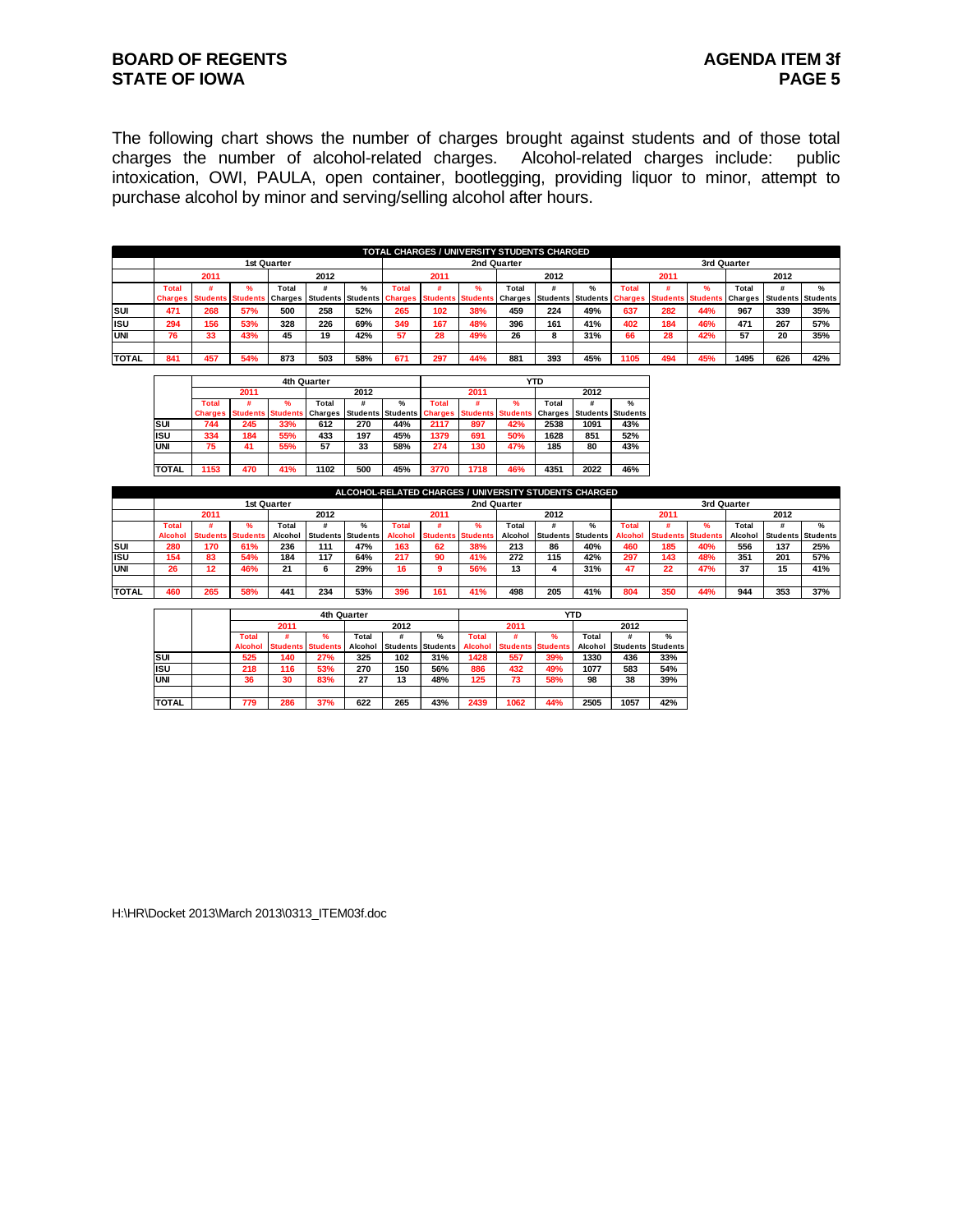#### **BOARD OF REGENTS AGENUS AGENDA ITEM 3f STATE OF IOWA** PAGE 5

The following chart shows the number of charges brought against students and of those total charges the number of alcohol-related charges. Alcohol-related charges include: public intoxication, OWI, PAULA, open container, bootlegging, providing liquor to minor, attempt to purchase alcohol by minor and serving/selling alcohol after hours.

|              |                |                          |               |                |      |                          |         |                          | TOTAL CHARGES / UNIVERSITY STUDENTS CHARGED |             |      |               |       |                                            |     |             |      |                   |
|--------------|----------------|--------------------------|---------------|----------------|------|--------------------------|---------|--------------------------|---------------------------------------------|-------------|------|---------------|-------|--------------------------------------------|-----|-------------|------|-------------------|
|              |                |                          |               | 1st Quarter    |      |                          |         |                          |                                             | 2nd Quarter |      |               |       |                                            |     | 3rd Quarter |      |                   |
|              |                | 2011                     |               |                | 2012 |                          |         | 2011                     |                                             |             | 2012 |               |       | 2011                                       |     |             | 2012 |                   |
|              | Total          |                          | $\frac{9}{6}$ | Total          |      | $\frac{9}{6}$            | Total   |                          |                                             | Total       |      | $\frac{9}{6}$ | Total |                                            |     | Total       |      | $\frac{9}{6}$     |
|              | <b>Charges</b> | <b>Students Students</b> |               | <b>Charges</b> |      | <b>Students Students</b> | harges: | <b>Students Students</b> |                                             | Charges     |      |               |       | Students Students Charges Students Student |     | Charges     |      | Students Students |
| <b>I</b> sui | 471            | 268                      | 57%           | 500            | 258  | 52%                      | 265     | 102                      | 38%                                         | 459         | 224  | 49%           | 637   | 282                                        | 44% | 967         | 339  | 35%               |
| lisu         | 294            | 156                      | 53%           | 328            | 226  | 69%                      | 349     | 167                      | 48%                                         | 396         | 161  | 41%           | 402   | 184                                        | 46% | 471         | 267  | 57%               |
| IUNI         | 76             | 33                       | 43%           | 45             | 19   | 42%                      | 57      | 28                       | 49%                                         | 26          |      | 31%           | 66    | 28                                         | 42% | 57          | 20   | 35%               |
|              |                |                          |               |                |      |                          |         |                          |                                             |             |      |               |       |                                            |     |             |      |                   |
| <b>TOTAL</b> | 841            | 457                      | 54%           | 873            | 503  | 58%                      | 671     | 297                      | 44%                                         | 881         | 393  | 45%           | 105   | 494                                        | 45% | 1495        | 626  | 42%               |

|              |                |                          | 4th Quarter |                |      |                          |                |                          |     | <b>YTD</b> |                          |               |
|--------------|----------------|--------------------------|-------------|----------------|------|--------------------------|----------------|--------------------------|-----|------------|--------------------------|---------------|
|              |                | 2011                     |             |                | 2012 |                          |                | 2011                     |     |            | 2012                     |               |
|              | <b>Total</b>   |                          | %           | Total          |      | $\frac{9}{6}$            | Total          |                          |     | Total      |                          | $\frac{9}{6}$ |
|              | <b>Charges</b> | <b>Students Students</b> |             | <b>Charges</b> |      | <b>Students Students</b> | <b>Charges</b> | <b>Students Students</b> |     | Charges    | <b>Students Students</b> |               |
| SUI          | 744            | 245                      | 33%         | 612            | 270  | 44%                      | 2117           | 897                      | 42% | 2538       | 1091                     | 43%           |
| <b>ISU</b>   | 334            | 184                      | 55%         | 433            | 197  |                          | 1379           | 691                      | 50% | 1628       | 851                      | 52%           |
| UNI          | 75             | 41                       | 55%         | 57             | 33   | 58%                      | 274            | 130                      | 47% | 185        | 80                       | 43%           |
|              |                |                          |             |                |      |                          |                |                          |     |            |                          |               |
| <b>TOTAL</b> | 1153           | 470                      | 41%         | 1102           | 500  | 45%                      | 3770           | 1718                     | 46% | 4351       | 2022                     | 46%           |

|               |                |                   |     |             |                   | ALCOHOL-RELATED CHARGES / UNIVERSITY STUDENTS CHARGED |                |                          |             |         |      |                          |         |                         |             |         |      |                          |
|---------------|----------------|-------------------|-----|-------------|-------------------|-------------------------------------------------------|----------------|--------------------------|-------------|---------|------|--------------------------|---------|-------------------------|-------------|---------|------|--------------------------|
|               |                |                   |     | 1st Quarter |                   |                                                       |                |                          | 2nd Quarter |         |      |                          |         |                         | 3rd Quarter |         |      |                          |
|               |                | 2011              |     |             | 2012              |                                                       |                | 2011                     |             |         | 2012 |                          |         | 2011                    |             |         | 2012 |                          |
|               | Total          |                   |     | Total       |                   | %                                                     | Total          |                          |             | Total   |      |                          | Total   |                         |             | Total   |      | $\frac{9}{6}$            |
|               | <b>Alcohol</b> | Students Students |     | Alcoho      | Students Students |                                                       | <b>Alcohol</b> | <b>Students Students</b> |             | Alcohol |      | <b>Students Students</b> | Alcohol | <b>Students Student</b> |             | Alcohol |      | <b>Students Students</b> |
| Isui          | 280            | 170               | 61% | 236         | 111               | 47%                                                   | 163            | 62                       | 38%         | 213     | 86   | 40%                      | 460     | 185                     | 40%         | 556     | 137  | 25%                      |
| lisu          | 154            | 83                | 54% | 184         | 117               | 64%                                                   | 217            | 90                       | 41%         | 272     | 115  | 42%                      | 297     | 143                     | 48%         | 351     | 201  | 57%                      |
| IUNI          | 26             | 12                | 46% | 21          |                   | 29%                                                   | 16             |                          | 56%         | 13      |      | 31%                      |         |                         | 47%         | 37      | 15   | 41%                      |
|               |                |                   |     |             |                   |                                                       |                |                          |             |         |      |                          |         |                         |             |         |      |                          |
| <b>ITOTAL</b> | 460            | 265               | 58% | 441         | 234               | 53%                                                   | 396            | 161                      | 41%         | 498     | 205  | 41%                      |         |                         | 44%         | 944     | 353  | 37%                      |

|              |         |                          | 4th Quarter |         |      |                          |              |                          |     | YTD     |      |                            |
|--------------|---------|--------------------------|-------------|---------|------|--------------------------|--------------|--------------------------|-----|---------|------|----------------------------|
|              |         | 2011                     |             |         | 2012 |                          |              | 2011                     |     |         | 2012 |                            |
|              | Total   |                          | %           | Total   |      | $\%$                     | <b>Total</b> |                          | %   | Total   |      | %                          |
|              | Alcohol | <b>Students Students</b> |             | Alcohol |      | <b>Students Students</b> | Alcohol      | <b>Students Students</b> |     | Alcohol |      | <b>Students Students I</b> |
| <b>SUI</b>   | 525     | 140                      | 27%         | 325     | 102  | 31%                      | 1428         | 557                      | 39% | 1330    | 436  | 33%                        |
| <b>ISU</b>   | 218     | 116                      | 53%         | 270     | 150  | 56%                      | 886          | 432                      | 49% | 1077    | 583  | 54%                        |
| <b>UNI</b>   | 36      | 30                       | 83%         | 27      | 13   | 48%                      | 125          | 73                       | 58% | 98      | 38   | 39%                        |
|              |         |                          |             |         |      |                          |              |                          |     |         |      |                            |
| <b>TOTAL</b> | 779     | 286                      | 37%         | 622     | 265  | 43%                      | 2439         | 1062                     | 44% | 2505    | 1057 | 42%                        |

H:\HR\Docket 2013\March 2013\0313\_ITEM03f.doc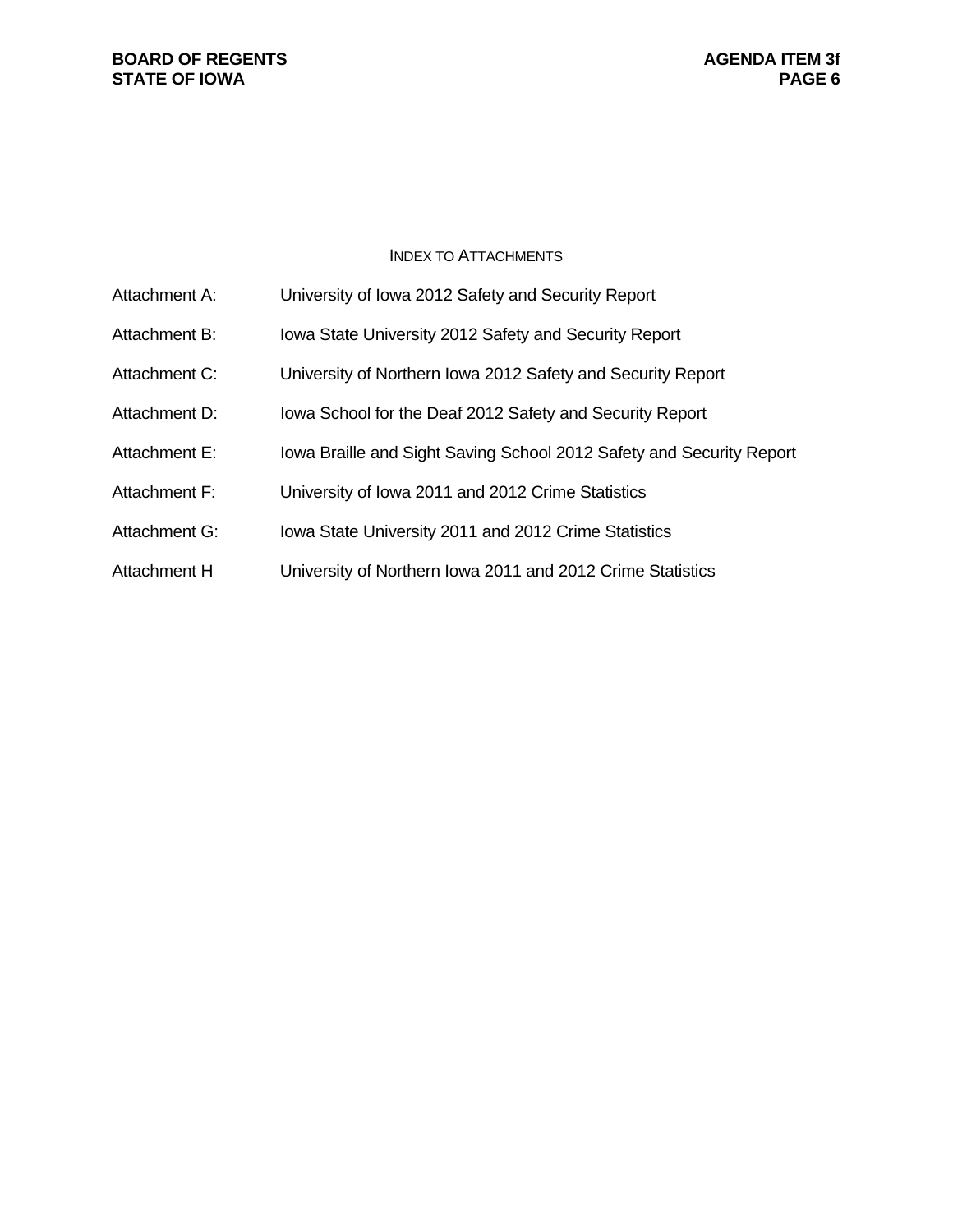#### **BOARD OF REGENTS**<br> **BOARD OF REGENTS**<br> **BOARD OF IOWA**<br> **BOARD OF IOWA STATE OF IOWA**

#### INDEX TO ATTACHMENTS

| Attachment A: | University of Iowa 2012 Safety and Security Report                   |
|---------------|----------------------------------------------------------------------|
| Attachment B: | Iowa State University 2012 Safety and Security Report                |
| Attachment C: | University of Northern Iowa 2012 Safety and Security Report          |
| Attachment D: | lowa School for the Deaf 2012 Safety and Security Report             |
| Attachment E: | lowa Braille and Sight Saving School 2012 Safety and Security Report |
| Attachment F: | University of Iowa 2011 and 2012 Crime Statistics                    |
| Attachment G: | Iowa State University 2011 and 2012 Crime Statistics                 |
| Attachment H  | University of Northern Iowa 2011 and 2012 Crime Statistics           |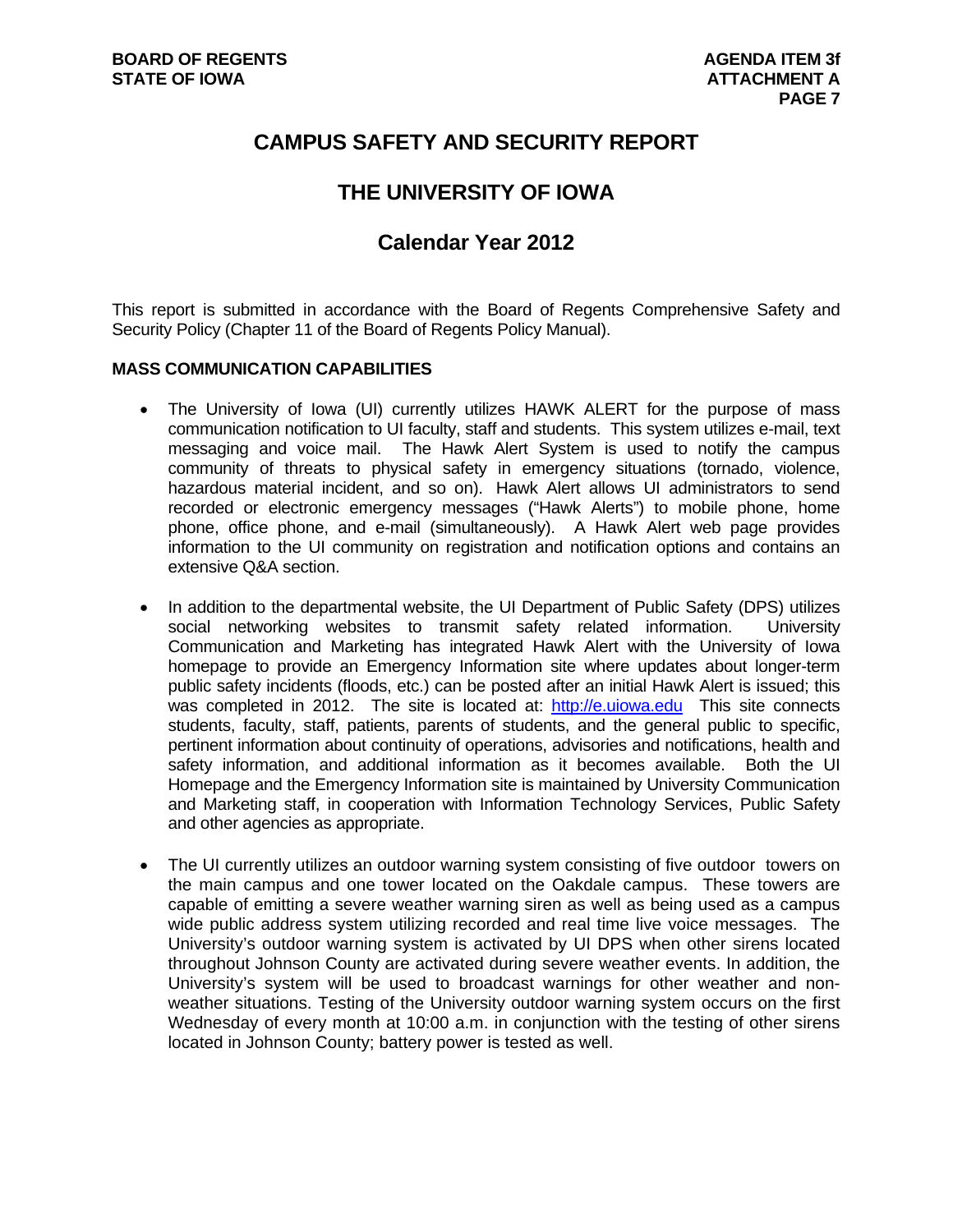## **CAMPUS SAFETY AND SECURITY REPORT**

## **THE UNIVERSITY OF IOWA**

## **Calendar Year 2012**

This report is submitted in accordance with the Board of Regents Comprehensive Safety and Security Policy (Chapter 11 of the Board of Regents Policy Manual).

#### **MASS COMMUNICATION CAPABILITIES**

- The University of Iowa (UI) currently utilizes HAWK ALERT for the purpose of mass communication notification to UI faculty, staff and students. This system utilizes e-mail, text messaging and voice mail. The Hawk Alert System is used to notify the campus community of threats to physical safety in emergency situations (tornado, violence, hazardous material incident, and so on). Hawk Alert allows UI administrators to send recorded or electronic emergency messages ("Hawk Alerts") to mobile phone, home phone, office phone, and e-mail (simultaneously). A Hawk Alert web page provides information to the UI community on registration and notification options and contains an extensive Q&A section.
- In addition to the departmental website, the UI Department of Public Safety (DPS) utilizes social networking websites to transmit safety related information. University Communication and Marketing has integrated Hawk Alert with the University of Iowa homepage to provide an Emergency Information site where updates about longer-term public safety incidents (floods, etc.) can be posted after an initial Hawk Alert is issued; this was completed in 2012. The site is located at: http://e.uiowa.edu This site connects students, faculty, staff, patients, parents of students, and the general public to specific, pertinent information about continuity of operations, advisories and notifications, health and safety information, and additional information as it becomes available. Both the UI Homepage and the Emergency Information site is maintained by University Communication and Marketing staff, in cooperation with Information Technology Services, Public Safety and other agencies as appropriate.
- The UI currently utilizes an outdoor warning system consisting of five outdoor towers on the main campus and one tower located on the Oakdale campus. These towers are capable of emitting a severe weather warning siren as well as being used as a campus wide public address system utilizing recorded and real time live voice messages. The University's outdoor warning system is activated by UI DPS when other sirens located throughout Johnson County are activated during severe weather events. In addition, the University's system will be used to broadcast warnings for other weather and nonweather situations. Testing of the University outdoor warning system occurs on the first Wednesday of every month at 10:00 a.m. in conjunction with the testing of other sirens located in Johnson County; battery power is tested as well.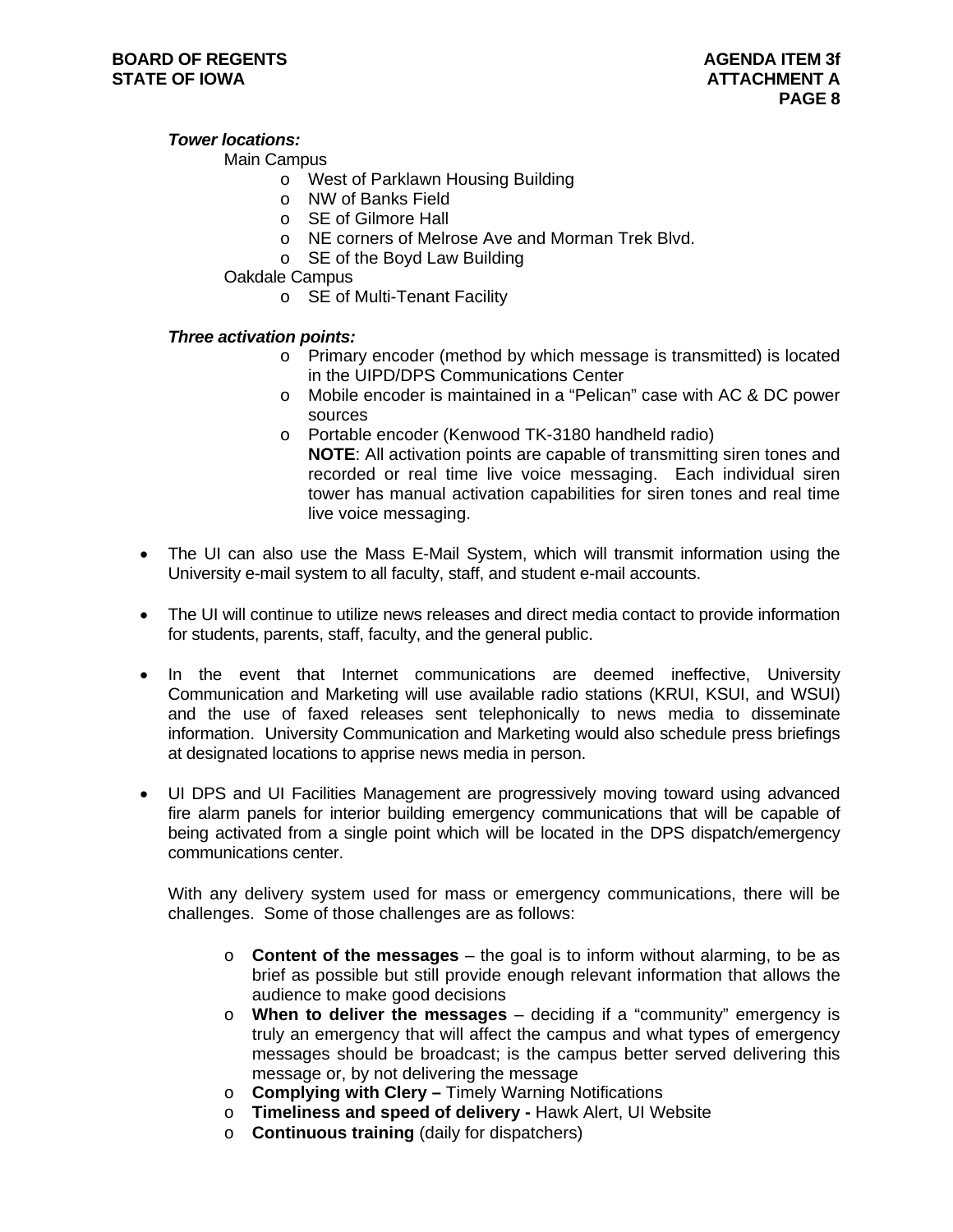#### *Tower locations:*

#### Main Campus

- o West of Parklawn Housing Building
- o NW of Banks Field
- o SE of Gilmore Hall
- o NE corners of Melrose Ave and Morman Trek Blvd.
- o SE of the Boyd Law Building
- Oakdale Campus
	- o SE of Multi-Tenant Facility

#### *Three activation points:*

- o Primary encoder (method by which message is transmitted) is located in the UIPD/DPS Communications Center
- o Mobile encoder is maintained in a "Pelican" case with AC & DC power sources
- o Portable encoder (Kenwood TK-3180 handheld radio) **NOTE**: All activation points are capable of transmitting siren tones and recorded or real time live voice messaging. Each individual siren tower has manual activation capabilities for siren tones and real time live voice messaging.
- The UI can also use the Mass E-Mail System, which will transmit information using the University e-mail system to all faculty, staff, and student e-mail accounts.
- The UI will continue to utilize news releases and direct media contact to provide information for students, parents, staff, faculty, and the general public.
- In the event that Internet communications are deemed ineffective, University Communication and Marketing will use available radio stations (KRUI, KSUI, and WSUI) and the use of faxed releases sent telephonically to news media to disseminate information. University Communication and Marketing would also schedule press briefings at designated locations to apprise news media in person.
- UI DPS and UI Facilities Management are progressively moving toward using advanced fire alarm panels for interior building emergency communications that will be capable of being activated from a single point which will be located in the DPS dispatch/emergency communications center.

With any delivery system used for mass or emergency communications, there will be challenges. Some of those challenges are as follows:

- o **Content of the messages** the goal is to inform without alarming, to be as brief as possible but still provide enough relevant information that allows the audience to make good decisions
- o **When to deliver the messages** deciding if a "community" emergency is truly an emergency that will affect the campus and what types of emergency messages should be broadcast; is the campus better served delivering this message or, by not delivering the message
- o **Complying with Clery** Timely Warning Notifications
- o **Timeliness and speed of delivery** Hawk Alert, UI Website
- o **Continuous training** (daily for dispatchers)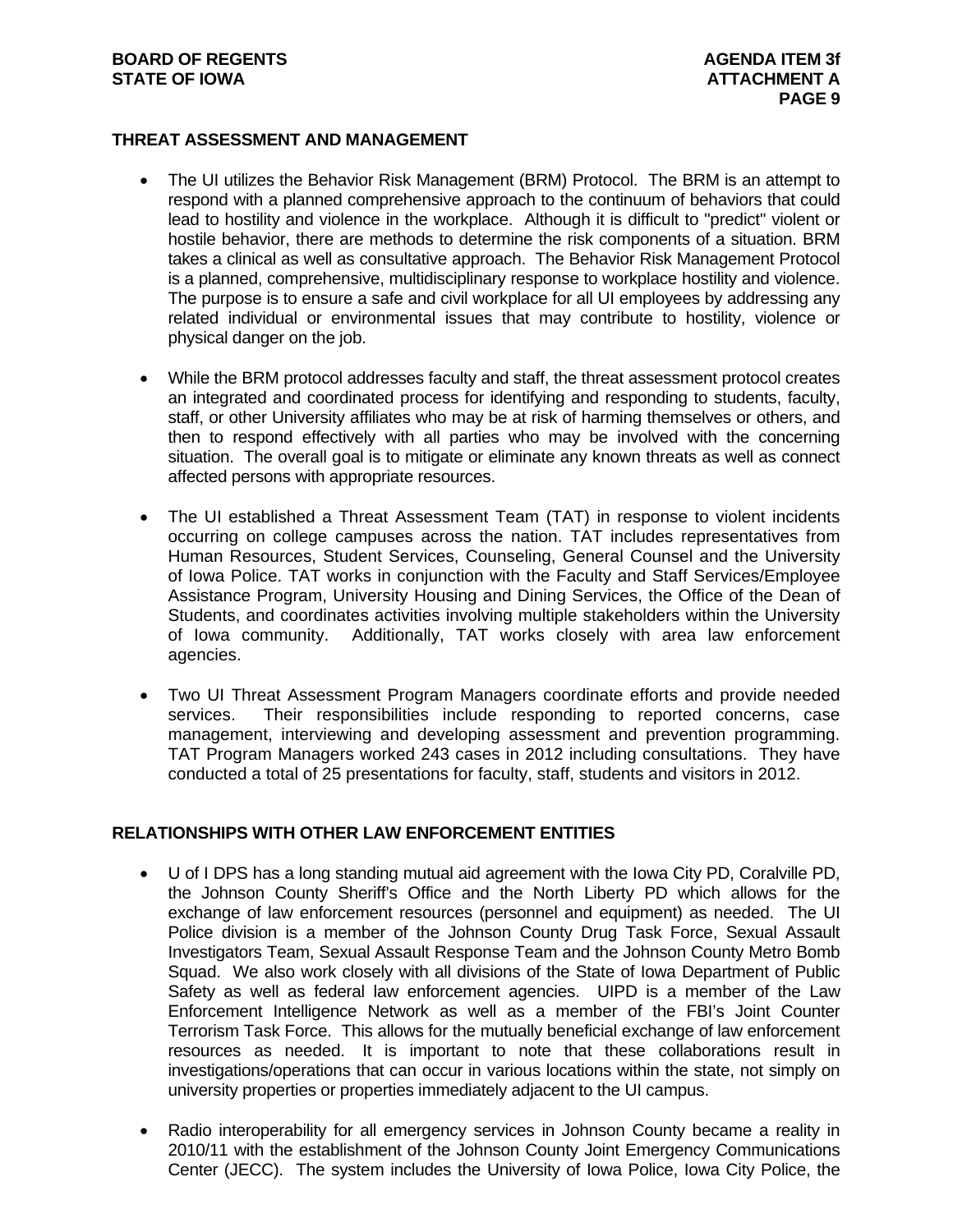#### **BOARD OF REGENTS AGENTS** AGENDA ITEM 3f **STATE OF IOWA** AND **ATTACHMENT A**

#### **THREAT ASSESSMENT AND MANAGEMENT**

- The UI utilizes the Behavior Risk Management (BRM) Protocol. The BRM is an attempt to respond with a planned comprehensive approach to the continuum of behaviors that could lead to hostility and violence in the workplace. Although it is difficult to "predict" violent or hostile behavior, there are methods to determine the risk components of a situation. BRM takes a clinical as well as consultative approach. The Behavior Risk Management Protocol is a planned, comprehensive, multidisciplinary response to workplace hostility and violence. The purpose is to ensure a safe and civil workplace for all UI employees by addressing any related individual or environmental issues that may contribute to hostility, violence or physical danger on the job.
- While the BRM protocol addresses faculty and staff, the threat assessment protocol creates an integrated and coordinated process for identifying and responding to students, faculty, staff, or other University affiliates who may be at risk of harming themselves or others, and then to respond effectively with all parties who may be involved with the concerning situation. The overall goal is to mitigate or eliminate any known threats as well as connect affected persons with appropriate resources.
- The UI established a Threat Assessment Team (TAT) in response to violent incidents occurring on college campuses across the nation. TAT includes representatives from Human Resources, Student Services, Counseling, General Counsel and the University of Iowa Police. TAT works in conjunction with the Faculty and Staff Services/Employee Assistance Program, University Housing and Dining Services, the Office of the Dean of Students, and coordinates activities involving multiple stakeholders within the University of Iowa community. Additionally, TAT works closely with area law enforcement agencies.
- Two UI Threat Assessment Program Managers coordinate efforts and provide needed services. Their responsibilities include responding to reported concerns, case management, interviewing and developing assessment and prevention programming. TAT Program Managers worked 243 cases in 2012 including consultations. They have conducted a total of 25 presentations for faculty, staff, students and visitors in 2012.

#### **RELATIONSHIPS WITH OTHER LAW ENFORCEMENT ENTITIES**

- U of I DPS has a long standing mutual aid agreement with the Iowa City PD, Coralville PD, the Johnson County Sheriff's Office and the North Liberty PD which allows for the exchange of law enforcement resources (personnel and equipment) as needed. The UI Police division is a member of the Johnson County Drug Task Force, Sexual Assault Investigators Team, Sexual Assault Response Team and the Johnson County Metro Bomb Squad. We also work closely with all divisions of the State of Iowa Department of Public Safety as well as federal law enforcement agencies. UIPD is a member of the Law Enforcement Intelligence Network as well as a member of the FBI's Joint Counter Terrorism Task Force. This allows for the mutually beneficial exchange of law enforcement resources as needed. It is important to note that these collaborations result in investigations/operations that can occur in various locations within the state, not simply on university properties or properties immediately adjacent to the UI campus.
- Radio interoperability for all emergency services in Johnson County became a reality in 2010/11 with the establishment of the Johnson County Joint Emergency Communications Center (JECC). The system includes the University of Iowa Police, Iowa City Police, the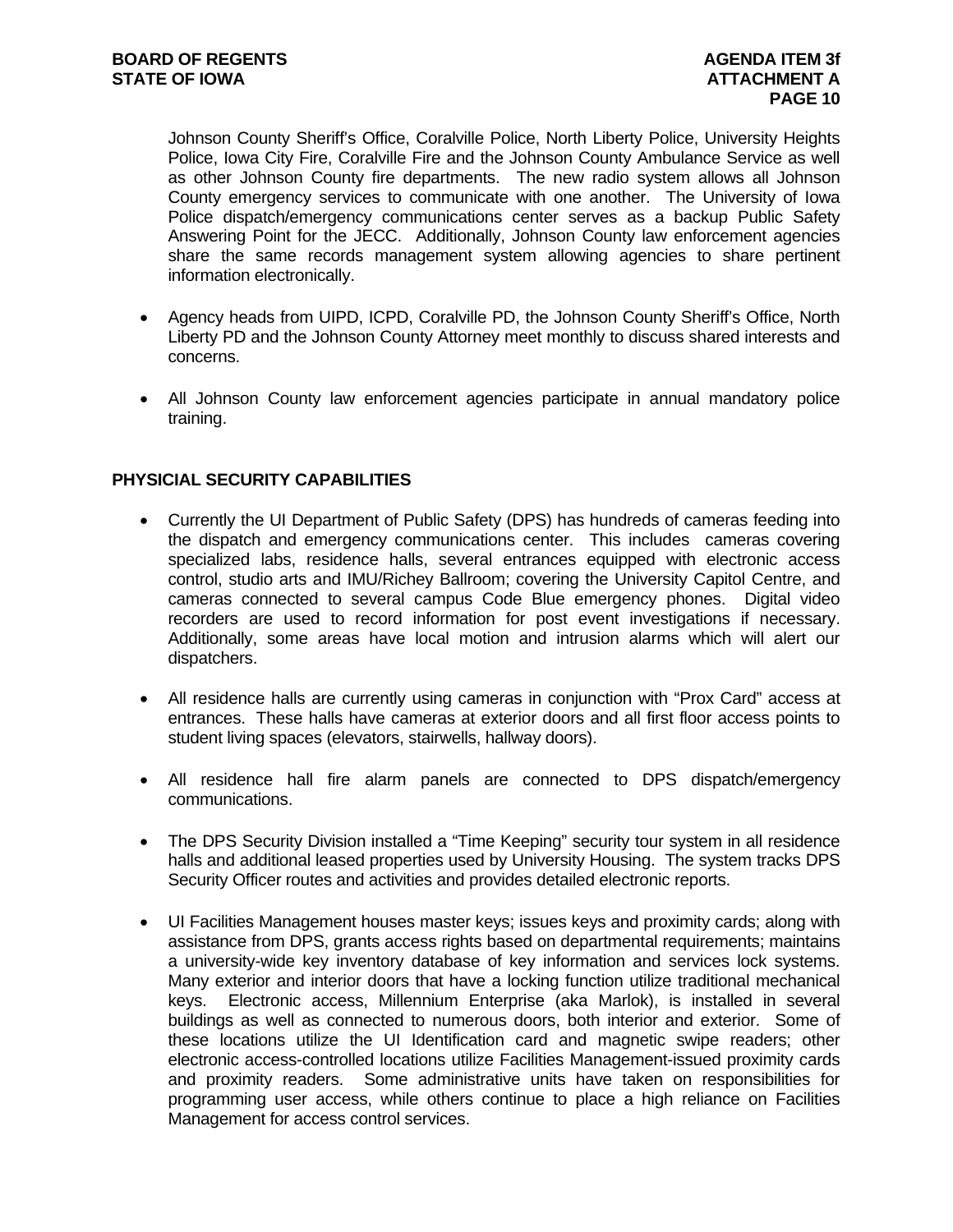Johnson County Sheriff's Office, Coralville Police, North Liberty Police, University Heights Police, Iowa City Fire, Coralville Fire and the Johnson County Ambulance Service as well as other Johnson County fire departments. The new radio system allows all Johnson County emergency services to communicate with one another. The University of Iowa Police dispatch/emergency communications center serves as a backup Public Safety Answering Point for the JECC. Additionally, Johnson County law enforcement agencies share the same records management system allowing agencies to share pertinent information electronically.

- Agency heads from UIPD, ICPD, Coralville PD, the Johnson County Sheriff's Office, North Liberty PD and the Johnson County Attorney meet monthly to discuss shared interests and concerns.
- All Johnson County law enforcement agencies participate in annual mandatory police training.

#### **PHYSICIAL SECURITY CAPABILITIES**

- Currently the UI Department of Public Safety (DPS) has hundreds of cameras feeding into the dispatch and emergency communications center. This includes cameras covering specialized labs, residence halls, several entrances equipped with electronic access control, studio arts and IMU/Richey Ballroom; covering the University Capitol Centre, and cameras connected to several campus Code Blue emergency phones. Digital video recorders are used to record information for post event investigations if necessary. Additionally, some areas have local motion and intrusion alarms which will alert our dispatchers.
- All residence halls are currently using cameras in conjunction with "Prox Card" access at entrances. These halls have cameras at exterior doors and all first floor access points to student living spaces (elevators, stairwells, hallway doors).
- All residence hall fire alarm panels are connected to DPS dispatch/emergency communications.
- The DPS Security Division installed a "Time Keeping" security tour system in all residence halls and additional leased properties used by University Housing. The system tracks DPS Security Officer routes and activities and provides detailed electronic reports.
- UI Facilities Management houses master keys; issues keys and proximity cards; along with assistance from DPS, grants access rights based on departmental requirements; maintains a university-wide key inventory database of key information and services lock systems. Many exterior and interior doors that have a locking function utilize traditional mechanical keys. Electronic access, Millennium Enterprise (aka Marlok), is installed in several buildings as well as connected to numerous doors, both interior and exterior. Some of these locations utilize the UI Identification card and magnetic swipe readers; other electronic access-controlled locations utilize Facilities Management-issued proximity cards and proximity readers. Some administrative units have taken on responsibilities for programming user access, while others continue to place a high reliance on Facilities Management for access control services.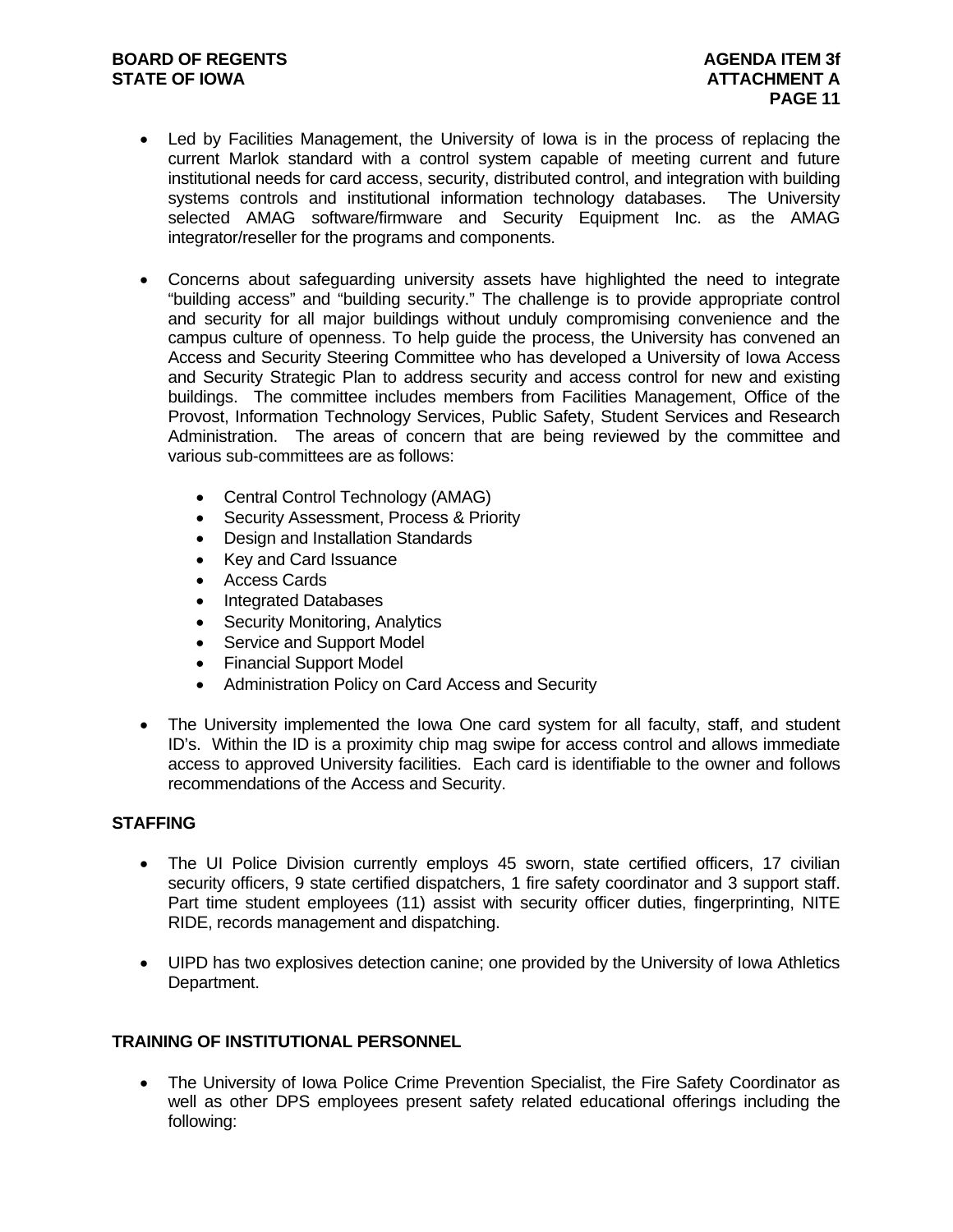- Led by Facilities Management, the University of Iowa is in the process of replacing the current Marlok standard with a control system capable of meeting current and future institutional needs for card access, security, distributed control, and integration with building systems controls and institutional information technology databases. The University selected AMAG software/firmware and Security Equipment Inc. as the AMAG integrator/reseller for the programs and components.
- Concerns about safeguarding university assets have highlighted the need to integrate "building access" and "building security." The challenge is to provide appropriate control and security for all major buildings without unduly compromising convenience and the campus culture of openness. To help guide the process, the University has convened an Access and Security Steering Committee who has developed a University of Iowa Access and Security Strategic Plan to address security and access control for new and existing buildings. The committee includes members from Facilities Management, Office of the Provost, Information Technology Services, Public Safety, Student Services and Research Administration. The areas of concern that are being reviewed by the committee and various sub-committees are as follows:
	- Central Control Technology (AMAG)
	- Security Assessment, Process & Priority
	- Design and Installation Standards
	- Key and Card Issuance
	- Access Cards
	- Integrated Databases
	- Security Monitoring, Analytics
	- Service and Support Model
	- Financial Support Model
	- Administration Policy on Card Access and Security
- The University implemented the Iowa One card system for all faculty, staff, and student ID's. Within the ID is a proximity chip mag swipe for access control and allows immediate access to approved University facilities. Each card is identifiable to the owner and follows recommendations of the Access and Security.

## **STAFFING**

- The UI Police Division currently employs 45 sworn, state certified officers, 17 civilian security officers, 9 state certified dispatchers, 1 fire safety coordinator and 3 support staff. Part time student employees (11) assist with security officer duties, fingerprinting, NITE RIDE, records management and dispatching.
- UIPD has two explosives detection canine; one provided by the University of Iowa Athletics Department.

#### **TRAINING OF INSTITUTIONAL PERSONNEL**

 The University of Iowa Police Crime Prevention Specialist, the Fire Safety Coordinator as well as other DPS employees present safety related educational offerings including the following: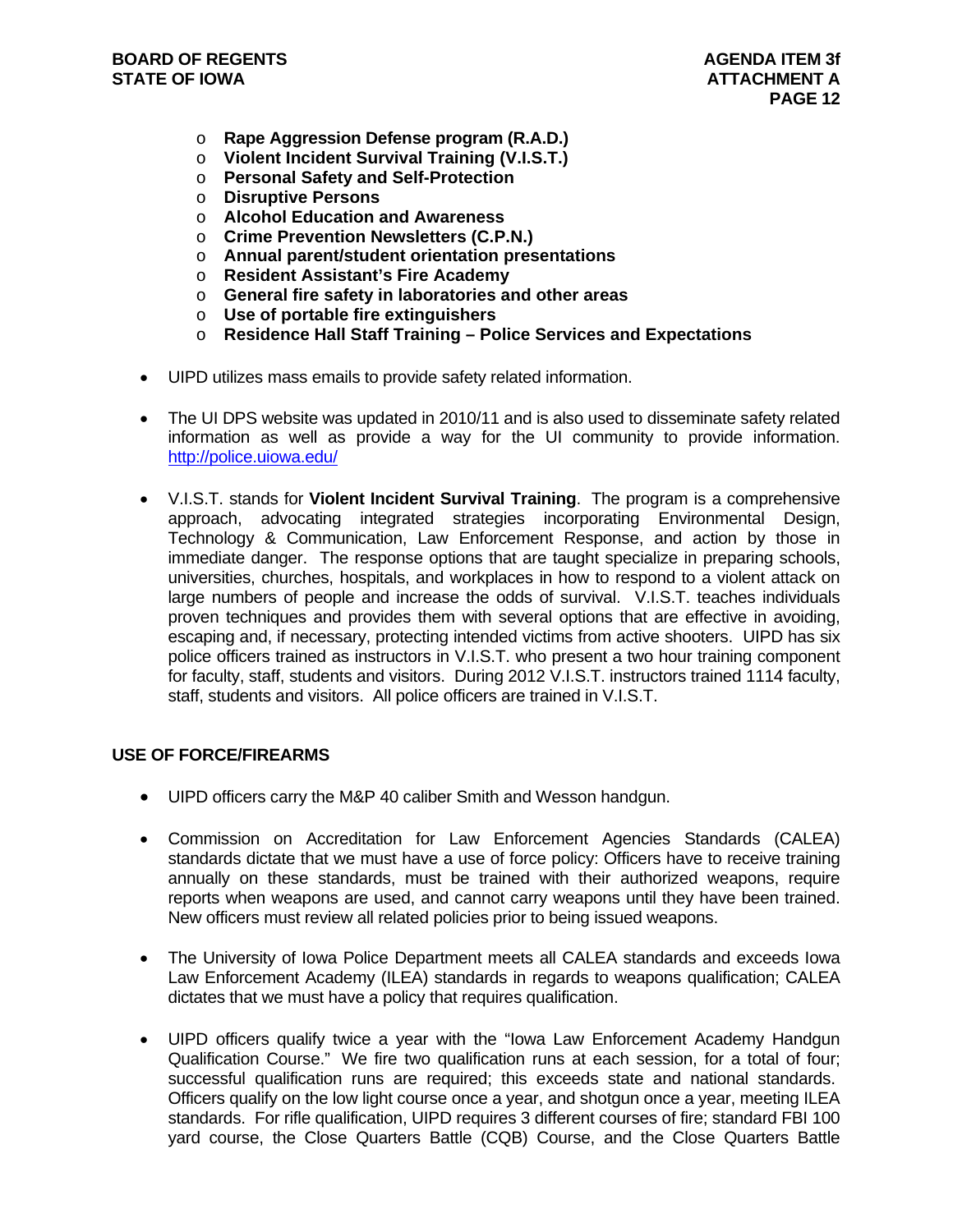- o **Rape Aggression Defense program (R.A.D.)**
- o **Violent Incident Survival Training (V.I.S.T.)**
- o **Personal Safety and Self-Protection**
- o **Disruptive Persons**
- o **Alcohol Education and Awareness**
- o **Crime Prevention Newsletters (C.P.N.)**
- o **Annual parent/student orientation presentations**
- o **Resident Assistant's Fire Academy**
- o **General fire safety in laboratories and other areas**
- o **Use of portable fire extinguishers**
- o **Residence Hall Staff Training Police Services and Expectations**
- UIPD utilizes mass emails to provide safety related information.
- The UI DPS website was updated in 2010/11 and is also used to disseminate safety related information as well as provide a way for the UI community to provide information. http://police.uiowa.edu/
- V.I.S.T. stands for **Violent Incident Survival Training**. The program is a comprehensive approach, advocating integrated strategies incorporating Environmental Design, Technology & Communication, Law Enforcement Response, and action by those in immediate danger. The response options that are taught specialize in preparing schools, universities, churches, hospitals, and workplaces in how to respond to a violent attack on large numbers of people and increase the odds of survival. V.I.S.T. teaches individuals proven techniques and provides them with several options that are effective in avoiding, escaping and, if necessary, protecting intended victims from active shooters. UIPD has six police officers trained as instructors in V.I.S.T. who present a two hour training component for faculty, staff, students and visitors. During 2012 V.I.S.T. instructors trained 1114 faculty, staff, students and visitors. All police officers are trained in V.I.S.T.

#### **USE OF FORCE/FIREARMS**

- UIPD officers carry the M&P 40 caliber Smith and Wesson handgun.
- Commission on Accreditation for Law Enforcement Agencies Standards (CALEA) standards dictate that we must have a use of force policy: Officers have to receive training annually on these standards, must be trained with their authorized weapons, require reports when weapons are used, and cannot carry weapons until they have been trained. New officers must review all related policies prior to being issued weapons.
- The University of Iowa Police Department meets all CALEA standards and exceeds Iowa Law Enforcement Academy (ILEA) standards in regards to weapons qualification; CALEA dictates that we must have a policy that requires qualification.
- UIPD officers qualify twice a year with the "Iowa Law Enforcement Academy Handgun Qualification Course." We fire two qualification runs at each session, for a total of four; successful qualification runs are required; this exceeds state and national standards. Officers qualify on the low light course once a year, and shotgun once a year, meeting ILEA standards. For rifle qualification, UIPD requires 3 different courses of fire; standard FBI 100 yard course, the Close Quarters Battle (CQB) Course, and the Close Quarters Battle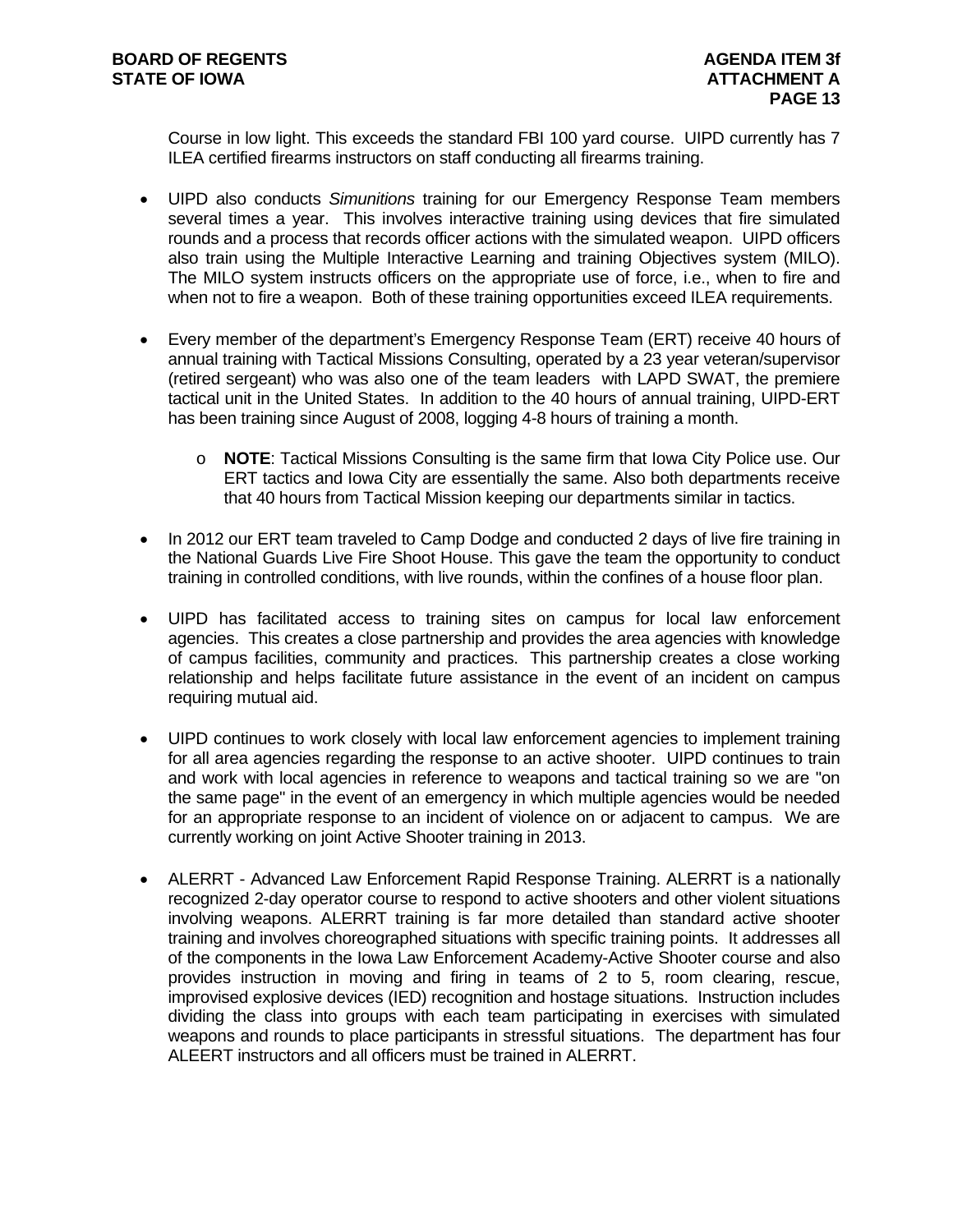Course in low light. This exceeds the standard FBI 100 yard course. UIPD currently has 7 ILEA certified firearms instructors on staff conducting all firearms training.

- UIPD also conducts *Simunitions* training for our Emergency Response Team members several times a year. This involves interactive training using devices that fire simulated rounds and a process that records officer actions with the simulated weapon. UIPD officers also train using the Multiple Interactive Learning and training Objectives system (MILO). The MILO system instructs officers on the appropriate use of force, i.e., when to fire and when not to fire a weapon. Both of these training opportunities exceed ILEA requirements.
- Every member of the department's Emergency Response Team (ERT) receive 40 hours of annual training with Tactical Missions Consulting, operated by a 23 year veteran/supervisor (retired sergeant) who was also one of the team leaders with LAPD SWAT, the premiere tactical unit in the United States. In addition to the 40 hours of annual training, UIPD-ERT has been training since August of 2008, logging 4-8 hours of training a month.
	- o **NOTE**: Tactical Missions Consulting is the same firm that Iowa City Police use. Our ERT tactics and Iowa City are essentially the same. Also both departments receive that 40 hours from Tactical Mission keeping our departments similar in tactics.
- In 2012 our ERT team traveled to Camp Dodge and conducted 2 days of live fire training in the National Guards Live Fire Shoot House. This gave the team the opportunity to conduct training in controlled conditions, with live rounds, within the confines of a house floor plan.
- UIPD has facilitated access to training sites on campus for local law enforcement agencies. This creates a close partnership and provides the area agencies with knowledge of campus facilities, community and practices. This partnership creates a close working relationship and helps facilitate future assistance in the event of an incident on campus requiring mutual aid.
- UIPD continues to work closely with local law enforcement agencies to implement training for all area agencies regarding the response to an active shooter. UIPD continues to train and work with local agencies in reference to weapons and tactical training so we are "on the same page" in the event of an emergency in which multiple agencies would be needed for an appropriate response to an incident of violence on or adjacent to campus. We are currently working on joint Active Shooter training in 2013.
- ALERRT Advanced Law Enforcement Rapid Response Training. ALERRT is a nationally recognized 2-day operator course to respond to active shooters and other violent situations involving weapons. ALERRT training is far more detailed than standard active shooter training and involves choreographed situations with specific training points. It addresses all of the components in the Iowa Law Enforcement Academy-Active Shooter course and also provides instruction in moving and firing in teams of 2 to 5, room clearing, rescue, improvised explosive devices (IED) recognition and hostage situations. Instruction includes dividing the class into groups with each team participating in exercises with simulated weapons and rounds to place participants in stressful situations. The department has four ALEERT instructors and all officers must be trained in ALERRT.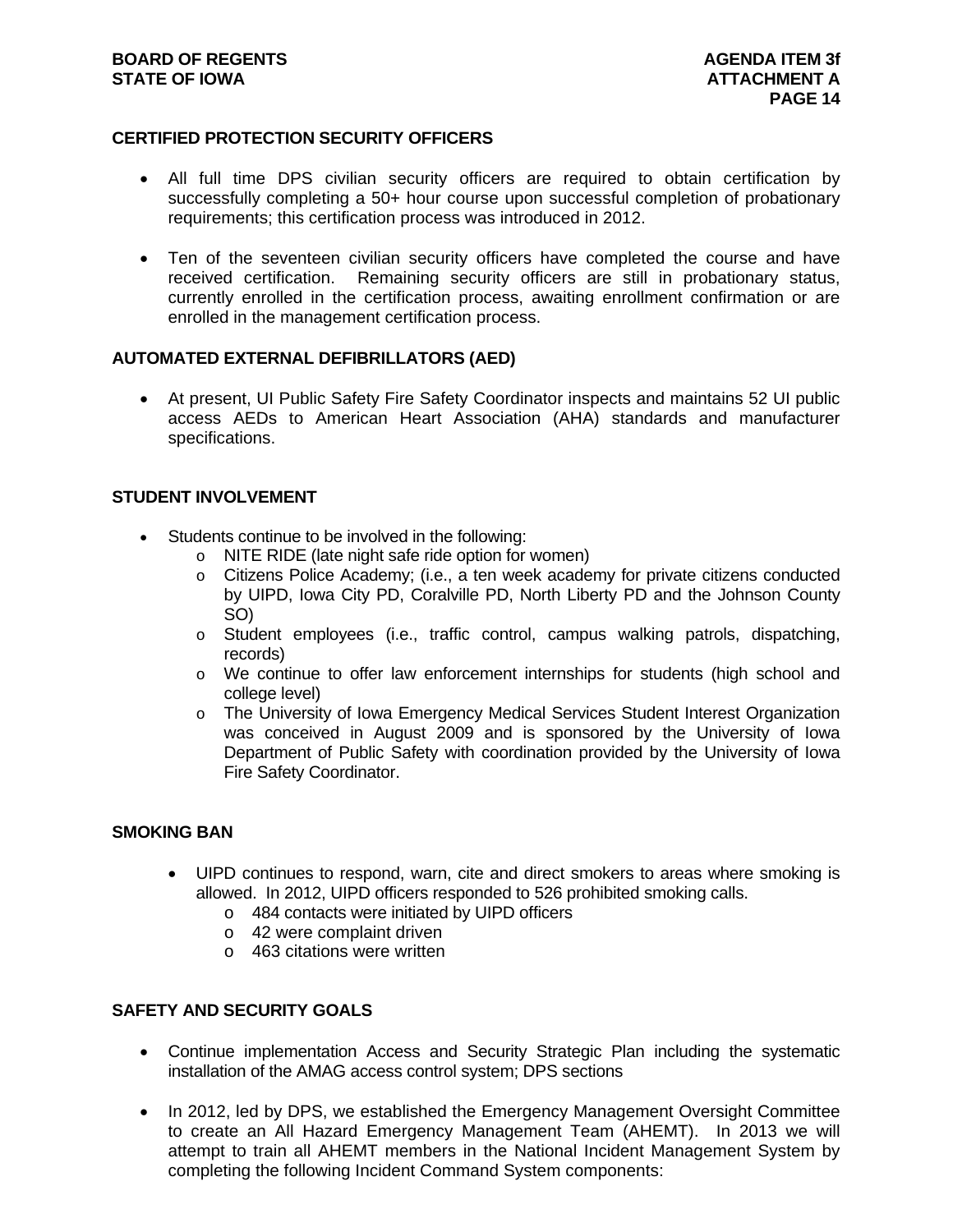#### **BOARD OF REGENTS AGENTS AGENDA ITEM 3f STATE OF IOWA** AND **ATTACHMENT A**

#### **CERTIFIED PROTECTION SECURITY OFFICERS**

- All full time DPS civilian security officers are required to obtain certification by successfully completing a 50+ hour course upon successful completion of probationary requirements; this certification process was introduced in 2012.
- Ten of the seventeen civilian security officers have completed the course and have received certification. Remaining security officers are still in probationary status, currently enrolled in the certification process, awaiting enrollment confirmation or are enrolled in the management certification process.

#### **AUTOMATED EXTERNAL DEFIBRILLATORS (AED)**

 At present, UI Public Safety Fire Safety Coordinator inspects and maintains 52 UI public access AEDs to American Heart Association (AHA) standards and manufacturer specifications.

#### **STUDENT INVOLVEMENT**

- Students continue to be involved in the following:
	- o NITE RIDE (late night safe ride option for women)
	- o Citizens Police Academy; (i.e., a ten week academy for private citizens conducted by UIPD, Iowa City PD, Coralville PD, North Liberty PD and the Johnson County SO)
	- o Student employees (i.e., traffic control, campus walking patrols, dispatching, records)
	- o We continue to offer law enforcement internships for students (high school and college level)
	- o The University of Iowa Emergency Medical Services Student Interest Organization was conceived in August 2009 and is sponsored by the University of Iowa Department of Public Safety with coordination provided by the University of Iowa Fire Safety Coordinator.

#### **SMOKING BAN**

- UIPD continues to respond, warn, cite and direct smokers to areas where smoking is allowed. In 2012, UIPD officers responded to 526 prohibited smoking calls.
	- o 484 contacts were initiated by UIPD officers
	- o 42 were complaint driven
	- o 463 citations were written

#### **SAFETY AND SECURITY GOALS**

- Continue implementation Access and Security Strategic Plan including the systematic installation of the AMAG access control system; DPS sections
- In 2012, led by DPS, we established the Emergency Management Oversight Committee to create an All Hazard Emergency Management Team (AHEMT). In 2013 we will attempt to train all AHEMT members in the National Incident Management System by completing the following Incident Command System components: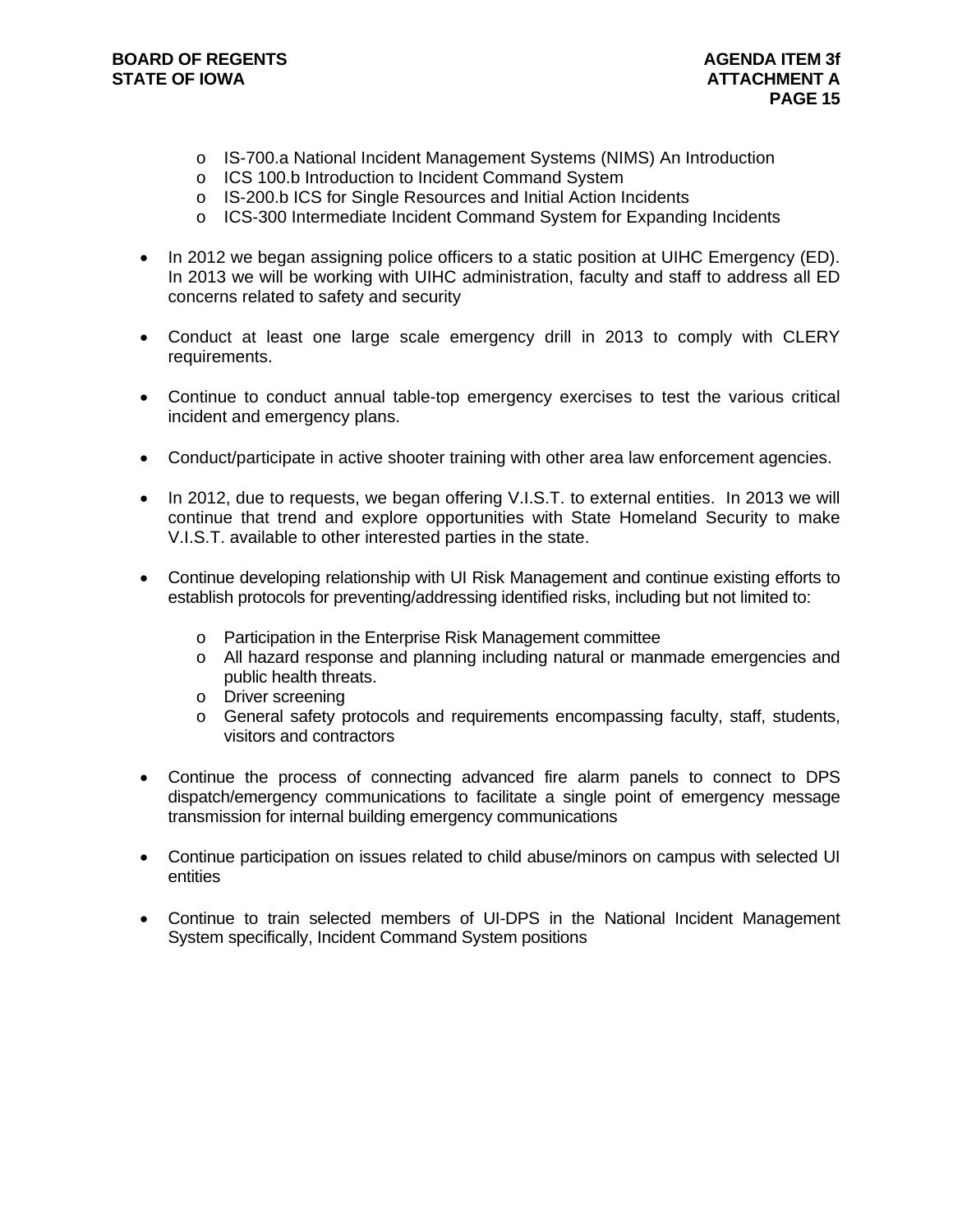- o IS-700.a National Incident Management Systems (NIMS) An Introduction
- o ICS 100.b Introduction to Incident Command System
- o IS-200.b ICS for Single Resources and Initial Action Incidents
- o ICS-300 Intermediate Incident Command System for Expanding Incidents
- In 2012 we began assigning police officers to a static position at UIHC Emergency (ED). In 2013 we will be working with UIHC administration, faculty and staff to address all ED concerns related to safety and security
- Conduct at least one large scale emergency drill in 2013 to comply with CLERY requirements.
- Continue to conduct annual table-top emergency exercises to test the various critical incident and emergency plans.
- Conduct/participate in active shooter training with other area law enforcement agencies.
- In 2012, due to requests, we began offering V.I.S.T. to external entities. In 2013 we will continue that trend and explore opportunities with State Homeland Security to make V.I.S.T. available to other interested parties in the state.
- Continue developing relationship with UI Risk Management and continue existing efforts to establish protocols for preventing/addressing identified risks, including but not limited to:
	- o Participation in the Enterprise Risk Management committee
	- o All hazard response and planning including natural or manmade emergencies and public health threats.
	- o Driver screening
	- o General safety protocols and requirements encompassing faculty, staff, students, visitors and contractors
- Continue the process of connecting advanced fire alarm panels to connect to DPS dispatch/emergency communications to facilitate a single point of emergency message transmission for internal building emergency communications
- Continue participation on issues related to child abuse/minors on campus with selected UI entities
- Continue to train selected members of UI-DPS in the National Incident Management System specifically, Incident Command System positions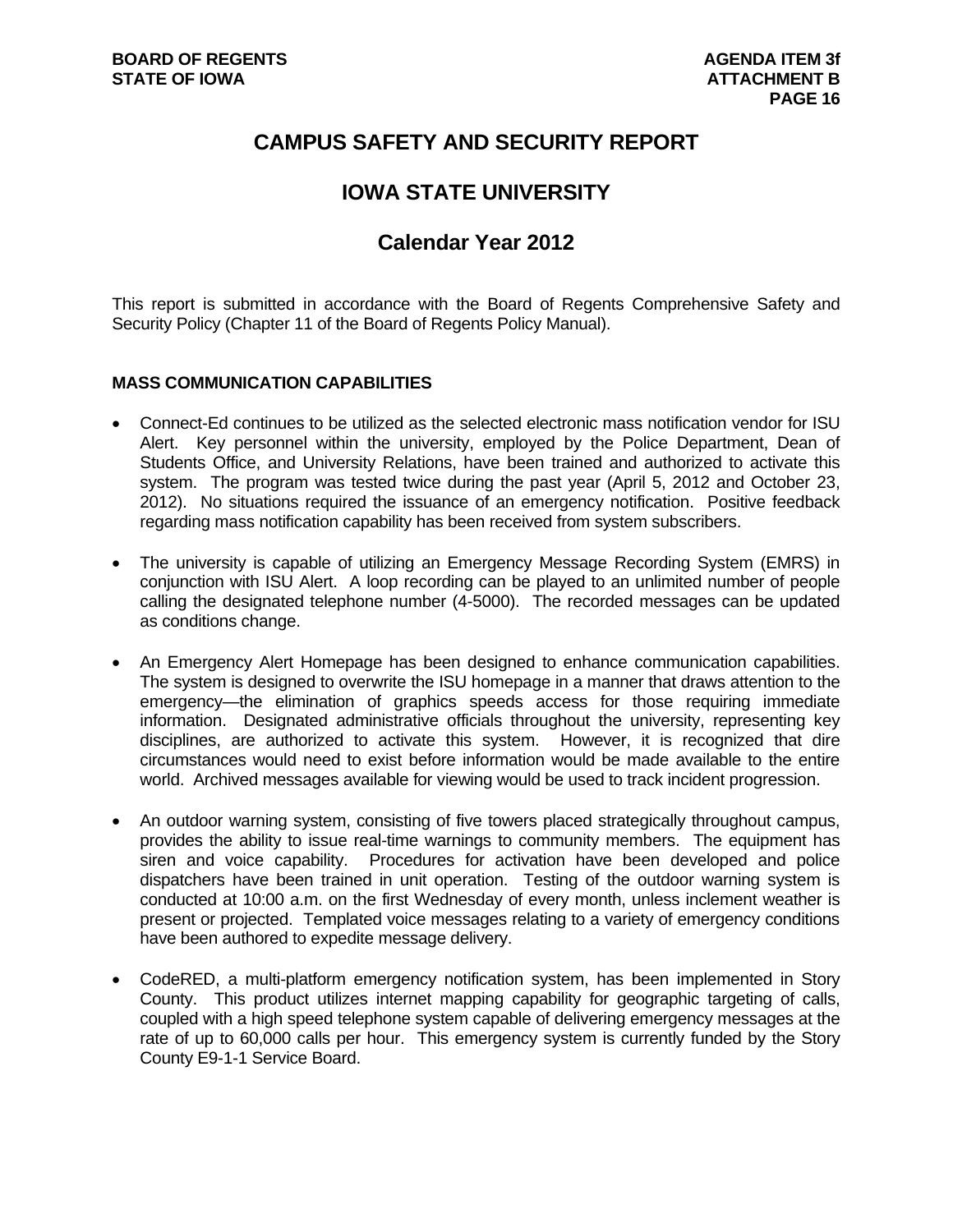## **CAMPUS SAFETY AND SECURITY REPORT**

## **IOWA STATE UNIVERSITY**

## **Calendar Year 2012**

This report is submitted in accordance with the Board of Regents Comprehensive Safety and Security Policy (Chapter 11 of the Board of Regents Policy Manual).

#### **MASS COMMUNICATION CAPABILITIES**

- Connect-Ed continues to be utilized as the selected electronic mass notification vendor for ISU Alert. Key personnel within the university, employed by the Police Department, Dean of Students Office, and University Relations, have been trained and authorized to activate this system. The program was tested twice during the past year (April 5, 2012 and October 23, 2012). No situations required the issuance of an emergency notification. Positive feedback regarding mass notification capability has been received from system subscribers.
- The university is capable of utilizing an Emergency Message Recording System (EMRS) in conjunction with ISU Alert. A loop recording can be played to an unlimited number of people calling the designated telephone number (4-5000). The recorded messages can be updated as conditions change.
- An Emergency Alert Homepage has been designed to enhance communication capabilities. The system is designed to overwrite the ISU homepage in a manner that draws attention to the emergency—the elimination of graphics speeds access for those requiring immediate information. Designated administrative officials throughout the university, representing key disciplines, are authorized to activate this system. However, it is recognized that dire circumstances would need to exist before information would be made available to the entire world. Archived messages available for viewing would be used to track incident progression.
- An outdoor warning system, consisting of five towers placed strategically throughout campus, provides the ability to issue real-time warnings to community members. The equipment has siren and voice capability. Procedures for activation have been developed and police dispatchers have been trained in unit operation. Testing of the outdoor warning system is conducted at 10:00 a.m. on the first Wednesday of every month, unless inclement weather is present or projected. Templated voice messages relating to a variety of emergency conditions have been authored to expedite message delivery.
- CodeRED, a multi-platform emergency notification system, has been implemented in Story County. This product utilizes internet mapping capability for geographic targeting of calls, coupled with a high speed telephone system capable of delivering emergency messages at the rate of up to 60,000 calls per hour. This emergency system is currently funded by the Story County E9-1-1 Service Board.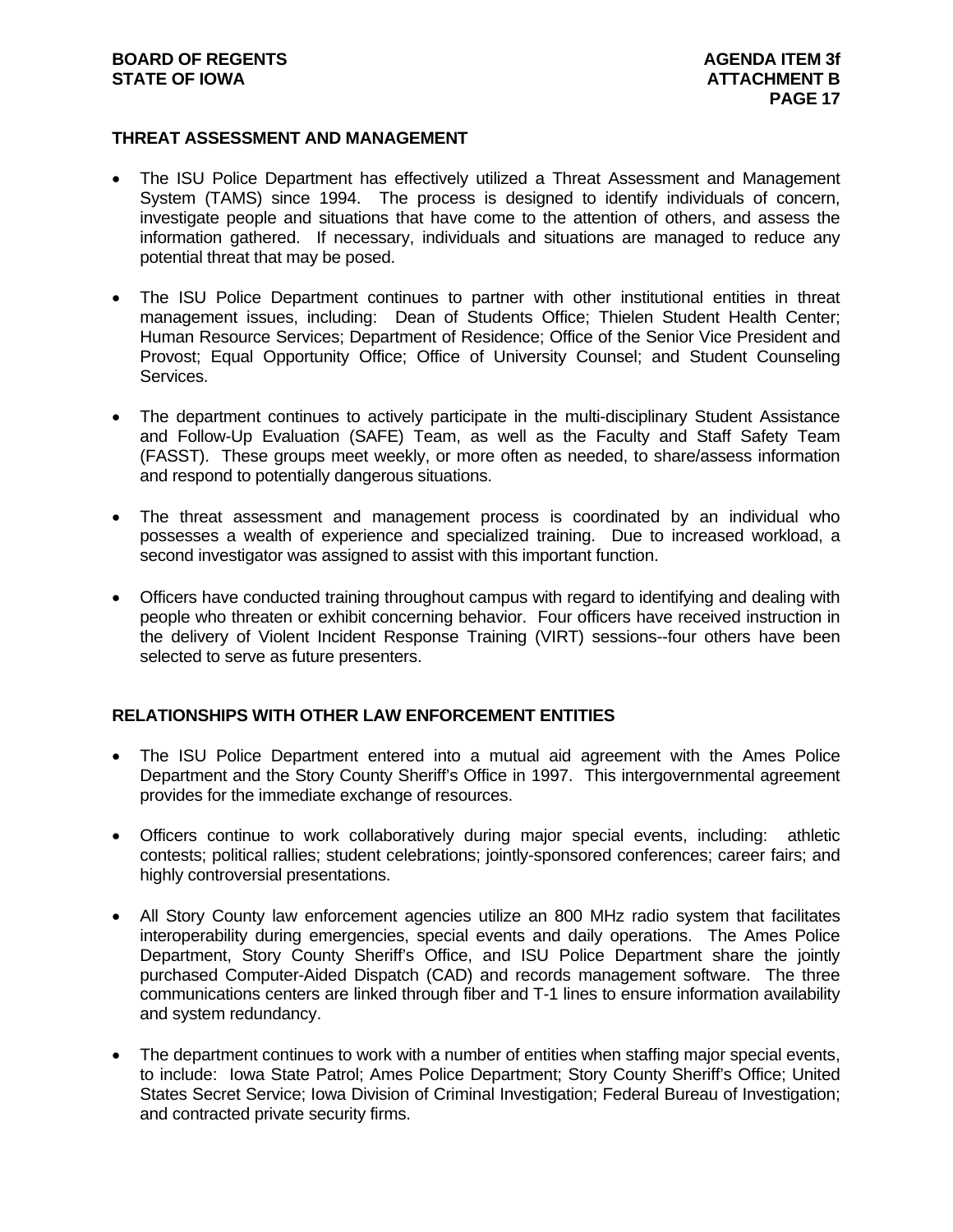#### **THREAT ASSESSMENT AND MANAGEMENT**

- The ISU Police Department has effectively utilized a Threat Assessment and Management System (TAMS) since 1994. The process is designed to identify individuals of concern, investigate people and situations that have come to the attention of others, and assess the information gathered. If necessary, individuals and situations are managed to reduce any potential threat that may be posed.
- The ISU Police Department continues to partner with other institutional entities in threat management issues, including: Dean of Students Office; Thielen Student Health Center; Human Resource Services; Department of Residence; Office of the Senior Vice President and Provost; Equal Opportunity Office; Office of University Counsel; and Student Counseling Services.
- The department continues to actively participate in the multi-disciplinary Student Assistance and Follow-Up Evaluation (SAFE) Team, as well as the Faculty and Staff Safety Team (FASST). These groups meet weekly, or more often as needed, to share/assess information and respond to potentially dangerous situations.
- The threat assessment and management process is coordinated by an individual who possesses a wealth of experience and specialized training. Due to increased workload, a second investigator was assigned to assist with this important function.
- Officers have conducted training throughout campus with regard to identifying and dealing with people who threaten or exhibit concerning behavior. Four officers have received instruction in the delivery of Violent Incident Response Training (VIRT) sessions--four others have been selected to serve as future presenters.

#### **RELATIONSHIPS WITH OTHER LAW ENFORCEMENT ENTITIES**

- The ISU Police Department entered into a mutual aid agreement with the Ames Police Department and the Story County Sheriff's Office in 1997. This intergovernmental agreement provides for the immediate exchange of resources.
- Officers continue to work collaboratively during major special events, including: athletic contests; political rallies; student celebrations; jointly-sponsored conferences; career fairs; and highly controversial presentations.
- All Story County law enforcement agencies utilize an 800 MHz radio system that facilitates interoperability during emergencies, special events and daily operations. The Ames Police Department, Story County Sheriff's Office, and ISU Police Department share the jointly purchased Computer-Aided Dispatch (CAD) and records management software. The three communications centers are linked through fiber and T-1 lines to ensure information availability and system redundancy.
- The department continues to work with a number of entities when staffing major special events, to include: Iowa State Patrol; Ames Police Department; Story County Sheriff's Office; United States Secret Service; Iowa Division of Criminal Investigation; Federal Bureau of Investigation; and contracted private security firms.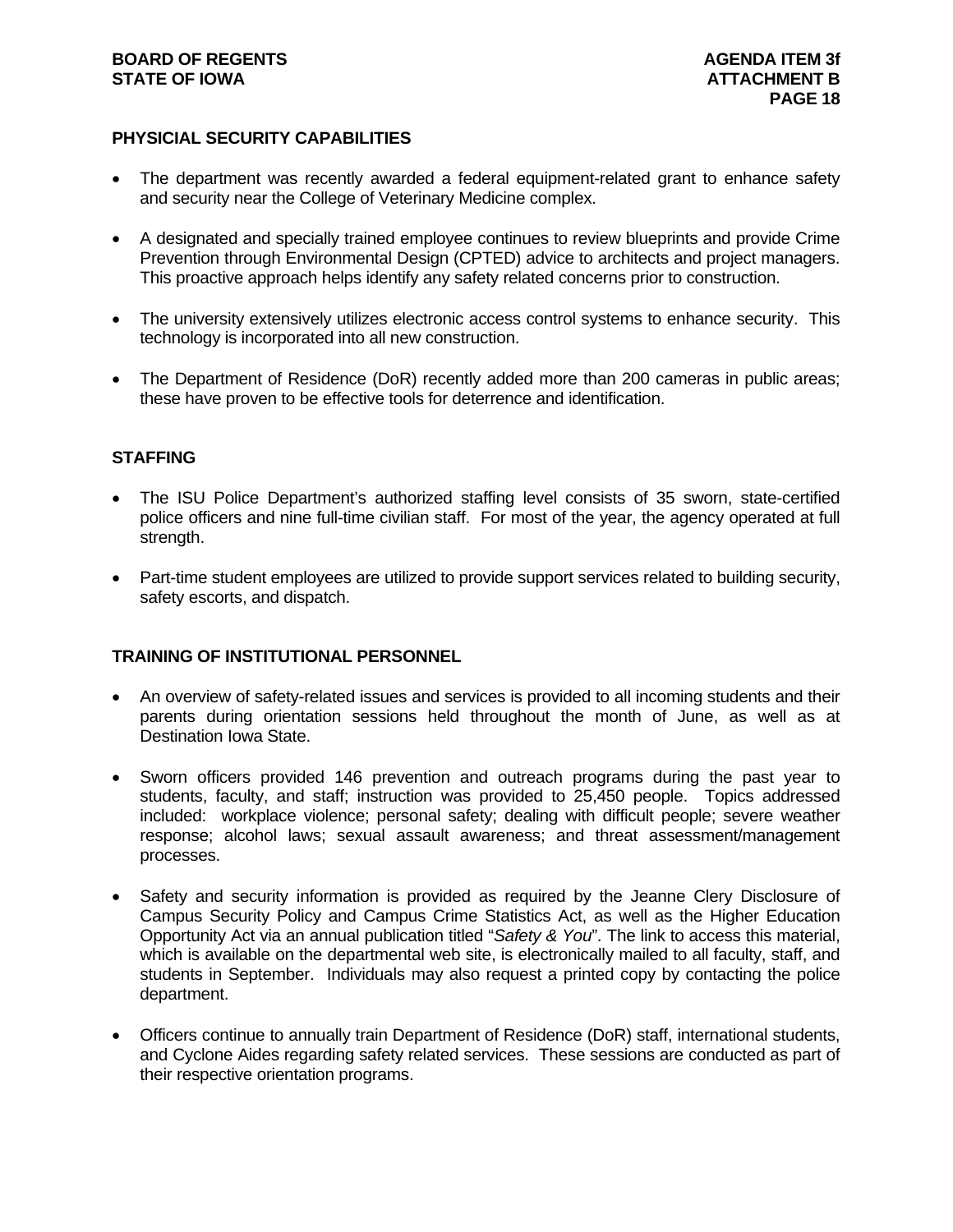#### **BOARD OF REGENTS AGENTS** AGENDA ITEM 3f **STATE OF IOWA** AND **ATTACHMENT B**

#### **PHYSICIAL SECURITY CAPABILITIES**

- The department was recently awarded a federal equipment-related grant to enhance safety and security near the College of Veterinary Medicine complex.
- A designated and specially trained employee continues to review blueprints and provide Crime Prevention through Environmental Design (CPTED) advice to architects and project managers. This proactive approach helps identify any safety related concerns prior to construction.
- The university extensively utilizes electronic access control systems to enhance security. This technology is incorporated into all new construction.
- The Department of Residence (DoR) recently added more than 200 cameras in public areas; these have proven to be effective tools for deterrence and identification.

#### **STAFFING**

- The ISU Police Department's authorized staffing level consists of 35 sworn, state-certified police officers and nine full-time civilian staff. For most of the year, the agency operated at full strength.
- Part-time student employees are utilized to provide support services related to building security, safety escorts, and dispatch.

#### **TRAINING OF INSTITUTIONAL PERSONNEL**

- An overview of safety-related issues and services is provided to all incoming students and their parents during orientation sessions held throughout the month of June, as well as at Destination Iowa State.
- Sworn officers provided 146 prevention and outreach programs during the past year to students, faculty, and staff; instruction was provided to 25,450 people. Topics addressed included: workplace violence; personal safety; dealing with difficult people; severe weather response; alcohol laws; sexual assault awareness; and threat assessment/management processes.
- Safety and security information is provided as required by the Jeanne Clery Disclosure of Campus Security Policy and Campus Crime Statistics Act, as well as the Higher Education Opportunity Act via an annual publication titled "*Safety & You*". The link to access this material, which is available on the departmental web site, is electronically mailed to all faculty, staff, and students in September. Individuals may also request a printed copy by contacting the police department.
- Officers continue to annually train Department of Residence (DoR) staff, international students, and Cyclone Aides regarding safety related services. These sessions are conducted as part of their respective orientation programs.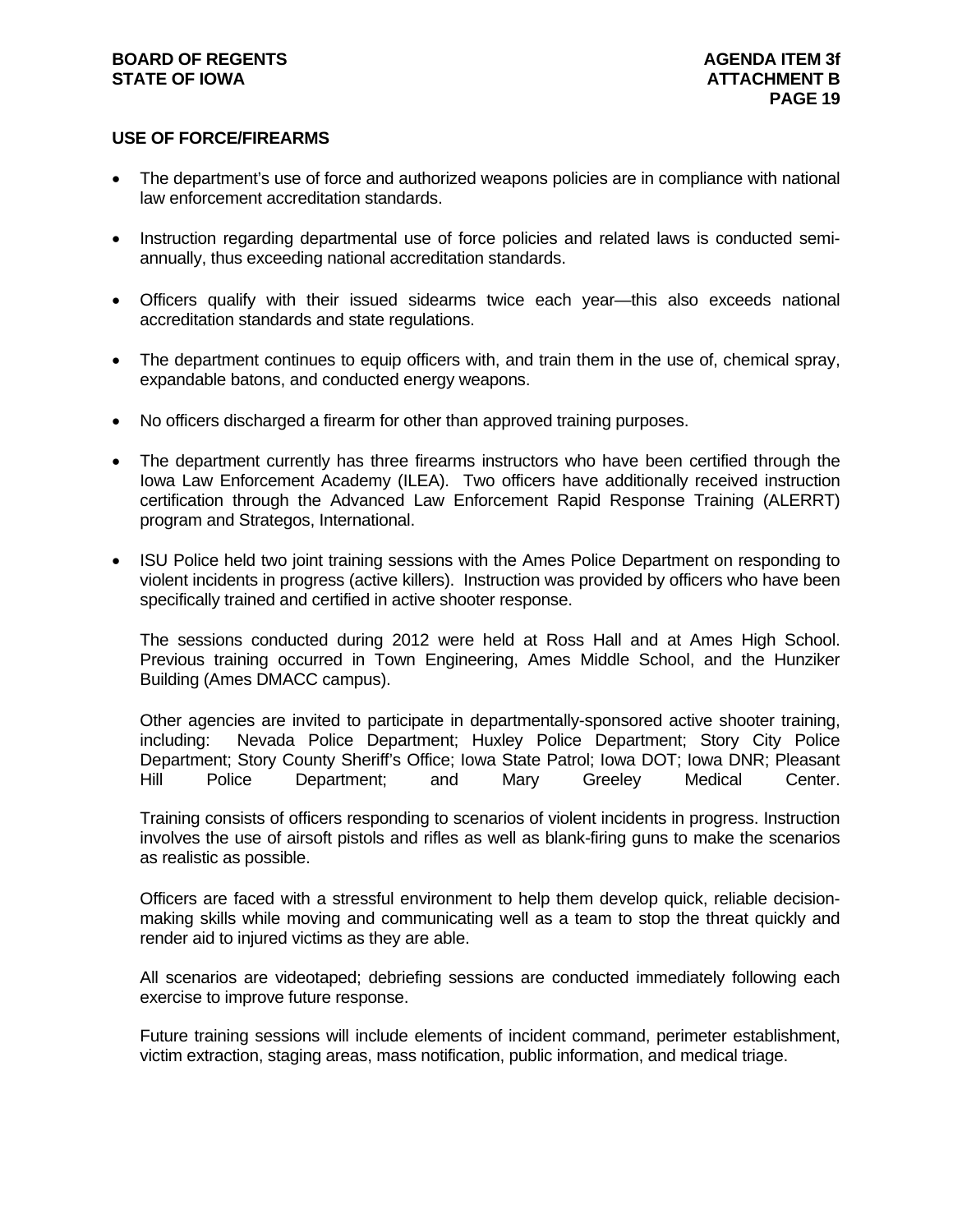#### **BOARD OF REGENTS AGENTS** AGENDA ITEM 3f **STATE OF IOWA** AND **ATTACHMENT B**

#### **USE OF FORCE/FIREARMS**

- The department's use of force and authorized weapons policies are in compliance with national law enforcement accreditation standards.
- Instruction regarding departmental use of force policies and related laws is conducted semiannually, thus exceeding national accreditation standards.
- Officers qualify with their issued sidearms twice each year—this also exceeds national accreditation standards and state regulations.
- The department continues to equip officers with, and train them in the use of, chemical spray, expandable batons, and conducted energy weapons.
- No officers discharged a firearm for other than approved training purposes.
- The department currently has three firearms instructors who have been certified through the Iowa Law Enforcement Academy (ILEA). Two officers have additionally received instruction certification through the Advanced Law Enforcement Rapid Response Training (ALERRT) program and Strategos, International.
- ISU Police held two joint training sessions with the Ames Police Department on responding to violent incidents in progress (active killers). Instruction was provided by officers who have been specifically trained and certified in active shooter response.

The sessions conducted during 2012 were held at Ross Hall and at Ames High School. Previous training occurred in Town Engineering, Ames Middle School, and the Hunziker Building (Ames DMACC campus).

Other agencies are invited to participate in departmentally-sponsored active shooter training, including: Nevada Police Department; Huxley Police Department; Story City Police Department; Story County Sheriff's Office; Iowa State Patrol; Iowa DOT; Iowa DNR; Pleasant Hill Police Department; and Mary Greeley Medical Center.

Training consists of officers responding to scenarios of violent incidents in progress. Instruction involves the use of airsoft pistols and rifles as well as blank-firing guns to make the scenarios as realistic as possible.

Officers are faced with a stressful environment to help them develop quick, reliable decisionmaking skills while moving and communicating well as a team to stop the threat quickly and render aid to injured victims as they are able.

All scenarios are videotaped; debriefing sessions are conducted immediately following each exercise to improve future response.

Future training sessions will include elements of incident command, perimeter establishment, victim extraction, staging areas, mass notification, public information, and medical triage.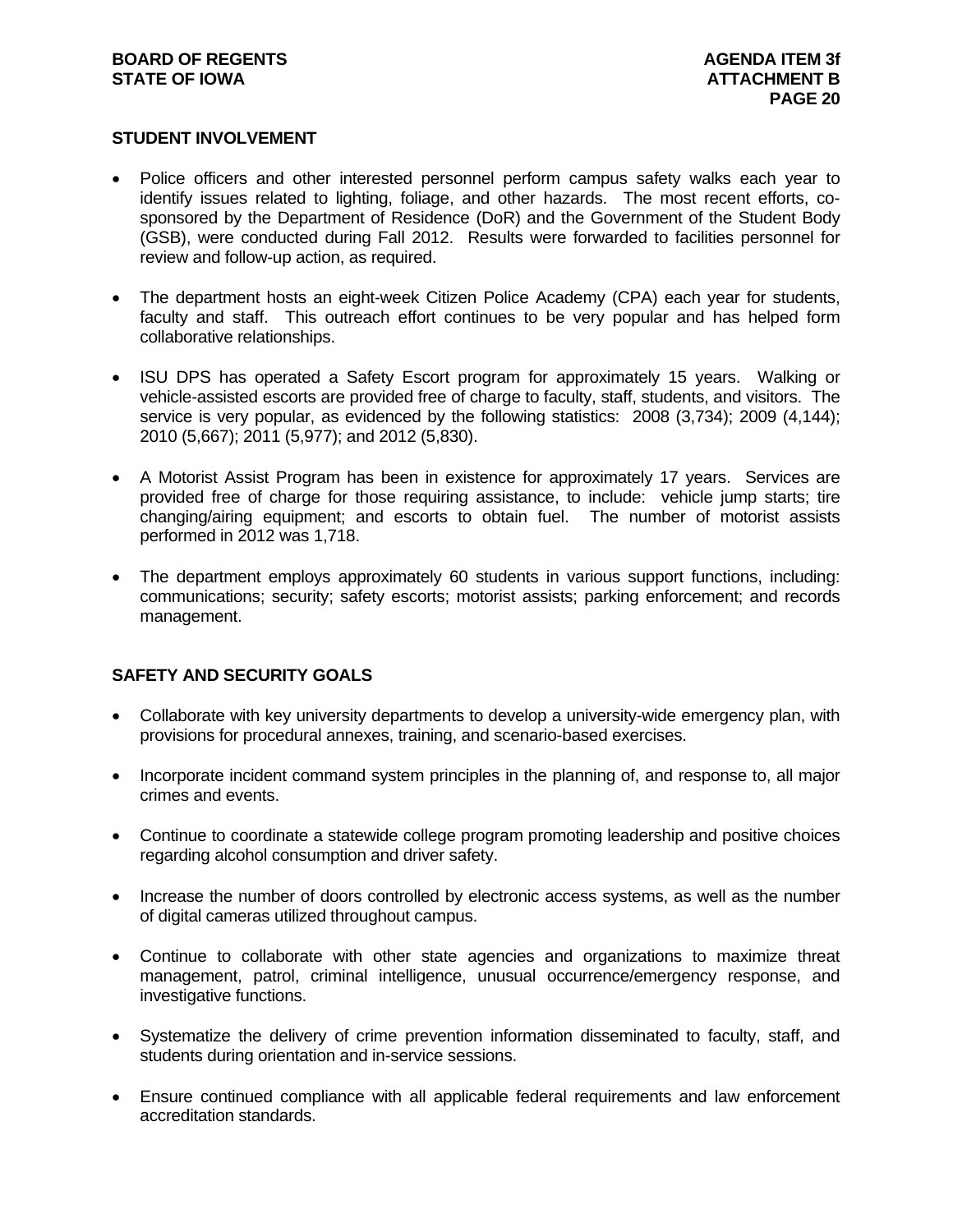#### **STUDENT INVOLVEMENT**

- Police officers and other interested personnel perform campus safety walks each year to identify issues related to lighting, foliage, and other hazards. The most recent efforts, cosponsored by the Department of Residence (DoR) and the Government of the Student Body (GSB), were conducted during Fall 2012. Results were forwarded to facilities personnel for review and follow-up action, as required.
- The department hosts an eight-week Citizen Police Academy (CPA) each year for students, faculty and staff. This outreach effort continues to be very popular and has helped form collaborative relationships.
- ISU DPS has operated a Safety Escort program for approximately 15 years. Walking or vehicle-assisted escorts are provided free of charge to faculty, staff, students, and visitors. The service is very popular, as evidenced by the following statistics: 2008 (3,734); 2009 (4,144); 2010 (5,667); 2011 (5,977); and 2012 (5,830).
- A Motorist Assist Program has been in existence for approximately 17 years. Services are provided free of charge for those requiring assistance, to include: vehicle jump starts; tire changing/airing equipment; and escorts to obtain fuel. The number of motorist assists performed in 2012 was 1,718.
- The department employs approximately 60 students in various support functions, including: communications; security; safety escorts; motorist assists; parking enforcement; and records management.

#### **SAFETY AND SECURITY GOALS**

- Collaborate with key university departments to develop a university-wide emergency plan, with provisions for procedural annexes, training, and scenario-based exercises.
- Incorporate incident command system principles in the planning of, and response to, all major crimes and events.
- Continue to coordinate a statewide college program promoting leadership and positive choices regarding alcohol consumption and driver safety.
- Increase the number of doors controlled by electronic access systems, as well as the number of digital cameras utilized throughout campus.
- Continue to collaborate with other state agencies and organizations to maximize threat management, patrol, criminal intelligence, unusual occurrence/emergency response, and investigative functions.
- Systematize the delivery of crime prevention information disseminated to faculty, staff, and students during orientation and in-service sessions.
- Ensure continued compliance with all applicable federal requirements and law enforcement accreditation standards.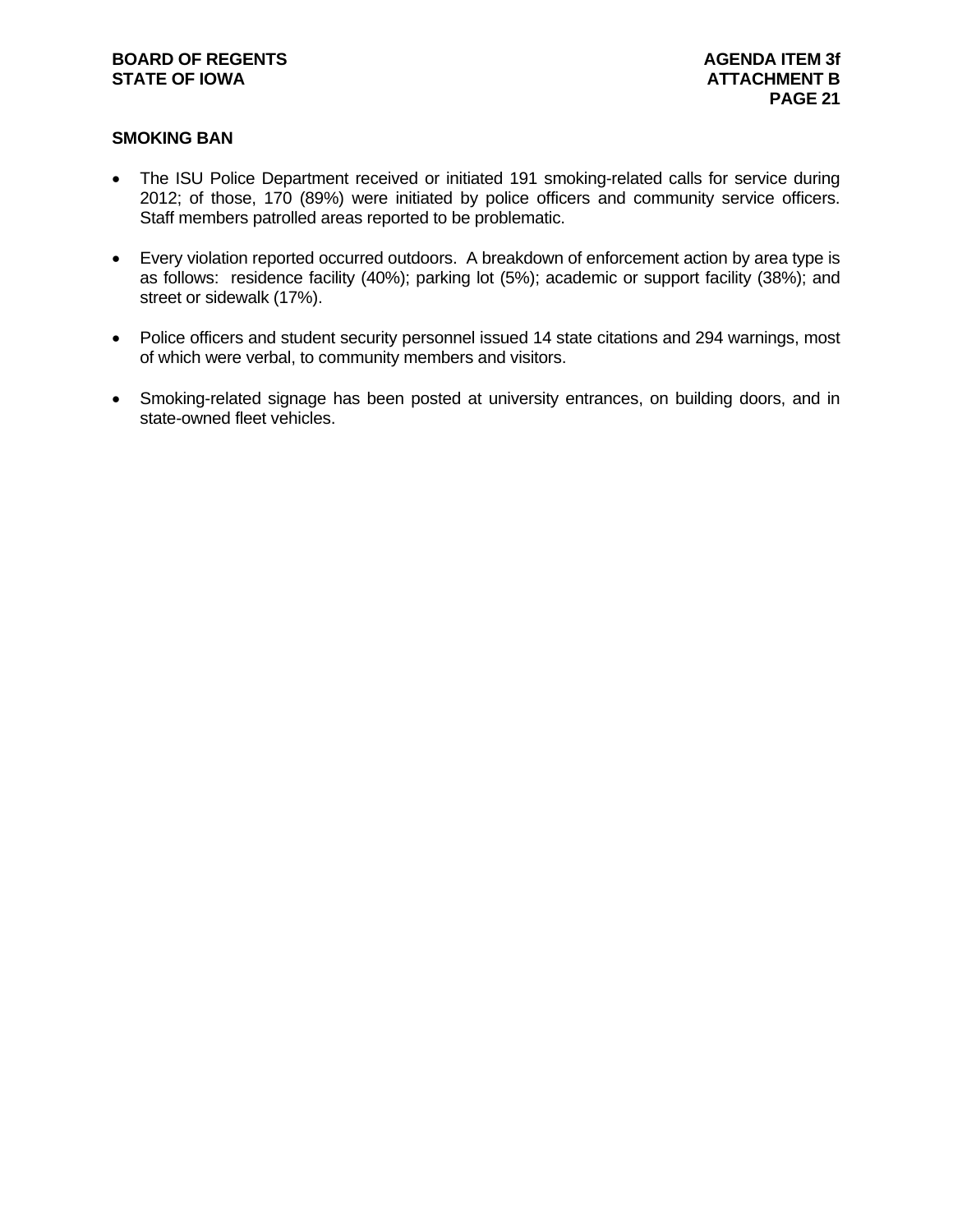#### **SMOKING BAN**

- The ISU Police Department received or initiated 191 smoking-related calls for service during 2012; of those, 170 (89%) were initiated by police officers and community service officers. Staff members patrolled areas reported to be problematic.
- Every violation reported occurred outdoors. A breakdown of enforcement action by area type is as follows: residence facility (40%); parking lot (5%); academic or support facility (38%); and street or sidewalk (17%).
- Police officers and student security personnel issued 14 state citations and 294 warnings, most of which were verbal, to community members and visitors.
- Smoking-related signage has been posted at university entrances, on building doors, and in state-owned fleet vehicles.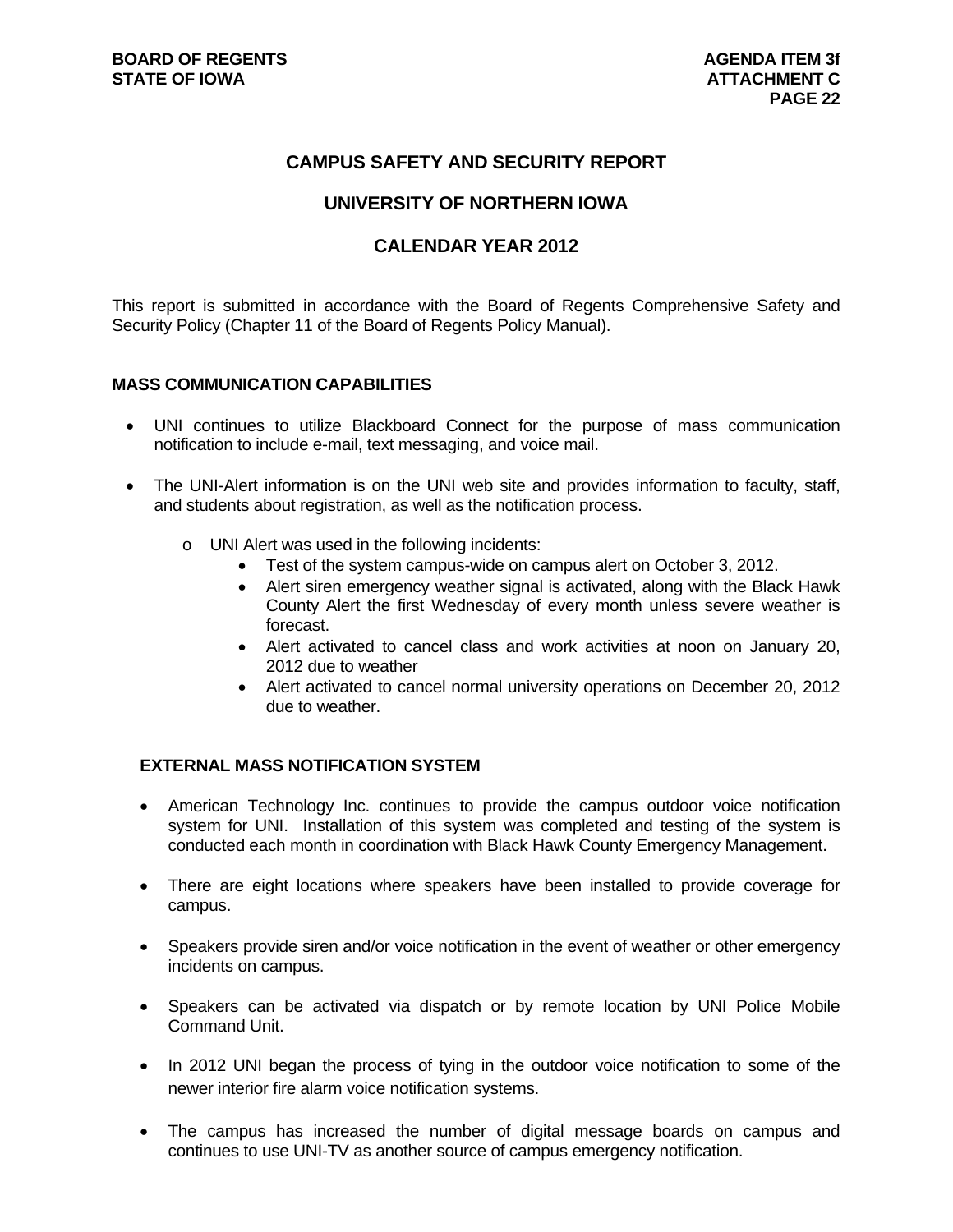### **CAMPUS SAFETY AND SECURITY REPORT**

### **UNIVERSITY OF NORTHERN IOWA**

#### **CALENDAR YEAR 2012**

This report is submitted in accordance with the Board of Regents Comprehensive Safety and Security Policy (Chapter 11 of the Board of Regents Policy Manual).

#### **MASS COMMUNICATION CAPABILITIES**

- UNI continues to utilize Blackboard Connect for the purpose of mass communication notification to include e-mail, text messaging, and voice mail.
- The UNI-Alert information is on the UNI web site and provides information to faculty, staff, and students about registration, as well as the notification process.
	- o UNI Alert was used in the following incidents:
		- Test of the system campus-wide on campus alert on October 3, 2012.
		- Alert siren emergency weather signal is activated, along with the Black Hawk County Alert the first Wednesday of every month unless severe weather is forecast.
		- Alert activated to cancel class and work activities at noon on January 20, 2012 due to weather
		- Alert activated to cancel normal university operations on December 20, 2012 due to weather.

#### **EXTERNAL MASS NOTIFICATION SYSTEM**

- American Technology Inc. continues to provide the campus outdoor voice notification system for UNI. Installation of this system was completed and testing of the system is conducted each month in coordination with Black Hawk County Emergency Management.
- There are eight locations where speakers have been installed to provide coverage for campus.
- Speakers provide siren and/or voice notification in the event of weather or other emergency incidents on campus.
- Speakers can be activated via dispatch or by remote location by UNI Police Mobile Command Unit.
- In 2012 UNI began the process of tying in the outdoor voice notification to some of the newer interior fire alarm voice notification systems.
- The campus has increased the number of digital message boards on campus and continues to use UNI-TV as another source of campus emergency notification.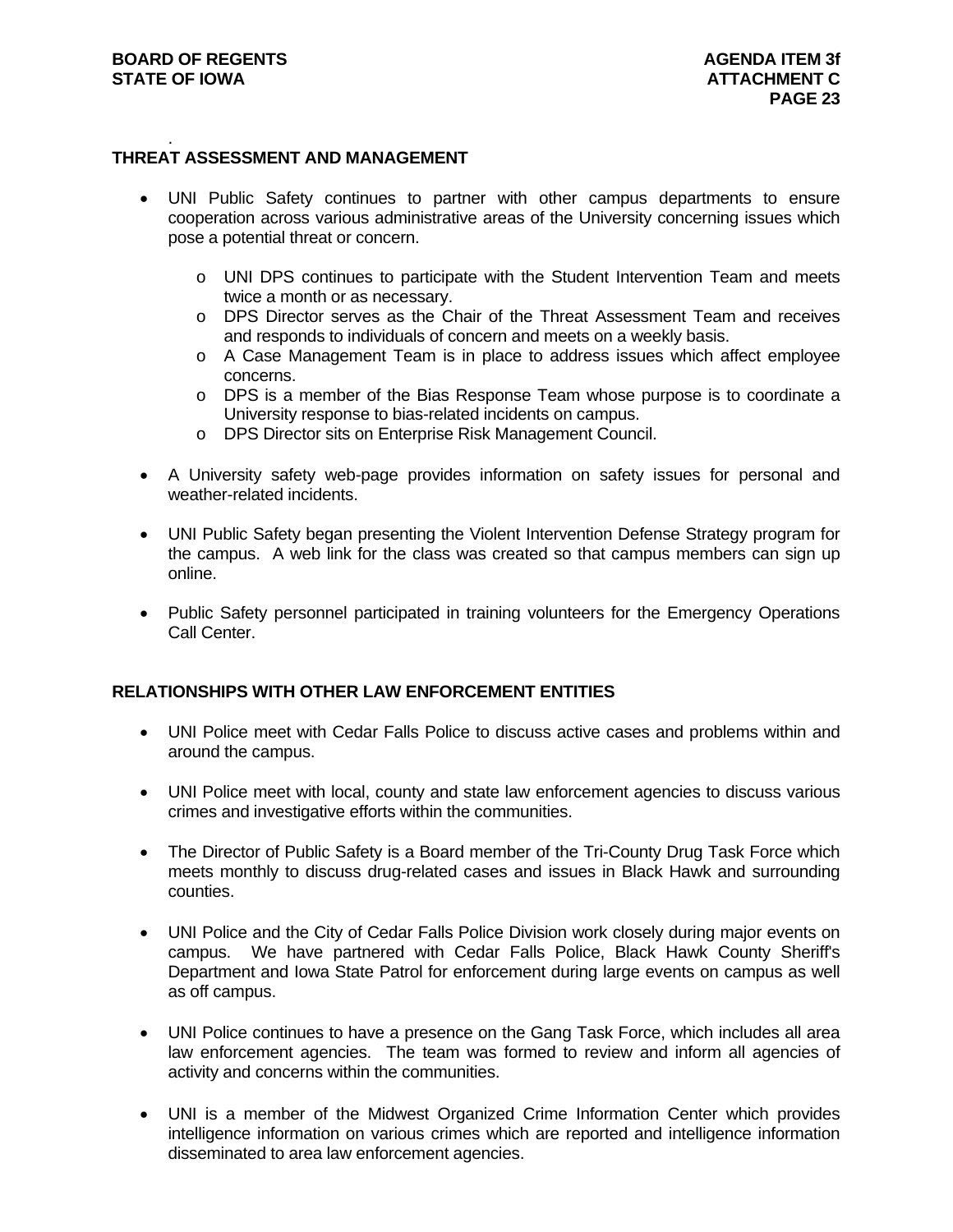#### . **THREAT ASSESSMENT AND MANAGEMENT**

- UNI Public Safety continues to partner with other campus departments to ensure cooperation across various administrative areas of the University concerning issues which pose a potential threat or concern.
	- o UNI DPS continues to participate with the Student Intervention Team and meets twice a month or as necessary.
	- o DPS Director serves as the Chair of the Threat Assessment Team and receives and responds to individuals of concern and meets on a weekly basis.
	- o A Case Management Team is in place to address issues which affect employee concerns.
	- o DPS is a member of the Bias Response Team whose purpose is to coordinate a University response to bias-related incidents on campus.
	- o DPS Director sits on Enterprise Risk Management Council.
- A University safety web-page provides information on safety issues for personal and weather-related incidents.
- UNI Public Safety began presenting the Violent Intervention Defense Strategy program for the campus. A web link for the class was created so that campus members can sign up online.
- Public Safety personnel participated in training volunteers for the Emergency Operations Call Center.

#### **RELATIONSHIPS WITH OTHER LAW ENFORCEMENT ENTITIES**

- UNI Police meet with Cedar Falls Police to discuss active cases and problems within and around the campus.
- UNI Police meet with local, county and state law enforcement agencies to discuss various crimes and investigative efforts within the communities.
- The Director of Public Safety is a Board member of the Tri-County Drug Task Force which meets monthly to discuss drug-related cases and issues in Black Hawk and surrounding counties.
- UNI Police and the City of Cedar Falls Police Division work closely during major events on campus. We have partnered with Cedar Falls Police, Black Hawk County Sheriff's Department and Iowa State Patrol for enforcement during large events on campus as well as off campus.
- UNI Police continues to have a presence on the Gang Task Force, which includes all area law enforcement agencies. The team was formed to review and inform all agencies of activity and concerns within the communities.
- UNI is a member of the Midwest Organized Crime Information Center which provides intelligence information on various crimes which are reported and intelligence information disseminated to area law enforcement agencies.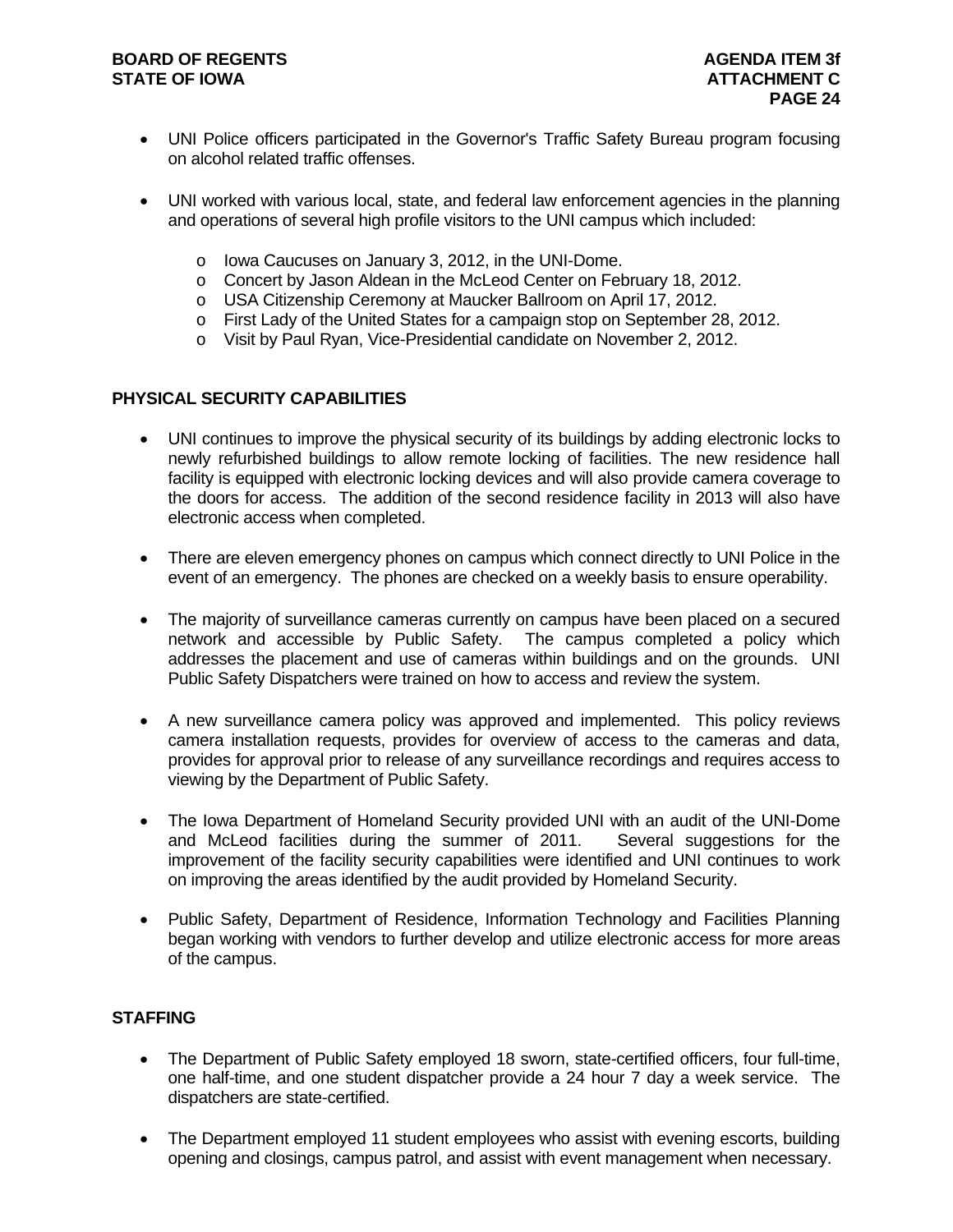#### **BOARD OF REGENTS AGENERY AGENERATION STATE OF IOWA** AND **ATTACHMENT C ATTACHMENT C**

- UNI Police officers participated in the Governor's Traffic Safety Bureau program focusing on alcohol related traffic offenses.
- UNI worked with various local, state, and federal law enforcement agencies in the planning and operations of several high profile visitors to the UNI campus which included:
	- o Iowa Caucuses on January 3, 2012, in the UNI-Dome.
	- o Concert by Jason Aldean in the McLeod Center on February 18, 2012.
	- o USA Citizenship Ceremony at Maucker Ballroom on April 17, 2012.
	- o First Lady of the United States for a campaign stop on September 28, 2012.
	- o Visit by Paul Ryan, Vice-Presidential candidate on November 2, 2012.

#### **PHYSICAL SECURITY CAPABILITIES**

- UNI continues to improve the physical security of its buildings by adding electronic locks to newly refurbished buildings to allow remote locking of facilities. The new residence hall facility is equipped with electronic locking devices and will also provide camera coverage to the doors for access. The addition of the second residence facility in 2013 will also have electronic access when completed.
- There are eleven emergency phones on campus which connect directly to UNI Police in the event of an emergency. The phones are checked on a weekly basis to ensure operability.
- The majority of surveillance cameras currently on campus have been placed on a secured network and accessible by Public Safety. The campus completed a policy which addresses the placement and use of cameras within buildings and on the grounds. UNI Public Safety Dispatchers were trained on how to access and review the system.
- A new surveillance camera policy was approved and implemented. This policy reviews camera installation requests, provides for overview of access to the cameras and data, provides for approval prior to release of any surveillance recordings and requires access to viewing by the Department of Public Safety.
- The Iowa Department of Homeland Security provided UNI with an audit of the UNI-Dome and McLeod facilities during the summer of 2011. Several suggestions for the improvement of the facility security capabilities were identified and UNI continues to work on improving the areas identified by the audit provided by Homeland Security.
- Public Safety, Department of Residence, Information Technology and Facilities Planning began working with vendors to further develop and utilize electronic access for more areas of the campus.

#### **STAFFING**

- The Department of Public Safety employed 18 sworn, state-certified officers, four full-time, one half-time, and one student dispatcher provide a 24 hour 7 day a week service. The dispatchers are state-certified.
- The Department employed 11 student employees who assist with evening escorts, building opening and closings, campus patrol, and assist with event management when necessary.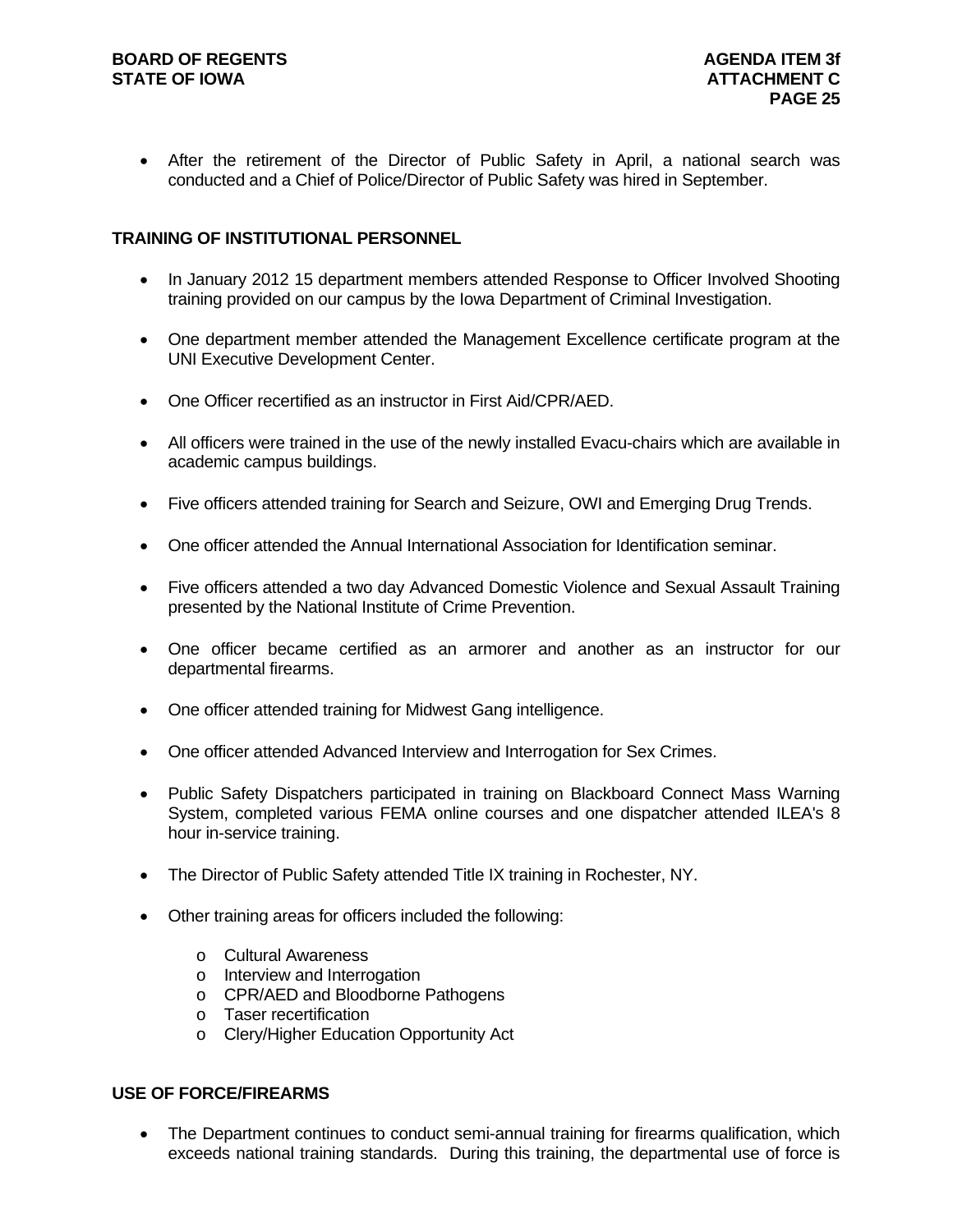After the retirement of the Director of Public Safety in April, a national search was conducted and a Chief of Police/Director of Public Safety was hired in September.

#### **TRAINING OF INSTITUTIONAL PERSONNEL**

- In January 2012 15 department members attended Response to Officer Involved Shooting training provided on our campus by the Iowa Department of Criminal Investigation.
- One department member attended the Management Excellence certificate program at the UNI Executive Development Center.
- One Officer recertified as an instructor in First Aid/CPR/AED.
- All officers were trained in the use of the newly installed Evacu-chairs which are available in academic campus buildings.
- Five officers attended training for Search and Seizure, OWI and Emerging Drug Trends.
- One officer attended the Annual International Association for Identification seminar.
- Five officers attended a two day Advanced Domestic Violence and Sexual Assault Training presented by the National Institute of Crime Prevention.
- One officer became certified as an armorer and another as an instructor for our departmental firearms.
- One officer attended training for Midwest Gang intelligence.
- One officer attended Advanced Interview and Interrogation for Sex Crimes.
- Public Safety Dispatchers participated in training on Blackboard Connect Mass Warning System, completed various FEMA online courses and one dispatcher attended ILEA's 8 hour in-service training.
- The Director of Public Safety attended Title IX training in Rochester, NY.
- Other training areas for officers included the following:
	- o Cultural Awareness
	- o Interview and Interrogation
	- o CPR/AED and Bloodborne Pathogens
	- o Taser recertification
	- o Clery/Higher Education Opportunity Act

#### **USE OF FORCE/FIREARMS**

• The Department continues to conduct semi-annual training for firearms qualification, which exceeds national training standards. During this training, the departmental use of force is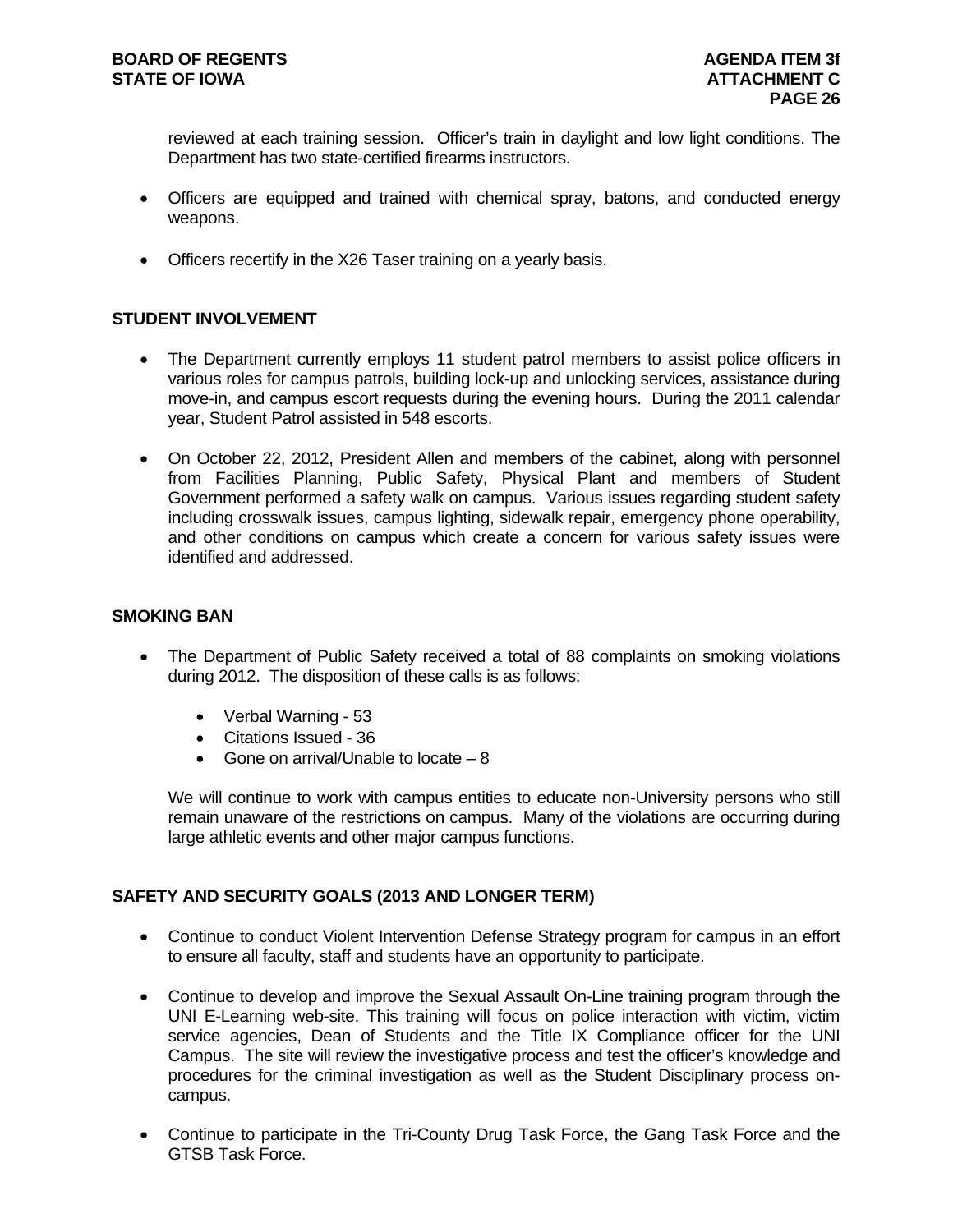reviewed at each training session. Officer's train in daylight and low light conditions. The Department has two state-certified firearms instructors.

- Officers are equipped and trained with chemical spray, batons, and conducted energy weapons.
- Officers recertify in the X26 Taser training on a yearly basis.

#### **STUDENT INVOLVEMENT**

- The Department currently employs 11 student patrol members to assist police officers in various roles for campus patrols, building lock-up and unlocking services, assistance during move-in, and campus escort requests during the evening hours. During the 2011 calendar year, Student Patrol assisted in 548 escorts.
- On October 22, 2012, President Allen and members of the cabinet, along with personnel from Facilities Planning, Public Safety, Physical Plant and members of Student Government performed a safety walk on campus. Various issues regarding student safety including crosswalk issues, campus lighting, sidewalk repair, emergency phone operability, and other conditions on campus which create a concern for various safety issues were identified and addressed.

#### **SMOKING BAN**

- The Department of Public Safety received a total of 88 complaints on smoking violations during 2012. The disposition of these calls is as follows:
	- Verbal Warning 53
	- Citations Issued 36
	- Gone on arrival/Unable to locate  $-8$

We will continue to work with campus entities to educate non-University persons who still remain unaware of the restrictions on campus. Many of the violations are occurring during large athletic events and other major campus functions.

#### **SAFETY AND SECURITY GOALS (2013 AND LONGER TERM)**

- Continue to conduct Violent Intervention Defense Strategy program for campus in an effort to ensure all faculty, staff and students have an opportunity to participate.
- Continue to develop and improve the Sexual Assault On-Line training program through the UNI E-Learning web-site. This training will focus on police interaction with victim, victim service agencies, Dean of Students and the Title IX Compliance officer for the UNI Campus. The site will review the investigative process and test the officer's knowledge and procedures for the criminal investigation as well as the Student Disciplinary process oncampus.
- Continue to participate in the Tri-County Drug Task Force, the Gang Task Force and the GTSB Task Force.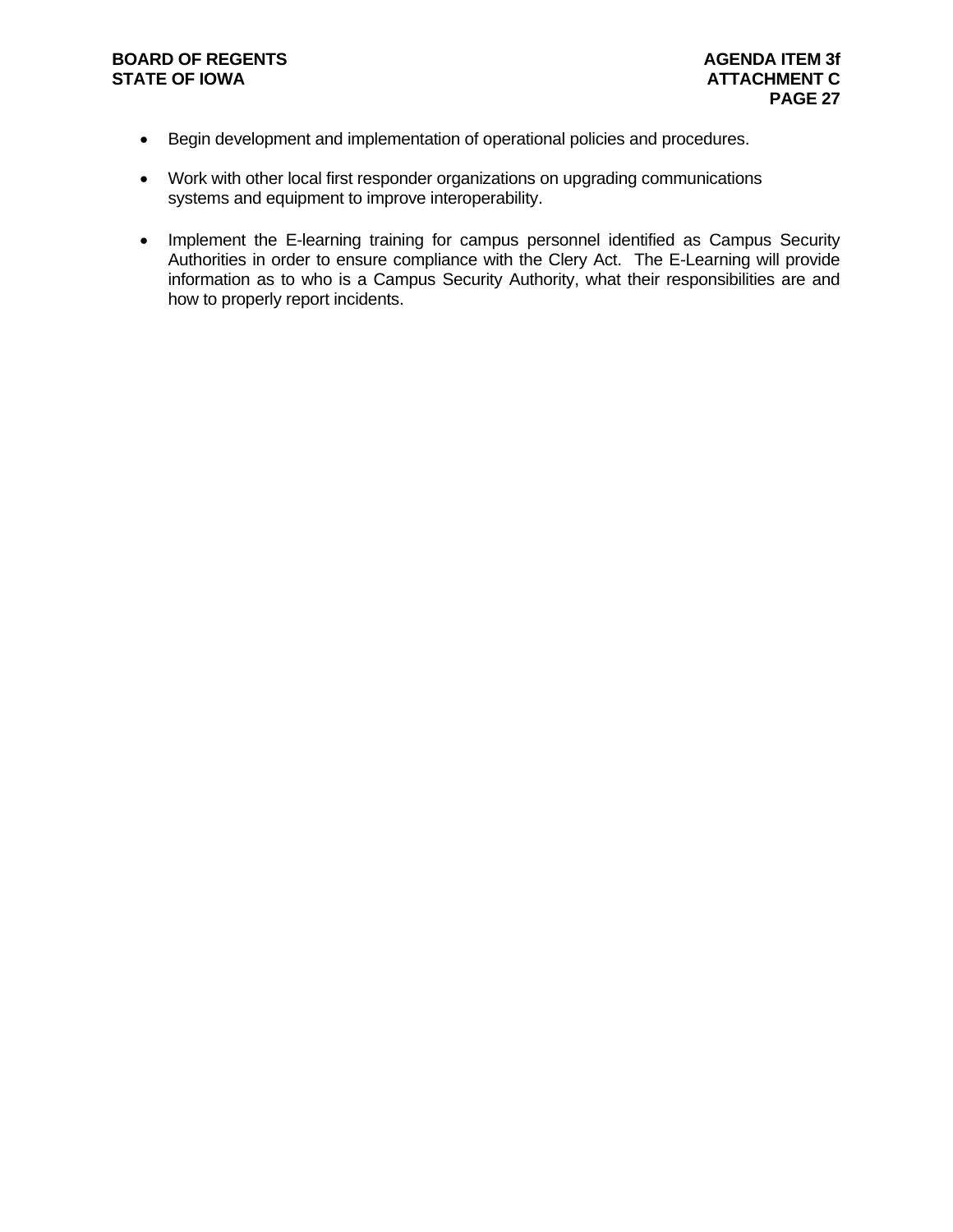#### **BOARD OF REGENTS AGENUS AGENDA ITEM 3f STATE OF IOWA ATTACHMENT C**

- Begin development and implementation of operational policies and procedures.
- Work with other local first responder organizations on upgrading communications systems and equipment to improve interoperability.
- Implement the E-learning training for campus personnel identified as Campus Security Authorities in order to ensure compliance with the Clery Act. The E-Learning will provide information as to who is a Campus Security Authority, what their responsibilities are and how to properly report incidents.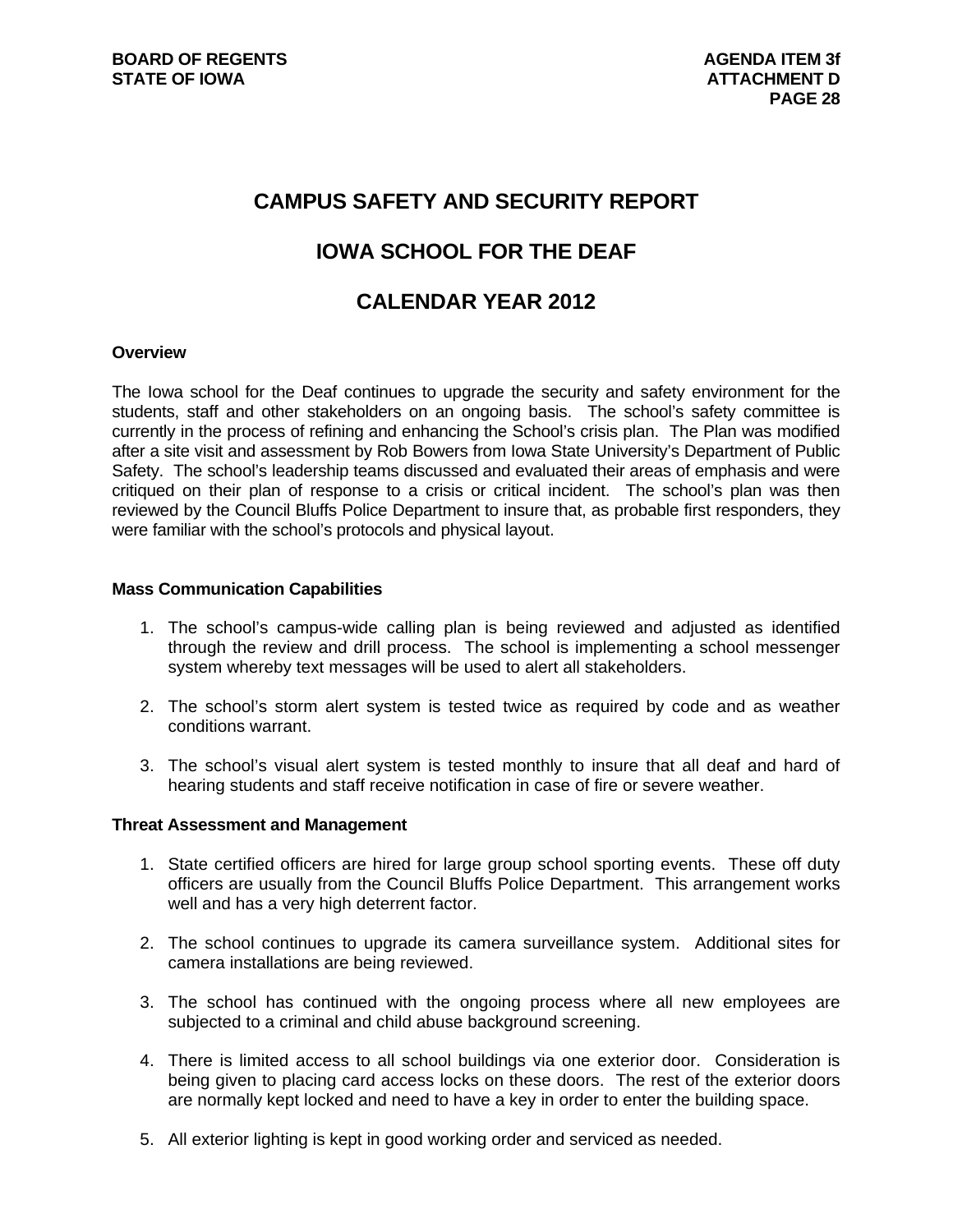## **CAMPUS SAFETY AND SECURITY REPORT**

## **IOWA SCHOOL FOR THE DEAF**

## **CALENDAR YEAR 2012**

#### **Overview**

The Iowa school for the Deaf continues to upgrade the security and safety environment for the students, staff and other stakeholders on an ongoing basis. The school's safety committee is currently in the process of refining and enhancing the School's crisis plan. The Plan was modified after a site visit and assessment by Rob Bowers from Iowa State University's Department of Public Safety. The school's leadership teams discussed and evaluated their areas of emphasis and were critiqued on their plan of response to a crisis or critical incident. The school's plan was then reviewed by the Council Bluffs Police Department to insure that, as probable first responders, they were familiar with the school's protocols and physical layout.

#### **Mass Communication Capabilities**

- 1. The school's campus-wide calling plan is being reviewed and adjusted as identified through the review and drill process. The school is implementing a school messenger system whereby text messages will be used to alert all stakeholders.
- 2. The school's storm alert system is tested twice as required by code and as weather conditions warrant.
- 3. The school's visual alert system is tested monthly to insure that all deaf and hard of hearing students and staff receive notification in case of fire or severe weather.

#### **Threat Assessment and Management**

- 1. State certified officers are hired for large group school sporting events. These off duty officers are usually from the Council Bluffs Police Department. This arrangement works well and has a very high deterrent factor.
- 2. The school continues to upgrade its camera surveillance system. Additional sites for camera installations are being reviewed.
- 3. The school has continued with the ongoing process where all new employees are subjected to a criminal and child abuse background screening.
- 4. There is limited access to all school buildings via one exterior door. Consideration is being given to placing card access locks on these doors. The rest of the exterior doors are normally kept locked and need to have a key in order to enter the building space.
- 5. All exterior lighting is kept in good working order and serviced as needed.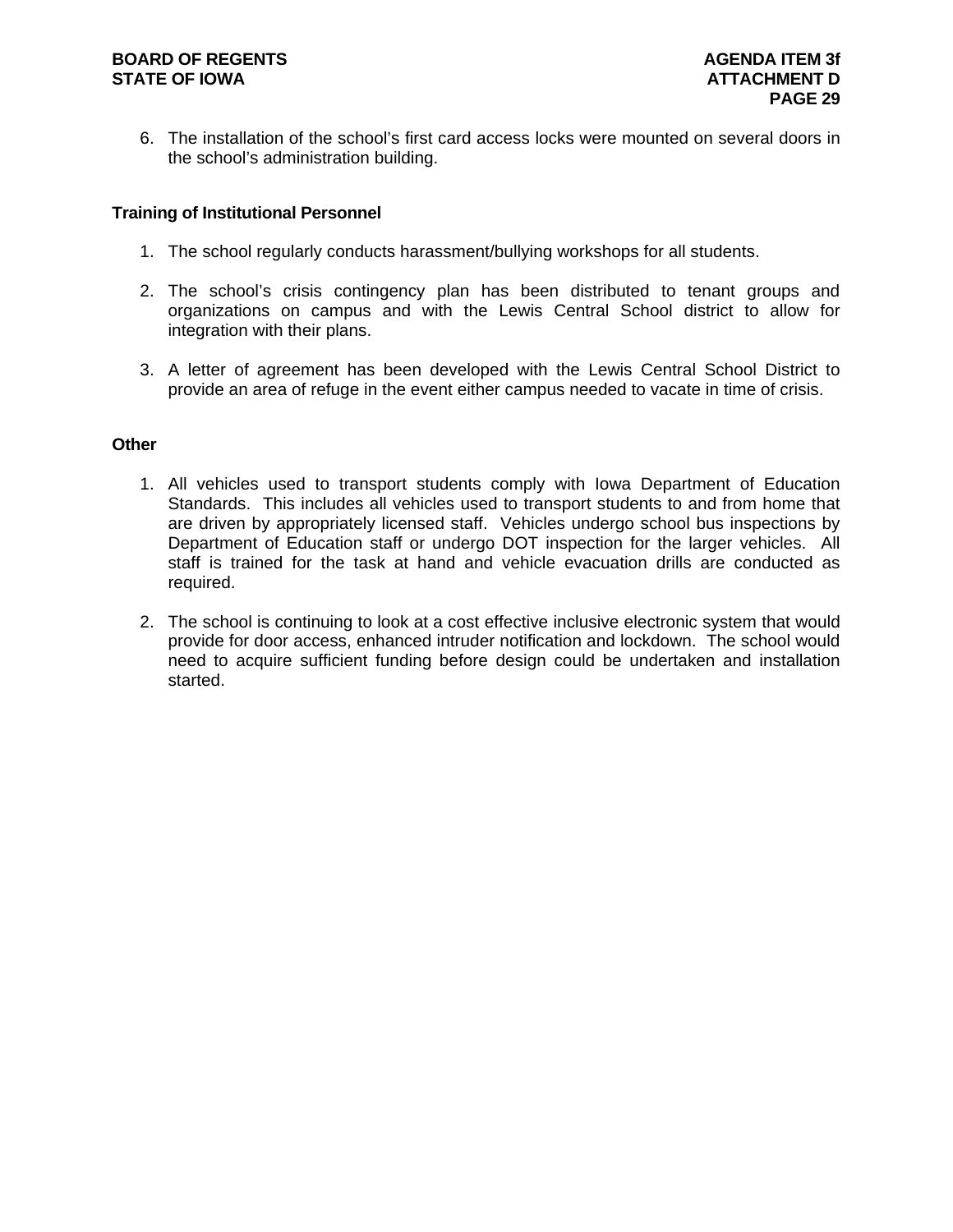6. The installation of the school's first card access locks were mounted on several doors in the school's administration building.

#### **Training of Institutional Personnel**

- 1. The school regularly conducts harassment/bullying workshops for all students.
- 2. The school's crisis contingency plan has been distributed to tenant groups and organizations on campus and with the Lewis Central School district to allow for integration with their plans.
- 3. A letter of agreement has been developed with the Lewis Central School District to provide an area of refuge in the event either campus needed to vacate in time of crisis.

#### **Other**

- 1. All vehicles used to transport students comply with Iowa Department of Education Standards. This includes all vehicles used to transport students to and from home that are driven by appropriately licensed staff. Vehicles undergo school bus inspections by Department of Education staff or undergo DOT inspection for the larger vehicles. All staff is trained for the task at hand and vehicle evacuation drills are conducted as required.
- 2. The school is continuing to look at a cost effective inclusive electronic system that would provide for door access, enhanced intruder notification and lockdown. The school would need to acquire sufficient funding before design could be undertaken and installation started.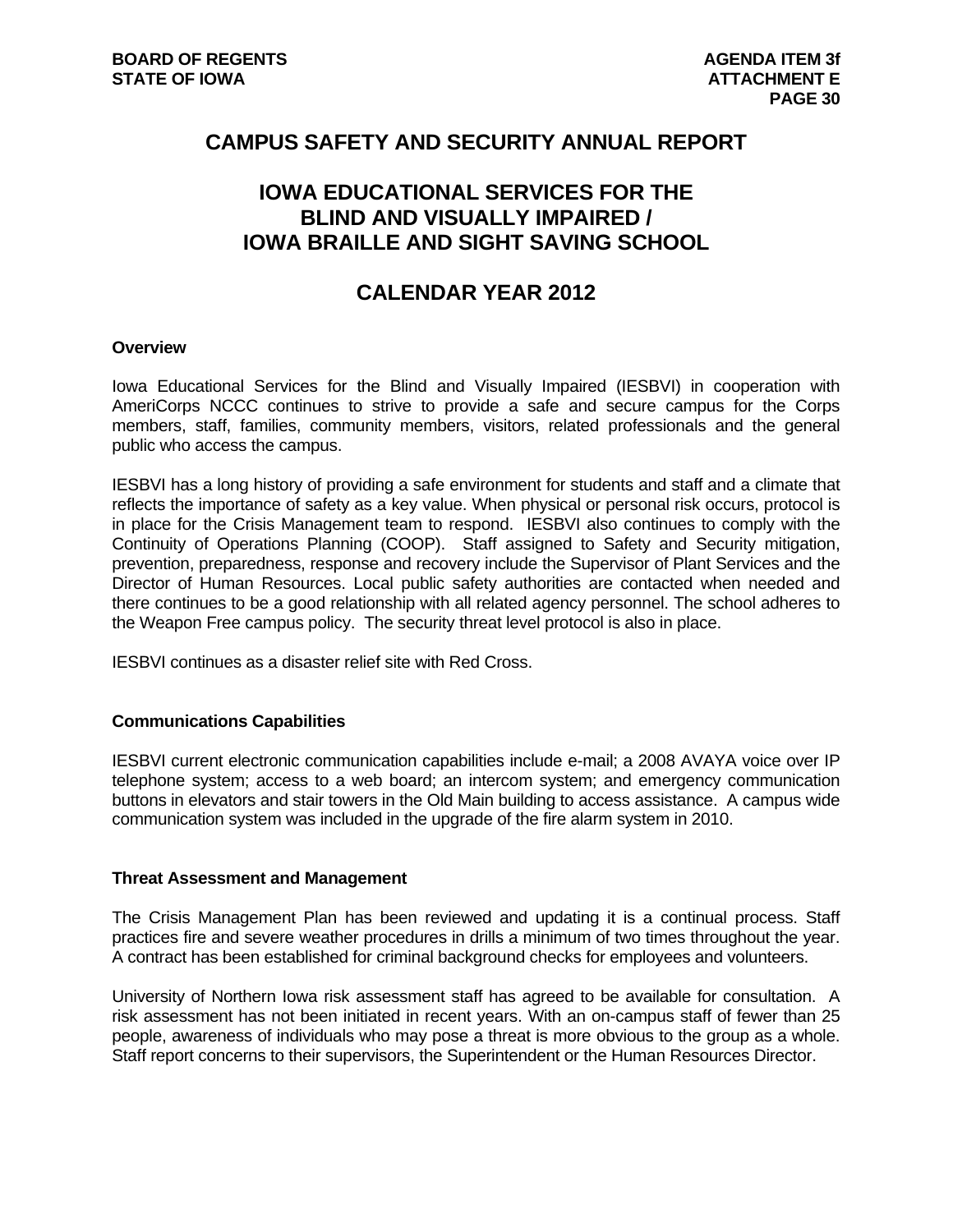## **CAMPUS SAFETY AND SECURITY ANNUAL REPORT**

## **IOWA EDUCATIONAL SERVICES FOR THE BLIND AND VISUALLY IMPAIRED / IOWA BRAILLE AND SIGHT SAVING SCHOOL**

## **CALENDAR YEAR 2012**

#### **Overview**

Iowa Educational Services for the Blind and Visually Impaired (IESBVI) in cooperation with AmeriCorps NCCC continues to strive to provide a safe and secure campus for the Corps members, staff, families, community members, visitors, related professionals and the general public who access the campus.

IESBVI has a long history of providing a safe environment for students and staff and a climate that reflects the importance of safety as a key value. When physical or personal risk occurs, protocol is in place for the Crisis Management team to respond. IESBVI also continues to comply with the Continuity of Operations Planning (COOP). Staff assigned to Safety and Security mitigation, prevention, preparedness, response and recovery include the Supervisor of Plant Services and the Director of Human Resources. Local public safety authorities are contacted when needed and there continues to be a good relationship with all related agency personnel. The school adheres to the Weapon Free campus policy. The security threat level protocol is also in place.

IESBVI continues as a disaster relief site with Red Cross.

#### **Communications Capabilities**

IESBVI current electronic communication capabilities include e-mail; a 2008 AVAYA voice over IP telephone system; access to a web board; an intercom system; and emergency communication buttons in elevators and stair towers in the Old Main building to access assistance. A campus wide communication system was included in the upgrade of the fire alarm system in 2010.

#### **Threat Assessment and Management**

The Crisis Management Plan has been reviewed and updating it is a continual process. Staff practices fire and severe weather procedures in drills a minimum of two times throughout the year. A contract has been established for criminal background checks for employees and volunteers.

University of Northern Iowa risk assessment staff has agreed to be available for consultation. A risk assessment has not been initiated in recent years. With an on-campus staff of fewer than 25 people, awareness of individuals who may pose a threat is more obvious to the group as a whole. Staff report concerns to their supervisors, the Superintendent or the Human Resources Director.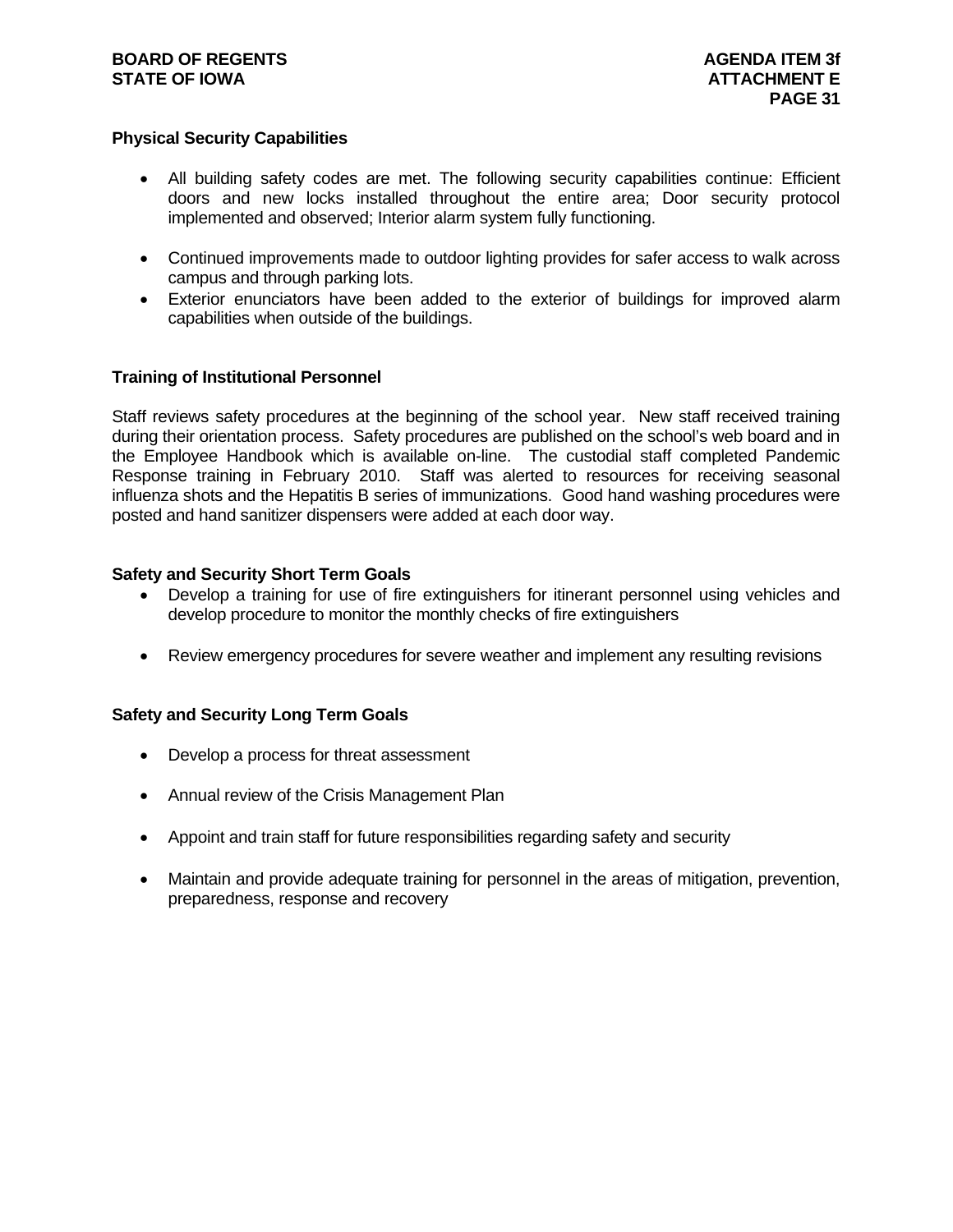#### **BOARD OF REGENTS AGENTS** AGENDA ITEM 3f **STATE OF IOWA** AND **ATTACHMENT E**

#### **Physical Security Capabilities**

- All building safety codes are met. The following security capabilities continue: Efficient doors and new locks installed throughout the entire area; Door security protocol implemented and observed; Interior alarm system fully functioning.
- Continued improvements made to outdoor lighting provides for safer access to walk across campus and through parking lots.
- Exterior enunciators have been added to the exterior of buildings for improved alarm capabilities when outside of the buildings.

#### **Training of Institutional Personnel**

Staff reviews safety procedures at the beginning of the school year. New staff received training during their orientation process. Safety procedures are published on the school's web board and in the Employee Handbook which is available on-line. The custodial staff completed Pandemic Response training in February 2010. Staff was alerted to resources for receiving seasonal influenza shots and the Hepatitis B series of immunizations. Good hand washing procedures were posted and hand sanitizer dispensers were added at each door way.

#### **Safety and Security Short Term Goals**

- Develop a training for use of fire extinguishers for itinerant personnel using vehicles and develop procedure to monitor the monthly checks of fire extinguishers
- Review emergency procedures for severe weather and implement any resulting revisions

#### **Safety and Security Long Term Goals**

- Develop a process for threat assessment
- Annual review of the Crisis Management Plan
- Appoint and train staff for future responsibilities regarding safety and security
- Maintain and provide adequate training for personnel in the areas of mitigation, prevention, preparedness, response and recovery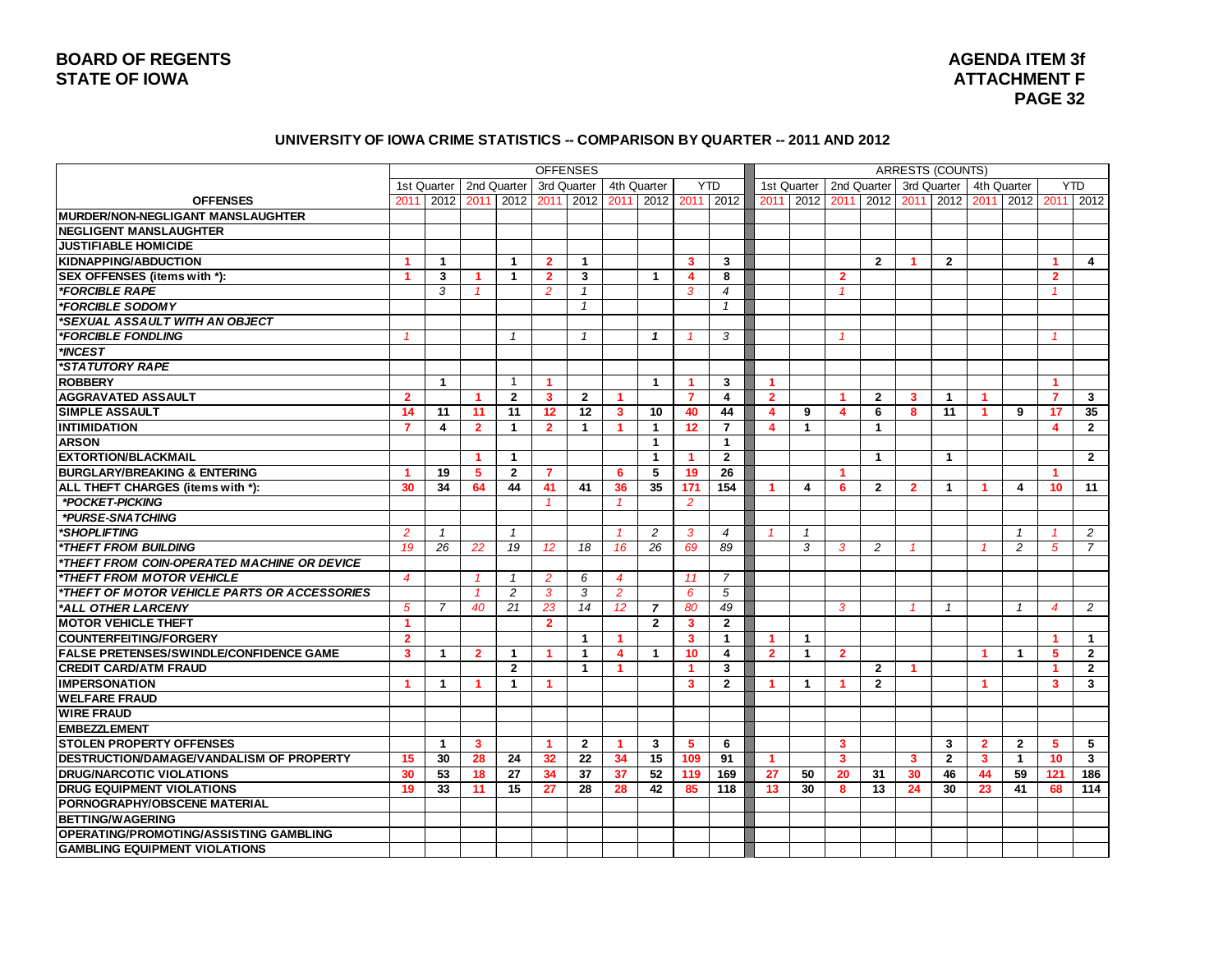### **BOARD OF REGENTS STATE OF IOWA** ATTACHMENT F AND INTERFERIT AT A SERIES AND LODGED ATTACHMENT F AND INTERFERIT F AND INTERFERIT F

# **AGENDA ITEM 3f PAGE 32**

#### **UNIVERSITY OF IOWA CRIME STATISTICS -- COMPARISON BY QUARTER -- 2011 AND 2012**

|                                                |                      |                           |                         |                |                | <b>OFFENSES</b> |                      |                         |                         |                         |                |              |                |                      | <b>ARRESTS (COUNTS)</b> |                         |                |                |                         |                |
|------------------------------------------------|----------------------|---------------------------|-------------------------|----------------|----------------|-----------------|----------------------|-------------------------|-------------------------|-------------------------|----------------|--------------|----------------|----------------------|-------------------------|-------------------------|----------------|----------------|-------------------------|----------------|
|                                                |                      | 1st Quarter   2nd Quarter |                         |                |                | 3rd Quarter     |                      | 4th Quarter             |                         | <b>YTD</b>              |                | 1st Quarter  |                | 2nd Quarter          |                         | 3rd Quarter             |                | 4th Quarter    |                         | <b>YTD</b>     |
| <b>OFFENSES</b>                                | 2011                 | 2012                      |                         | 2011 2012      | 2011           | 2012            | 2011                 |                         |                         | 2012 2011 2012          | 2011           | 2012         | 2011           | 2012                 | 2011                    | 2012                    | 2011           | 2012           | 2011                    | 2012           |
| MURDER/NON-NEGLIGANT MANSLAUGHTER              |                      |                           |                         |                |                |                 |                      |                         |                         |                         |                |              |                |                      |                         |                         |                |                |                         |                |
| <b>NEGLIGENT MANSLAUGHTER</b>                  |                      |                           |                         |                |                |                 |                      |                         |                         |                         |                |              |                |                      |                         |                         |                |                |                         |                |
| <b>JUSTIFIABLE HOMICIDE</b>                    |                      |                           |                         |                |                |                 |                      |                         |                         |                         |                |              |                |                      |                         |                         |                |                |                         |                |
| <b>KIDNAPPING/ABDUCTION</b>                    | $\blacktriangleleft$ | $\mathbf{1}$              |                         | $\mathbf{1}$   | $\overline{2}$ | $\mathbf{1}$    |                      |                         | 3                       | 3                       |                |              |                | $\overline{2}$       |                         | $\overline{2}$          |                |                | 1                       | $\overline{4}$ |
| SEX OFFENSES (items with *):                   | $\blacktriangleleft$ | 3                         | $\blacktriangleleft$    | 1              | $\overline{2}$ | 3               |                      | $\mathbf 1$             | 4                       | 8                       |                |              | $\mathbf{2}$   |                      |                         |                         |                |                | $\mathbf{2}$            |                |
| <i><b>*FORCIBLE RAPE</b></i>                   |                      | 3                         | $\overline{1}$          |                | $\overline{2}$ | $\mathbf{1}$    |                      |                         | 3                       | $\overline{4}$          |                |              |                |                      |                         |                         |                |                |                         |                |
| *FORCIBLE SODOMY                               |                      |                           |                         |                |                | $\mathbf{1}$    |                      |                         |                         | $\mathbf{1}$            |                |              |                |                      |                         |                         |                |                |                         |                |
| <i><b>*SEXUAL ASSAULT WITH AN OBJECT</b></i>   |                      |                           |                         |                |                |                 |                      |                         |                         |                         |                |              |                |                      |                         |                         |                |                |                         |                |
| *FORCIBLE FONDLING                             | $\mathcal I$         |                           |                         | $\mathbf{1}$   |                | $\mathbf{1}$    |                      | $\mathbf{1}$            | $\overline{1}$          | 3                       |                |              |                |                      |                         |                         |                |                | $\overline{\mathbf{1}}$ |                |
| *INCEST                                        |                      |                           |                         |                |                |                 |                      |                         |                         |                         |                |              |                |                      |                         |                         |                |                |                         |                |
| <b>*STATUTORY RAPE</b>                         |                      |                           |                         |                |                |                 |                      |                         |                         |                         |                |              |                |                      |                         |                         |                |                |                         |                |
| <b>ROBBERY</b>                                 |                      | $\overline{1}$            |                         | $\overline{1}$ | 1.             |                 |                      | $\mathbf{1}$            | $\blacktriangleleft$    | 3                       | 1              |              |                |                      |                         |                         |                |                | $\blacktriangleleft$    |                |
| <b>AGGRAVATED ASSAULT</b>                      | $\overline{2}$       |                           | 1                       | $\mathbf{2}$   | 3              | $\mathbf{2}$    | $\blacktriangleleft$ |                         | $\overline{7}$          | 4                       | $\mathbf{2}$   |              | 1              | $\mathbf{2}$         | 3                       | $\mathbf 1$             | -1             |                | 7                       | 3              |
| <b>SIMPLE ASSAULT</b>                          | 14                   | 11                        | 11                      | 11             | 12             | 12              | 3                    | 10                      | 40                      | 44                      | 4              | 9            | 4              | 6                    | 8                       | 11                      | 1              | 9              | 17                      | 35             |
| <b>INTIMIDATION</b>                            | $\overline{7}$       | 4                         | $\overline{2}$          | $\mathbf{1}$   | $\overline{2}$ | $\mathbf{1}$    | 1                    | $\mathbf{1}$            | 12                      | $\overline{7}$          | 4              | $\mathbf{1}$ |                | 1                    |                         |                         |                |                | 4                       | $\overline{2}$ |
| <b>ARSON</b>                                   |                      |                           |                         |                |                |                 |                      | $\mathbf 1$             |                         | $\mathbf{1}$            |                |              |                |                      |                         |                         |                |                |                         |                |
| <b>EXTORTION/BLACKMAIL</b>                     |                      |                           | 1                       | $\mathbf{1}$   |                |                 |                      | $\mathbf{1}$            | $\blacktriangleleft$    | $\mathbf{2}$            |                |              |                | $\blacktriangleleft$ |                         | $\mathbf{1}$            |                |                |                         | $\overline{2}$ |
| <b>BURGLARY/BREAKING &amp; ENTERING</b>        | -1                   | 19                        | 5                       | $\mathbf{2}$   | $\overline{7}$ |                 | 6                    | 5                       | 19                      | 26                      |                |              |                |                      |                         |                         |                |                |                         |                |
| ALL THEFT CHARGES (items with *):              | 30                   | 34                        | 64                      | 44             | 41             | 41              | 36                   | 35                      | 171                     | 154                     | -1             | 4            | 6              | $\mathbf{2}$         | $\overline{2}$          | $\mathbf 1$             |                | 4              | 10 <sup>1</sup>         | 11             |
| *POCKET-PICKING                                |                      |                           |                         |                | $\mathcal I$   |                 | $\mathcal I$         |                         | $\overline{2}$          |                         |                |              |                |                      |                         |                         |                |                |                         |                |
| *PURSE-SNATCHING                               |                      |                           |                         |                |                |                 |                      |                         |                         |                         |                |              |                |                      |                         |                         |                |                |                         |                |
| *SHOPLIFTING                                   | $\overline{2}$       | $\mathbf{1}$              |                         | $\mathbf{1}$   |                |                 | $\mathbf{1}$         | $\overline{c}$          | 3                       | $\overline{4}$          |                | $\mathbf{1}$ |                |                      |                         |                         |                | $\overline{1}$ |                         | 2              |
| *THEFT FROM BUILDING                           | 19                   | 26                        | 22                      | 19             | 12             | 18              | 16                   | 26                      | 69                      | 89                      |                | 3            | 3              | 2                    |                         |                         |                | $\overline{c}$ | 5                       | 7              |
| *THEFT FROM COIN-OPERATED MACHINE OR DEVICE    |                      |                           |                         |                |                |                 |                      |                         |                         |                         |                |              |                |                      |                         |                         |                |                |                         |                |
| *THEFT FROM MOTOR VEHICLE                      | $\overline{4}$       |                           | $\mathcal I$            | $\mathbf{1}$   | $\overline{2}$ | 6               | $\overline{4}$       |                         | 11                      | 7                       |                |              |                |                      |                         |                         |                |                |                         |                |
| *THEFT OF MOTOR VEHICLE PARTS OR ACCESSORIES   |                      |                           | $\mathcal{I}$           | 2              | 3              | 3               | $\overline{2}$       |                         | 6                       | 5                       |                |              |                |                      |                         |                         |                |                |                         |                |
| *ALL OTHER LARCENY                             | 5                    | $\overline{7}$            | 40                      | 21             | 23             | 14              | 12                   | $\overline{7}$          | 80                      | 49                      |                |              | 3              |                      |                         | $\overline{\mathbf{1}}$ |                | $\overline{1}$ | $\overline{4}$          | 2              |
| <b>MOTOR VEHICLE THEFT</b>                     | $\blacktriangleleft$ |                           |                         |                | $\overline{2}$ |                 |                      | $\overline{2}$          | $\overline{\mathbf{3}}$ | $\mathbf{2}$            |                |              |                |                      |                         |                         |                |                |                         |                |
| <b>COUNTERFEITING/FORGERY</b>                  | $\mathbf{2}$         |                           |                         |                |                | 1               | 1                    |                         | 3                       | $\mathbf{1}$            | -1.            | $\mathbf 1$  |                |                      |                         |                         |                |                | 1                       | $\overline{1}$ |
| <b>FALSE PRETENSES/SWINDLE/CONFIDENCE GAME</b> | 3                    | $\mathbf{1}$              | $\overline{2}$          | $\mathbf{1}$   | 1              | $\mathbf{1}$    | 4                    | $\blacktriangleleft$    | 10                      | 4                       | $\overline{2}$ | $\mathbf{1}$ | $\overline{2}$ |                      |                         |                         |                | $\mathbf{1}$   | 5                       | $\overline{2}$ |
| <b>CREDIT CARD/ATM FRAUD</b>                   |                      |                           |                         | $\mathbf{2}$   |                | $\mathbf{1}$    | $\blacktriangleleft$ |                         | 1                       | $\overline{\mathbf{3}}$ |                |              |                | $\overline{2}$       | -1                      |                         |                |                | -1                      | $\overline{2}$ |
| <b>IMPERSONATION</b>                           | $\blacktriangleleft$ | $\mathbf{1}$              | 1                       | 1              | 1              |                 |                      |                         | $\overline{\mathbf{3}}$ | $\overline{2}$          | -1             | $\mathbf{1}$ | -1             | $\mathbf{2}$         |                         |                         | -1             |                | $\overline{\mathbf{3}}$ | 3              |
| <b>WELFARE FRAUD</b>                           |                      |                           |                         |                |                |                 |                      |                         |                         |                         |                |              |                |                      |                         |                         |                |                |                         |                |
| <b>WIRE FRAUD</b>                              |                      |                           |                         |                |                |                 |                      |                         |                         |                         |                |              |                |                      |                         |                         |                |                |                         |                |
| <b>EMBEZZLEMENT</b>                            |                      |                           |                         |                |                |                 |                      |                         |                         |                         |                |              |                |                      |                         |                         |                |                |                         |                |
| <b>STOLEN PROPERTY OFFENSES</b>                |                      | $\mathbf{1}$              | $\overline{\mathbf{3}}$ |                | 1.             | $\overline{2}$  | 1.                   | $\overline{\mathbf{3}}$ | 5                       | 6                       |                |              | 3              |                      |                         | 3                       | $\overline{2}$ | $\overline{2}$ | 5                       | -5             |
| DESTRUCTION/DAMAGE/VANDALISM OF PROPERTY       | 15                   | 30                        | 28                      | 24             | 32             | 22              | 34                   | 15                      | 109                     | 91                      | -1.            |              | $\mathbf{3}$   |                      | 3                       | $\overline{2}$          | 3              | $\mathbf{1}$   | 10                      | $\mathbf{3}$   |
| <b>DRUG/NARCOTIC VIOLATIONS</b>                | 30                   | $\overline{53}$           | 18                      | 27             | 34             | 37              | 37                   | 52                      | 119                     | 169                     | 27             | 50           | 20             | 31                   | 30                      | 46                      | 44             | 59             | 121                     | 186            |
| <b>DRUG EQUIPMENT VIOLATIONS</b>               | 19                   | 33                        | 11                      | 15             | 27             | 28              | 28                   | 42                      | 85                      | 118                     | 13             | 30           | 8              | 13                   | 24                      | 30                      | 23             | 41             | 68                      | 114            |
| PORNOGRAPHY/OBSCENE MATERIAL                   |                      |                           |                         |                |                |                 |                      |                         |                         |                         |                |              |                |                      |                         |                         |                |                |                         |                |
| <b>BETTING/WAGERING</b>                        |                      |                           |                         |                |                |                 |                      |                         |                         |                         |                |              |                |                      |                         |                         |                |                |                         |                |
| OPERATING/PROMOTING/ASSISTING GAMBLING         |                      |                           |                         |                |                |                 |                      |                         |                         |                         |                |              |                |                      |                         |                         |                |                |                         |                |
| <b>GAMBLING EQUIPMENT VIOLATIONS</b>           |                      |                           |                         |                |                |                 |                      |                         |                         |                         |                |              |                |                      |                         |                         |                |                |                         |                |
|                                                |                      |                           |                         |                |                |                 |                      |                         |                         |                         |                |              |                |                      |                         |                         |                |                |                         |                |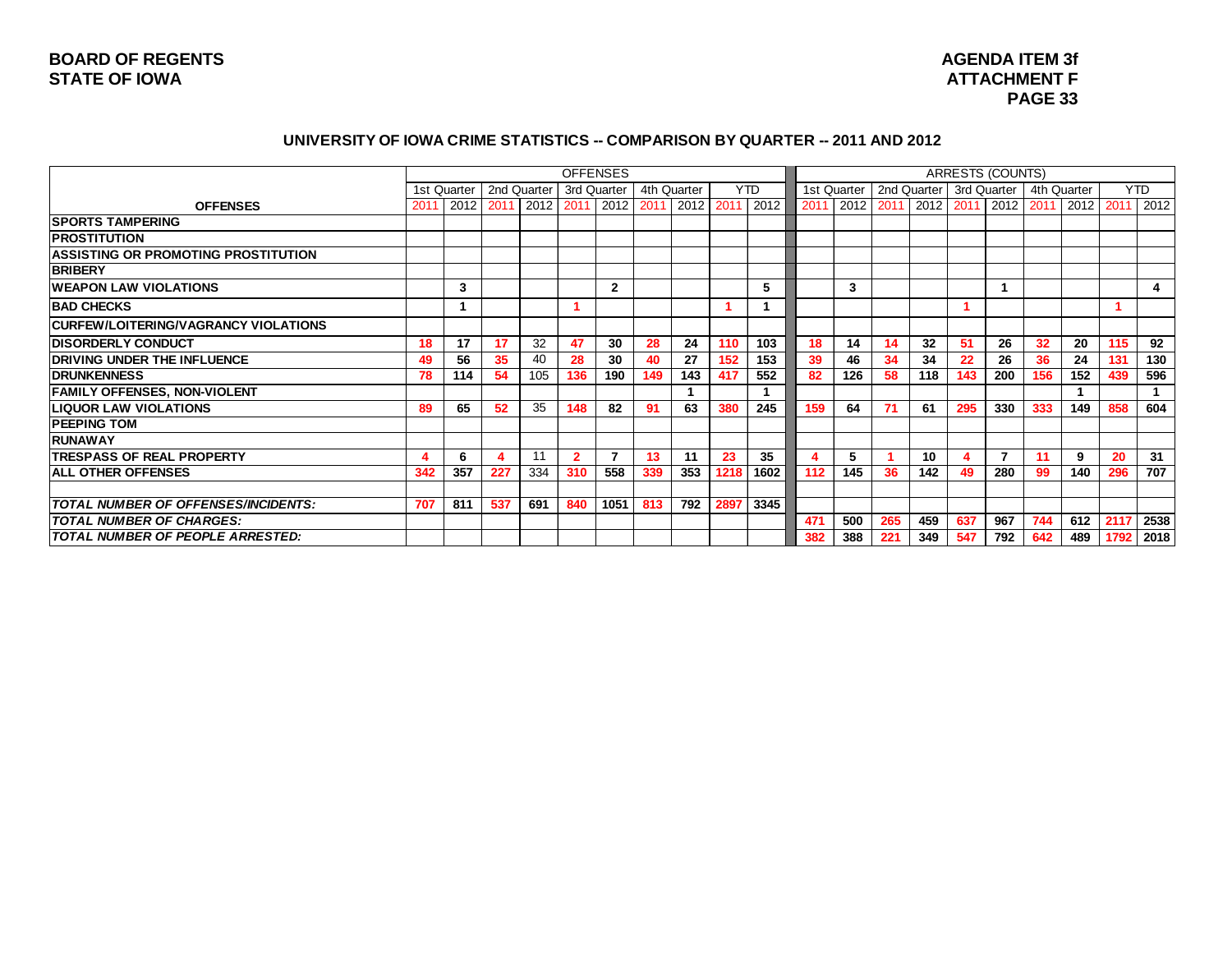# **AGENDA ITEM 3f PAGE 33**

#### **UNIVERSITY OF IOWA CRIME STATISTICS -- COMPARISON BY QUARTER -- 2011 AND 2012**

|                                            |      |             |             |           | <b>OFFENSES</b> |           |             |           |      |      |             |           |             |      |             | <b>ARRESTS (COUNTS)</b> |      |             |      |            |
|--------------------------------------------|------|-------------|-------------|-----------|-----------------|-----------|-------------|-----------|------|------|-------------|-----------|-------------|------|-------------|-------------------------|------|-------------|------|------------|
|                                            |      | 1st Quarter | 2nd Quarter |           | 3rd Quarter     |           | 4th Quarter |           |      | YTD  | 1st Quarter |           | 2nd Quarter |      | 3rd Quarter |                         |      | 4th Quarter |      | <b>YTD</b> |
| <b>OFFENSES</b>                            | 2011 | 2012 2011   |             | 2012 2011 |                 | 2012 2011 |             | 2012 2011 |      | 2012 | 2011        | 2012 2011 |             | 2012 | 2011        | 2012                    | 2011 | 2012        | 2011 | 2012       |
| <b>SPORTS TAMPERING</b>                    |      |             |             |           |                 |           |             |           |      |      |             |           |             |      |             |                         |      |             |      |            |
| <b>IPROSTITUTION</b>                       |      |             |             |           |                 |           |             |           |      |      |             |           |             |      |             |                         |      |             |      |            |
| <b>ASSISTING OR PROMOTING PROSTITUTION</b> |      |             |             |           |                 |           |             |           |      |      |             |           |             |      |             |                         |      |             |      |            |
| <b>BRIBERY</b>                             |      |             |             |           |                 |           |             |           |      |      |             |           |             |      |             |                         |      |             |      |            |
| <b>WEAPON LAW VIOLATIONS</b>               |      | 3           |             |           |                 | 2         |             |           |      | 5    |             | 3         |             |      |             |                         |      |             |      | 4          |
| <b>BAD CHECKS</b>                          |      |             |             |           |                 |           |             |           |      |      |             |           |             |      |             |                         |      |             |      |            |
| CURFEW/LOITERING/VAGRANCY VIOLATIONS       |      |             |             |           |                 |           |             |           |      |      |             |           |             |      |             |                         |      |             |      |            |
| <b>DISORDERLY CONDUCT</b>                  | 18   | 17          | 17          | 32        | 47              | 30        | 28          | 24        | 110  | 103  | 18          | 14        | 14          | 32   | 51          | 26                      | 32   | 20          | 115  | 92         |
| <b>DRIVING UNDER THE INFLUENCE</b>         | 49   | 56          | 35          | 40        | 28              | 30        | 40          | 27        | 152  | 153  | 39          | 46        | 34          | 34   | 22          | 26                      | 36   | 24          | 131  | 130        |
| <b>IDRUNKENNESS</b>                        | 78   | 114         | 54          | 105       | 136             | 190       | 149         | 143       | 417  | 552  | 82          | 126       | 58          | 118  | 143         | 200                     | 156  | 152         | 439  | 596        |
| <b>FAMILY OFFENSES, NON-VIOLENT</b>        |      |             |             |           |                 |           |             |           |      |      |             |           |             |      |             |                         |      |             |      |            |
| <b>LIQUOR LAW VIOLATIONS</b>               | 89   | 65          | 52          | 35        | 148             | 82        | 91          | 63        | 380  | 245  | 159         | 64        |             | 61   | 295         | 330                     | 333  | 149         | 858  | 604        |
| <b>PEEPING TOM</b>                         |      |             |             |           |                 |           |             |           |      |      |             |           |             |      |             |                         |      |             |      |            |
| <b>RUNAWAY</b>                             |      |             |             |           |                 |           |             |           |      |      |             |           |             |      |             |                         |      |             |      |            |
| <b>TRESPASS OF REAL PROPERTY</b>           |      | 6           |             | 11        | 2               |           | 13          | -11       | 23   | 35   |             | 5         |             | 10   |             |                         |      | 9           | 20   | 31         |
| <b>ALL OTHER OFFENSES</b>                  | 342  | 357         | 227         | 334       | 310             | 558       | 339         | 353       | 1218 | 1602 | 112         | 145       | 36          | 142  | 49          | 280                     | 99   | 140         | 296  | 707        |
|                                            |      |             |             |           |                 |           |             |           |      |      |             |           |             |      |             |                         |      |             |      |            |
| TOTAL NUMBER OF OFFENSES/INCIDENTS:        | 707  | 811         | 537         | 691       | 840             | 1051      | 813         | 792       | 2897 | 3345 |             |           |             |      |             |                         |      |             |      |            |
| <b>TOTAL NUMBER OF CHARGES:</b>            |      |             |             |           |                 |           |             |           |      |      | 471         | 500       | 265         | 459  | 637         | 967                     | 744  | 612         | 2117 | 2538       |
| TOTAL NUMBER OF PEOPLE ARRESTED:           |      |             |             |           |                 |           |             |           |      |      | 382         | 388       | 221         | 349  | 547         | 792                     | 642  | 489         | 1792 | 2018       |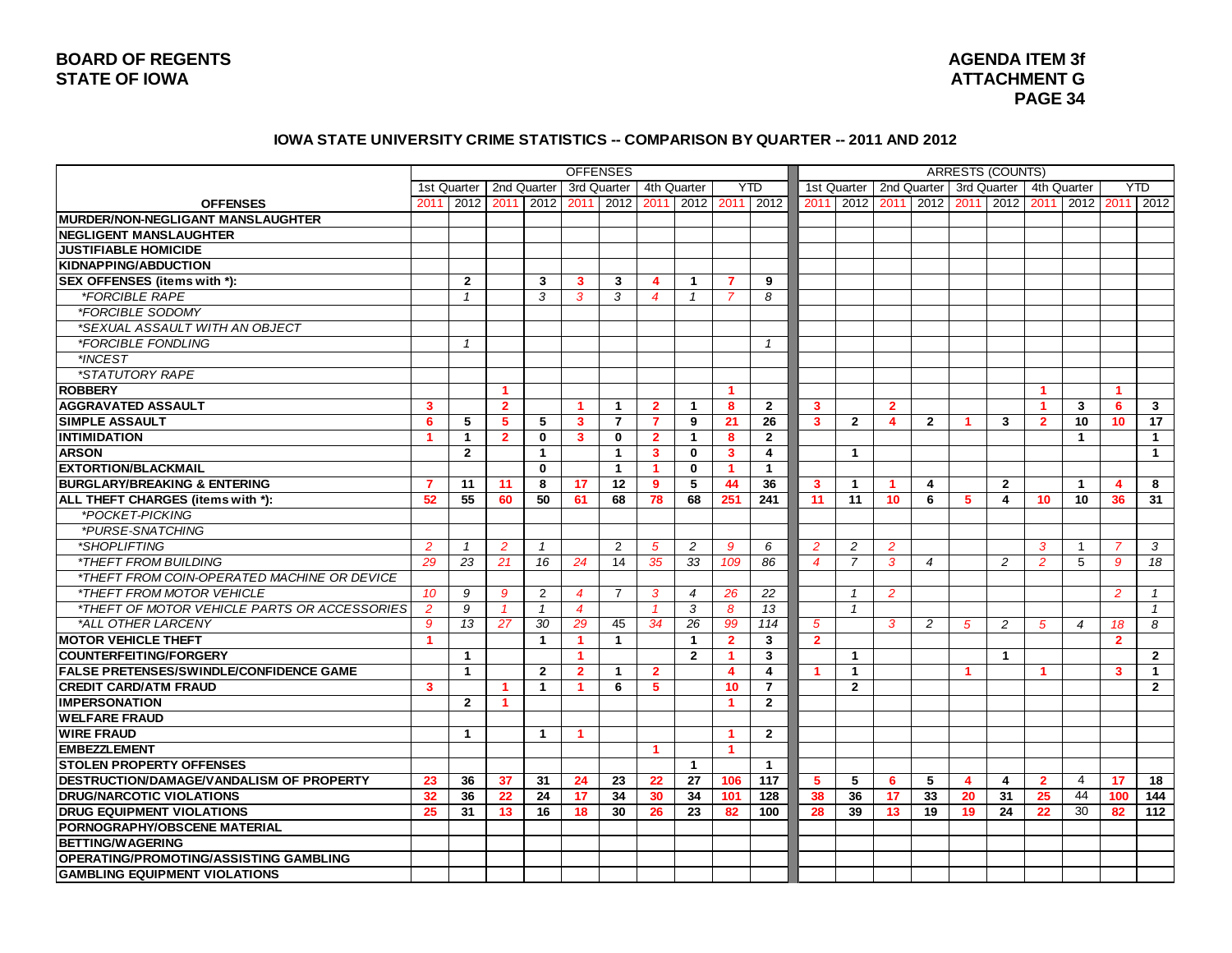#### **IOWA STATE UNIVERSITY CRIME STATISTICS -- COMPARISON BY QUARTER -- 2011 AND 2012**

| <b>YTD</b><br>2nd Quarter 3rd Quarter<br><b>YTD</b><br>1st Quarter   2nd Quarter<br>3rd Quarter<br>4th Quarter<br>1st Quarter<br>4th Quarter<br>2012 2011 2012<br>2012<br>2012<br>2011<br><b>OFFENSES</b><br>2012<br>2011<br>2012<br>2011<br>2012<br>2011<br>2011<br>2012<br>2011<br>2011<br>2012 2011<br>2012<br>2011<br><b>JUSTIFIABLE HOMICIDE</b><br>2<br>3<br>3<br>3<br>7<br>9<br>4<br>1<br><i><b>*FORCIBLE RAPE</b></i><br>3<br>3<br>3<br>8<br>$\mathbf{1}$<br>4<br>$\mathbf{1}$<br>7<br>*FORCIBLE SODOMY<br>*SEXUAL ASSAULT WITH AN OBJECT<br>*FORCIBLE FONDLING<br>$\mathcal I$<br>$\mathcal I$<br>*INCEST<br>*STATUTORY RAPE<br><b>ROBBERY</b><br>1<br>$\blacktriangleleft$<br>1<br>-1<br><b>AGGRAVATED ASSAULT</b><br>$\overline{\mathbf{3}}$<br>$\overline{2}$<br>8<br>$\mathbf{2}$<br>$\overline{2}$<br>$\overline{2}$<br>3<br>6<br>3<br>1<br>$\mathbf{1}$<br>3<br>1<br>1<br>6<br>5<br>$\overline{7}$<br>21<br>26<br>10<br>17<br><b>SIMPLE ASSAULT</b><br>5<br>5<br>3<br>$\overline{7}$<br>9<br>$\mathbf{3}$<br>$\mathbf{2}$<br>$\overline{2}$<br>3<br>$\overline{2}$<br>10 <sup>1</sup><br>4<br>-1<br>$\blacktriangleleft$<br>$\mathbf{1}$<br>$\overline{2}$<br>$\mathbf{0}$<br>3<br>$\bf{0}$<br>$\overline{2}$<br>$\mathbf{1}$<br>8<br>$\overline{2}$<br>$\blacktriangleleft$<br>$\overline{1}$<br>$\mathbf{2}$<br>$\mathbf{1}$<br>$\overline{\mathbf{4}}$<br><b>ARSON</b><br>$\mathbf{1}$<br>$\mathbf{3}$<br>$\mathbf 0$<br>3<br>$\overline{1}$<br>$\overline{1}$<br>$\mathbf{0}$<br>$\mathbf{0}$<br>$\mathbf{1}$<br>$\mathbf{1}$<br>$\blacktriangleleft$<br>$\blacktriangleleft$<br>5<br>$\overline{7}$<br>11<br>8<br>17<br>12<br>9<br>44<br>36<br>$\overline{2}$<br>8<br>11<br>3<br>$\mathbf{1}$<br>4<br>$\mathbf{1}$<br>4<br>52<br>55<br>50<br>68<br>78<br>68<br>251<br>241<br>11<br>11<br>10 <sub>1</sub><br>31<br>60<br>61<br>6<br>5<br>4<br>10<br>10<br>36<br>*POCKET-PICKING<br>*PURSE-SNATCHING<br>*SHOPLIFTING<br>$\overline{2}$<br>$\overline{2}$<br>$\overline{2}$<br>$\overline{2}$<br>2<br>3<br>$\mathbf{1}$<br>5<br>9<br>6<br>$\overline{2}$<br>$\overline{2}$<br>3<br>$\overline{7}$<br>$\mathbf{1}$<br>$\mathbf{1}$<br><i><b>*THEFT FROM BUILDING</b></i><br>29<br>23<br>21<br>16<br>14<br>35<br>33<br>109<br>86<br>$\overline{7}$<br>3<br>5<br>18<br>24<br>$\overline{4}$<br>$\boldsymbol{4}$<br>2<br>$\overline{2}$<br>9<br>*THEFT FROM COIN-OPERATED MACHINE OR DEVICE<br>*THEFT FROM MOTOR VEHICLE<br>9<br>9<br>2<br>$\overline{7}$<br>3<br>26<br>22<br>$\overline{2}$<br>10<br>4<br>$\overline{4}$<br>$\overline{1}$<br>2<br>$\overline{1}$<br>*THEFT OF MOTOR VEHICLE PARTS OR ACCESSORIES<br>$\overline{2}$<br>9<br>3<br>13<br>$\mathbf{1}$<br>$\overline{4}$<br>8<br>$\mathbf{1}$<br>$\mathbf{1}$<br>$\mathcal{I}$<br>$\mathcal I$<br>*ALL OTHER LARCENY<br>$\mathcal{G}$<br>13<br>27<br>30<br>29<br>34<br>26<br>99<br>114<br>8<br>45<br>5<br>2<br>$\sqrt{5}$<br>2<br>18<br>3<br>5<br>$\overline{4}$<br>$\blacktriangleleft$<br>$\mathbf{1}$<br>$\mathbf{1}$<br>$\mathbf{1}$<br>1 |                                                |  |  | <b>OFFENSES</b> |  |                |   |                |  |  | <b>ARRESTS (COUNTS)</b> |  |                |  |
|--------------------------------------------------------------------------------------------------------------------------------------------------------------------------------------------------------------------------------------------------------------------------------------------------------------------------------------------------------------------------------------------------------------------------------------------------------------------------------------------------------------------------------------------------------------------------------------------------------------------------------------------------------------------------------------------------------------------------------------------------------------------------------------------------------------------------------------------------------------------------------------------------------------------------------------------------------------------------------------------------------------------------------------------------------------------------------------------------------------------------------------------------------------------------------------------------------------------------------------------------------------------------------------------------------------------------------------------------------------------------------------------------------------------------------------------------------------------------------------------------------------------------------------------------------------------------------------------------------------------------------------------------------------------------------------------------------------------------------------------------------------------------------------------------------------------------------------------------------------------------------------------------------------------------------------------------------------------------------------------------------------------------------------------------------------------------------------------------------------------------------------------------------------------------------------------------------------------------------------------------------------------------------------------------------------------------------------------------------------------------------------------------------------------------------------------------------------------------------------------------------------------------------------------------------------------------------------------------------------------------------------------------------------------------------------------------------------------------------------------------------------------------------------------------------------------------------------------------------------------------------------------------------------------------------------------------------------------------------------------------------------------------|------------------------------------------------|--|--|-----------------|--|----------------|---|----------------|--|--|-------------------------|--|----------------|--|
|                                                                                                                                                                                                                                                                                                                                                                                                                                                                                                                                                                                                                                                                                                                                                                                                                                                                                                                                                                                                                                                                                                                                                                                                                                                                                                                                                                                                                                                                                                                                                                                                                                                                                                                                                                                                                                                                                                                                                                                                                                                                                                                                                                                                                                                                                                                                                                                                                                                                                                                                                                                                                                                                                                                                                                                                                                                                                                                                                                                                                          |                                                |  |  |                 |  |                |   |                |  |  |                         |  |                |  |
|                                                                                                                                                                                                                                                                                                                                                                                                                                                                                                                                                                                                                                                                                                                                                                                                                                                                                                                                                                                                                                                                                                                                                                                                                                                                                                                                                                                                                                                                                                                                                                                                                                                                                                                                                                                                                                                                                                                                                                                                                                                                                                                                                                                                                                                                                                                                                                                                                                                                                                                                                                                                                                                                                                                                                                                                                                                                                                                                                                                                                          |                                                |  |  |                 |  |                |   |                |  |  |                         |  |                |  |
|                                                                                                                                                                                                                                                                                                                                                                                                                                                                                                                                                                                                                                                                                                                                                                                                                                                                                                                                                                                                                                                                                                                                                                                                                                                                                                                                                                                                                                                                                                                                                                                                                                                                                                                                                                                                                                                                                                                                                                                                                                                                                                                                                                                                                                                                                                                                                                                                                                                                                                                                                                                                                                                                                                                                                                                                                                                                                                                                                                                                                          | MURDER/NON-NEGLIGANT MANSLAUGHTER              |  |  |                 |  |                |   |                |  |  |                         |  |                |  |
|                                                                                                                                                                                                                                                                                                                                                                                                                                                                                                                                                                                                                                                                                                                                                                                                                                                                                                                                                                                                                                                                                                                                                                                                                                                                                                                                                                                                                                                                                                                                                                                                                                                                                                                                                                                                                                                                                                                                                                                                                                                                                                                                                                                                                                                                                                                                                                                                                                                                                                                                                                                                                                                                                                                                                                                                                                                                                                                                                                                                                          | <b>NEGLIGENT MANSLAUGHTER</b>                  |  |  |                 |  |                |   |                |  |  |                         |  |                |  |
|                                                                                                                                                                                                                                                                                                                                                                                                                                                                                                                                                                                                                                                                                                                                                                                                                                                                                                                                                                                                                                                                                                                                                                                                                                                                                                                                                                                                                                                                                                                                                                                                                                                                                                                                                                                                                                                                                                                                                                                                                                                                                                                                                                                                                                                                                                                                                                                                                                                                                                                                                                                                                                                                                                                                                                                                                                                                                                                                                                                                                          |                                                |  |  |                 |  |                |   |                |  |  |                         |  |                |  |
|                                                                                                                                                                                                                                                                                                                                                                                                                                                                                                                                                                                                                                                                                                                                                                                                                                                                                                                                                                                                                                                                                                                                                                                                                                                                                                                                                                                                                                                                                                                                                                                                                                                                                                                                                                                                                                                                                                                                                                                                                                                                                                                                                                                                                                                                                                                                                                                                                                                                                                                                                                                                                                                                                                                                                                                                                                                                                                                                                                                                                          | <b>KIDNAPPING/ABDUCTION</b>                    |  |  |                 |  |                |   |                |  |  |                         |  |                |  |
|                                                                                                                                                                                                                                                                                                                                                                                                                                                                                                                                                                                                                                                                                                                                                                                                                                                                                                                                                                                                                                                                                                                                                                                                                                                                                                                                                                                                                                                                                                                                                                                                                                                                                                                                                                                                                                                                                                                                                                                                                                                                                                                                                                                                                                                                                                                                                                                                                                                                                                                                                                                                                                                                                                                                                                                                                                                                                                                                                                                                                          | SEX OFFENSES (items with *):                   |  |  |                 |  |                |   |                |  |  |                         |  |                |  |
|                                                                                                                                                                                                                                                                                                                                                                                                                                                                                                                                                                                                                                                                                                                                                                                                                                                                                                                                                                                                                                                                                                                                                                                                                                                                                                                                                                                                                                                                                                                                                                                                                                                                                                                                                                                                                                                                                                                                                                                                                                                                                                                                                                                                                                                                                                                                                                                                                                                                                                                                                                                                                                                                                                                                                                                                                                                                                                                                                                                                                          |                                                |  |  |                 |  |                |   |                |  |  |                         |  |                |  |
|                                                                                                                                                                                                                                                                                                                                                                                                                                                                                                                                                                                                                                                                                                                                                                                                                                                                                                                                                                                                                                                                                                                                                                                                                                                                                                                                                                                                                                                                                                                                                                                                                                                                                                                                                                                                                                                                                                                                                                                                                                                                                                                                                                                                                                                                                                                                                                                                                                                                                                                                                                                                                                                                                                                                                                                                                                                                                                                                                                                                                          |                                                |  |  |                 |  |                |   |                |  |  |                         |  |                |  |
|                                                                                                                                                                                                                                                                                                                                                                                                                                                                                                                                                                                                                                                                                                                                                                                                                                                                                                                                                                                                                                                                                                                                                                                                                                                                                                                                                                                                                                                                                                                                                                                                                                                                                                                                                                                                                                                                                                                                                                                                                                                                                                                                                                                                                                                                                                                                                                                                                                                                                                                                                                                                                                                                                                                                                                                                                                                                                                                                                                                                                          |                                                |  |  |                 |  |                |   |                |  |  |                         |  |                |  |
|                                                                                                                                                                                                                                                                                                                                                                                                                                                                                                                                                                                                                                                                                                                                                                                                                                                                                                                                                                                                                                                                                                                                                                                                                                                                                                                                                                                                                                                                                                                                                                                                                                                                                                                                                                                                                                                                                                                                                                                                                                                                                                                                                                                                                                                                                                                                                                                                                                                                                                                                                                                                                                                                                                                                                                                                                                                                                                                                                                                                                          |                                                |  |  |                 |  |                |   |                |  |  |                         |  |                |  |
|                                                                                                                                                                                                                                                                                                                                                                                                                                                                                                                                                                                                                                                                                                                                                                                                                                                                                                                                                                                                                                                                                                                                                                                                                                                                                                                                                                                                                                                                                                                                                                                                                                                                                                                                                                                                                                                                                                                                                                                                                                                                                                                                                                                                                                                                                                                                                                                                                                                                                                                                                                                                                                                                                                                                                                                                                                                                                                                                                                                                                          |                                                |  |  |                 |  |                |   |                |  |  |                         |  |                |  |
|                                                                                                                                                                                                                                                                                                                                                                                                                                                                                                                                                                                                                                                                                                                                                                                                                                                                                                                                                                                                                                                                                                                                                                                                                                                                                                                                                                                                                                                                                                                                                                                                                                                                                                                                                                                                                                                                                                                                                                                                                                                                                                                                                                                                                                                                                                                                                                                                                                                                                                                                                                                                                                                                                                                                                                                                                                                                                                                                                                                                                          |                                                |  |  |                 |  |                |   |                |  |  |                         |  |                |  |
|                                                                                                                                                                                                                                                                                                                                                                                                                                                                                                                                                                                                                                                                                                                                                                                                                                                                                                                                                                                                                                                                                                                                                                                                                                                                                                                                                                                                                                                                                                                                                                                                                                                                                                                                                                                                                                                                                                                                                                                                                                                                                                                                                                                                                                                                                                                                                                                                                                                                                                                                                                                                                                                                                                                                                                                                                                                                                                                                                                                                                          |                                                |  |  |                 |  |                |   |                |  |  |                         |  |                |  |
|                                                                                                                                                                                                                                                                                                                                                                                                                                                                                                                                                                                                                                                                                                                                                                                                                                                                                                                                                                                                                                                                                                                                                                                                                                                                                                                                                                                                                                                                                                                                                                                                                                                                                                                                                                                                                                                                                                                                                                                                                                                                                                                                                                                                                                                                                                                                                                                                                                                                                                                                                                                                                                                                                                                                                                                                                                                                                                                                                                                                                          |                                                |  |  |                 |  |                |   |                |  |  |                         |  |                |  |
|                                                                                                                                                                                                                                                                                                                                                                                                                                                                                                                                                                                                                                                                                                                                                                                                                                                                                                                                                                                                                                                                                                                                                                                                                                                                                                                                                                                                                                                                                                                                                                                                                                                                                                                                                                                                                                                                                                                                                                                                                                                                                                                                                                                                                                                                                                                                                                                                                                                                                                                                                                                                                                                                                                                                                                                                                                                                                                                                                                                                                          |                                                |  |  |                 |  |                |   |                |  |  |                         |  |                |  |
|                                                                                                                                                                                                                                                                                                                                                                                                                                                                                                                                                                                                                                                                                                                                                                                                                                                                                                                                                                                                                                                                                                                                                                                                                                                                                                                                                                                                                                                                                                                                                                                                                                                                                                                                                                                                                                                                                                                                                                                                                                                                                                                                                                                                                                                                                                                                                                                                                                                                                                                                                                                                                                                                                                                                                                                                                                                                                                                                                                                                                          | <b>INTIMIDATION</b>                            |  |  |                 |  |                |   |                |  |  |                         |  |                |  |
|                                                                                                                                                                                                                                                                                                                                                                                                                                                                                                                                                                                                                                                                                                                                                                                                                                                                                                                                                                                                                                                                                                                                                                                                                                                                                                                                                                                                                                                                                                                                                                                                                                                                                                                                                                                                                                                                                                                                                                                                                                                                                                                                                                                                                                                                                                                                                                                                                                                                                                                                                                                                                                                                                                                                                                                                                                                                                                                                                                                                                          |                                                |  |  |                 |  |                |   |                |  |  |                         |  |                |  |
|                                                                                                                                                                                                                                                                                                                                                                                                                                                                                                                                                                                                                                                                                                                                                                                                                                                                                                                                                                                                                                                                                                                                                                                                                                                                                                                                                                                                                                                                                                                                                                                                                                                                                                                                                                                                                                                                                                                                                                                                                                                                                                                                                                                                                                                                                                                                                                                                                                                                                                                                                                                                                                                                                                                                                                                                                                                                                                                                                                                                                          | <b>EXTORTION/BLACKMAIL</b>                     |  |  |                 |  |                |   |                |  |  |                         |  |                |  |
|                                                                                                                                                                                                                                                                                                                                                                                                                                                                                                                                                                                                                                                                                                                                                                                                                                                                                                                                                                                                                                                                                                                                                                                                                                                                                                                                                                                                                                                                                                                                                                                                                                                                                                                                                                                                                                                                                                                                                                                                                                                                                                                                                                                                                                                                                                                                                                                                                                                                                                                                                                                                                                                                                                                                                                                                                                                                                                                                                                                                                          | <b>BURGLARY/BREAKING &amp; ENTERING</b>        |  |  |                 |  |                |   |                |  |  |                         |  |                |  |
|                                                                                                                                                                                                                                                                                                                                                                                                                                                                                                                                                                                                                                                                                                                                                                                                                                                                                                                                                                                                                                                                                                                                                                                                                                                                                                                                                                                                                                                                                                                                                                                                                                                                                                                                                                                                                                                                                                                                                                                                                                                                                                                                                                                                                                                                                                                                                                                                                                                                                                                                                                                                                                                                                                                                                                                                                                                                                                                                                                                                                          | ALL THEFT CHARGES (items with *):              |  |  |                 |  |                |   |                |  |  |                         |  |                |  |
|                                                                                                                                                                                                                                                                                                                                                                                                                                                                                                                                                                                                                                                                                                                                                                                                                                                                                                                                                                                                                                                                                                                                                                                                                                                                                                                                                                                                                                                                                                                                                                                                                                                                                                                                                                                                                                                                                                                                                                                                                                                                                                                                                                                                                                                                                                                                                                                                                                                                                                                                                                                                                                                                                                                                                                                                                                                                                                                                                                                                                          |                                                |  |  |                 |  |                |   |                |  |  |                         |  |                |  |
|                                                                                                                                                                                                                                                                                                                                                                                                                                                                                                                                                                                                                                                                                                                                                                                                                                                                                                                                                                                                                                                                                                                                                                                                                                                                                                                                                                                                                                                                                                                                                                                                                                                                                                                                                                                                                                                                                                                                                                                                                                                                                                                                                                                                                                                                                                                                                                                                                                                                                                                                                                                                                                                                                                                                                                                                                                                                                                                                                                                                                          |                                                |  |  |                 |  |                |   |                |  |  |                         |  |                |  |
|                                                                                                                                                                                                                                                                                                                                                                                                                                                                                                                                                                                                                                                                                                                                                                                                                                                                                                                                                                                                                                                                                                                                                                                                                                                                                                                                                                                                                                                                                                                                                                                                                                                                                                                                                                                                                                                                                                                                                                                                                                                                                                                                                                                                                                                                                                                                                                                                                                                                                                                                                                                                                                                                                                                                                                                                                                                                                                                                                                                                                          |                                                |  |  |                 |  |                |   |                |  |  |                         |  |                |  |
|                                                                                                                                                                                                                                                                                                                                                                                                                                                                                                                                                                                                                                                                                                                                                                                                                                                                                                                                                                                                                                                                                                                                                                                                                                                                                                                                                                                                                                                                                                                                                                                                                                                                                                                                                                                                                                                                                                                                                                                                                                                                                                                                                                                                                                                                                                                                                                                                                                                                                                                                                                                                                                                                                                                                                                                                                                                                                                                                                                                                                          |                                                |  |  |                 |  |                |   |                |  |  |                         |  |                |  |
|                                                                                                                                                                                                                                                                                                                                                                                                                                                                                                                                                                                                                                                                                                                                                                                                                                                                                                                                                                                                                                                                                                                                                                                                                                                                                                                                                                                                                                                                                                                                                                                                                                                                                                                                                                                                                                                                                                                                                                                                                                                                                                                                                                                                                                                                                                                                                                                                                                                                                                                                                                                                                                                                                                                                                                                                                                                                                                                                                                                                                          |                                                |  |  |                 |  |                |   |                |  |  |                         |  |                |  |
|                                                                                                                                                                                                                                                                                                                                                                                                                                                                                                                                                                                                                                                                                                                                                                                                                                                                                                                                                                                                                                                                                                                                                                                                                                                                                                                                                                                                                                                                                                                                                                                                                                                                                                                                                                                                                                                                                                                                                                                                                                                                                                                                                                                                                                                                                                                                                                                                                                                                                                                                                                                                                                                                                                                                                                                                                                                                                                                                                                                                                          |                                                |  |  |                 |  |                |   |                |  |  |                         |  |                |  |
|                                                                                                                                                                                                                                                                                                                                                                                                                                                                                                                                                                                                                                                                                                                                                                                                                                                                                                                                                                                                                                                                                                                                                                                                                                                                                                                                                                                                                                                                                                                                                                                                                                                                                                                                                                                                                                                                                                                                                                                                                                                                                                                                                                                                                                                                                                                                                                                                                                                                                                                                                                                                                                                                                                                                                                                                                                                                                                                                                                                                                          |                                                |  |  |                 |  |                |   |                |  |  |                         |  |                |  |
|                                                                                                                                                                                                                                                                                                                                                                                                                                                                                                                                                                                                                                                                                                                                                                                                                                                                                                                                                                                                                                                                                                                                                                                                                                                                                                                                                                                                                                                                                                                                                                                                                                                                                                                                                                                                                                                                                                                                                                                                                                                                                                                                                                                                                                                                                                                                                                                                                                                                                                                                                                                                                                                                                                                                                                                                                                                                                                                                                                                                                          |                                                |  |  |                 |  |                |   |                |  |  |                         |  |                |  |
|                                                                                                                                                                                                                                                                                                                                                                                                                                                                                                                                                                                                                                                                                                                                                                                                                                                                                                                                                                                                                                                                                                                                                                                                                                                                                                                                                                                                                                                                                                                                                                                                                                                                                                                                                                                                                                                                                                                                                                                                                                                                                                                                                                                                                                                                                                                                                                                                                                                                                                                                                                                                                                                                                                                                                                                                                                                                                                                                                                                                                          | <b>MOTOR VEHICLE THEFT</b>                     |  |  |                 |  | $\overline{2}$ | 3 | $\overline{2}$ |  |  |                         |  | $\overline{2}$ |  |
| 3<br>$\mathbf{2}$<br>$\overline{2}$<br><b>COUNTERFEITING/FORGERY</b><br>1<br>$\mathbf{1}$<br>$\mathbf{1}$<br>$\blacktriangleleft$<br>$\mathbf 1$                                                                                                                                                                                                                                                                                                                                                                                                                                                                                                                                                                                                                                                                                                                                                                                                                                                                                                                                                                                                                                                                                                                                                                                                                                                                                                                                                                                                                                                                                                                                                                                                                                                                                                                                                                                                                                                                                                                                                                                                                                                                                                                                                                                                                                                                                                                                                                                                                                                                                                                                                                                                                                                                                                                                                                                                                                                                         |                                                |  |  |                 |  |                |   |                |  |  |                         |  |                |  |
| $\mathbf{2}$<br>$\overline{\mathbf{4}}$<br>$\mathbf{1}$<br>$\overline{2}$<br>$\mathbf{1}$<br>$\overline{2}$<br>$\overline{\mathbf{4}}$<br>$\mathbf{1}$<br>3<br>$\mathbf{1}$<br>$\blacktriangleleft$<br>$\blacktriangleleft$<br>-1                                                                                                                                                                                                                                                                                                                                                                                                                                                                                                                                                                                                                                                                                                                                                                                                                                                                                                                                                                                                                                                                                                                                                                                                                                                                                                                                                                                                                                                                                                                                                                                                                                                                                                                                                                                                                                                                                                                                                                                                                                                                                                                                                                                                                                                                                                                                                                                                                                                                                                                                                                                                                                                                                                                                                                                        | <b>FALSE PRETENSES/SWINDLE/CONFIDENCE GAME</b> |  |  |                 |  |                |   |                |  |  |                         |  |                |  |
| 6<br>10<br>$\overline{7}$<br>$\mathbf{2}$<br>$\overline{2}$<br>3<br>$\mathbf{1}$<br>1<br>5.<br>$\blacktriangleleft$                                                                                                                                                                                                                                                                                                                                                                                                                                                                                                                                                                                                                                                                                                                                                                                                                                                                                                                                                                                                                                                                                                                                                                                                                                                                                                                                                                                                                                                                                                                                                                                                                                                                                                                                                                                                                                                                                                                                                                                                                                                                                                                                                                                                                                                                                                                                                                                                                                                                                                                                                                                                                                                                                                                                                                                                                                                                                                      | <b>CREDIT CARD/ATM FRAUD</b>                   |  |  |                 |  |                |   |                |  |  |                         |  |                |  |
| $\overline{2}$<br>$\mathbf{2}$<br>$\blacktriangleleft$<br>-1                                                                                                                                                                                                                                                                                                                                                                                                                                                                                                                                                                                                                                                                                                                                                                                                                                                                                                                                                                                                                                                                                                                                                                                                                                                                                                                                                                                                                                                                                                                                                                                                                                                                                                                                                                                                                                                                                                                                                                                                                                                                                                                                                                                                                                                                                                                                                                                                                                                                                                                                                                                                                                                                                                                                                                                                                                                                                                                                                             | <b>IMPERSONATION</b>                           |  |  |                 |  |                |   |                |  |  |                         |  |                |  |
|                                                                                                                                                                                                                                                                                                                                                                                                                                                                                                                                                                                                                                                                                                                                                                                                                                                                                                                                                                                                                                                                                                                                                                                                                                                                                                                                                                                                                                                                                                                                                                                                                                                                                                                                                                                                                                                                                                                                                                                                                                                                                                                                                                                                                                                                                                                                                                                                                                                                                                                                                                                                                                                                                                                                                                                                                                                                                                                                                                                                                          | <b>WELFARE FRAUD</b>                           |  |  |                 |  |                |   |                |  |  |                         |  |                |  |
| $\overline{2}$<br>$\mathbf{1}$<br>$\mathbf{1}$<br>$\blacktriangleleft$<br>-1                                                                                                                                                                                                                                                                                                                                                                                                                                                                                                                                                                                                                                                                                                                                                                                                                                                                                                                                                                                                                                                                                                                                                                                                                                                                                                                                                                                                                                                                                                                                                                                                                                                                                                                                                                                                                                                                                                                                                                                                                                                                                                                                                                                                                                                                                                                                                                                                                                                                                                                                                                                                                                                                                                                                                                                                                                                                                                                                             | <b>WIRE FRAUD</b>                              |  |  |                 |  |                |   |                |  |  |                         |  |                |  |
| -1<br>1                                                                                                                                                                                                                                                                                                                                                                                                                                                                                                                                                                                                                                                                                                                                                                                                                                                                                                                                                                                                                                                                                                                                                                                                                                                                                                                                                                                                                                                                                                                                                                                                                                                                                                                                                                                                                                                                                                                                                                                                                                                                                                                                                                                                                                                                                                                                                                                                                                                                                                                                                                                                                                                                                                                                                                                                                                                                                                                                                                                                                  | <b>EMBEZZLEMENT</b>                            |  |  |                 |  |                |   |                |  |  |                         |  |                |  |
| $\mathbf{1}$<br>$\overline{1}$                                                                                                                                                                                                                                                                                                                                                                                                                                                                                                                                                                                                                                                                                                                                                                                                                                                                                                                                                                                                                                                                                                                                                                                                                                                                                                                                                                                                                                                                                                                                                                                                                                                                                                                                                                                                                                                                                                                                                                                                                                                                                                                                                                                                                                                                                                                                                                                                                                                                                                                                                                                                                                                                                                                                                                                                                                                                                                                                                                                           | <b>STOLEN PROPERTY OFFENSES</b>                |  |  |                 |  |                |   |                |  |  |                         |  |                |  |
| 27<br>117<br>5<br>5<br>$\overline{2}$<br>18<br>23<br>36<br>37<br>31<br>24<br>23<br>22<br>106<br>5<br>6<br>$\overline{4}$<br>17<br>4<br>$\overline{\mathbf{4}}$                                                                                                                                                                                                                                                                                                                                                                                                                                                                                                                                                                                                                                                                                                                                                                                                                                                                                                                                                                                                                                                                                                                                                                                                                                                                                                                                                                                                                                                                                                                                                                                                                                                                                                                                                                                                                                                                                                                                                                                                                                                                                                                                                                                                                                                                                                                                                                                                                                                                                                                                                                                                                                                                                                                                                                                                                                                           | DESTRUCTION/DAMAGE/VANDALISM OF PROPERTY       |  |  |                 |  |                |   |                |  |  |                         |  |                |  |
| 32<br>22<br>17<br>34<br>30<br>34<br>38<br>36<br>17<br>33<br>20<br>25<br>44<br>36<br>24<br>101<br>128<br>31<br>100<br>144                                                                                                                                                                                                                                                                                                                                                                                                                                                                                                                                                                                                                                                                                                                                                                                                                                                                                                                                                                                                                                                                                                                                                                                                                                                                                                                                                                                                                                                                                                                                                                                                                                                                                                                                                                                                                                                                                                                                                                                                                                                                                                                                                                                                                                                                                                                                                                                                                                                                                                                                                                                                                                                                                                                                                                                                                                                                                                 | <b>DRUG/NARCOTIC VIOLATIONS</b>                |  |  |                 |  |                |   |                |  |  |                         |  |                |  |
| 25<br>31<br>13<br>16<br>18<br>30<br>26<br>23<br>82<br>100<br>28<br>39<br>13<br>19<br>19<br>24<br>22<br>30<br>82<br>112                                                                                                                                                                                                                                                                                                                                                                                                                                                                                                                                                                                                                                                                                                                                                                                                                                                                                                                                                                                                                                                                                                                                                                                                                                                                                                                                                                                                                                                                                                                                                                                                                                                                                                                                                                                                                                                                                                                                                                                                                                                                                                                                                                                                                                                                                                                                                                                                                                                                                                                                                                                                                                                                                                                                                                                                                                                                                                   | <b>DRUG EQUIPMENT VIOLATIONS</b>               |  |  |                 |  |                |   |                |  |  |                         |  |                |  |
|                                                                                                                                                                                                                                                                                                                                                                                                                                                                                                                                                                                                                                                                                                                                                                                                                                                                                                                                                                                                                                                                                                                                                                                                                                                                                                                                                                                                                                                                                                                                                                                                                                                                                                                                                                                                                                                                                                                                                                                                                                                                                                                                                                                                                                                                                                                                                                                                                                                                                                                                                                                                                                                                                                                                                                                                                                                                                                                                                                                                                          | PORNOGRAPHY/OBSCENE MATERIAL                   |  |  |                 |  |                |   |                |  |  |                         |  |                |  |
|                                                                                                                                                                                                                                                                                                                                                                                                                                                                                                                                                                                                                                                                                                                                                                                                                                                                                                                                                                                                                                                                                                                                                                                                                                                                                                                                                                                                                                                                                                                                                                                                                                                                                                                                                                                                                                                                                                                                                                                                                                                                                                                                                                                                                                                                                                                                                                                                                                                                                                                                                                                                                                                                                                                                                                                                                                                                                                                                                                                                                          | <b>BETTING/WAGERING</b>                        |  |  |                 |  |                |   |                |  |  |                         |  |                |  |
| OPERATING/PROMOTING/ASSISTING GAMBLING                                                                                                                                                                                                                                                                                                                                                                                                                                                                                                                                                                                                                                                                                                                                                                                                                                                                                                                                                                                                                                                                                                                                                                                                                                                                                                                                                                                                                                                                                                                                                                                                                                                                                                                                                                                                                                                                                                                                                                                                                                                                                                                                                                                                                                                                                                                                                                                                                                                                                                                                                                                                                                                                                                                                                                                                                                                                                                                                                                                   |                                                |  |  |                 |  |                |   |                |  |  |                         |  |                |  |
|                                                                                                                                                                                                                                                                                                                                                                                                                                                                                                                                                                                                                                                                                                                                                                                                                                                                                                                                                                                                                                                                                                                                                                                                                                                                                                                                                                                                                                                                                                                                                                                                                                                                                                                                                                                                                                                                                                                                                                                                                                                                                                                                                                                                                                                                                                                                                                                                                                                                                                                                                                                                                                                                                                                                                                                                                                                                                                                                                                                                                          | <b>GAMBLING EQUIPMENT VIOLATIONS</b>           |  |  |                 |  |                |   |                |  |  |                         |  |                |  |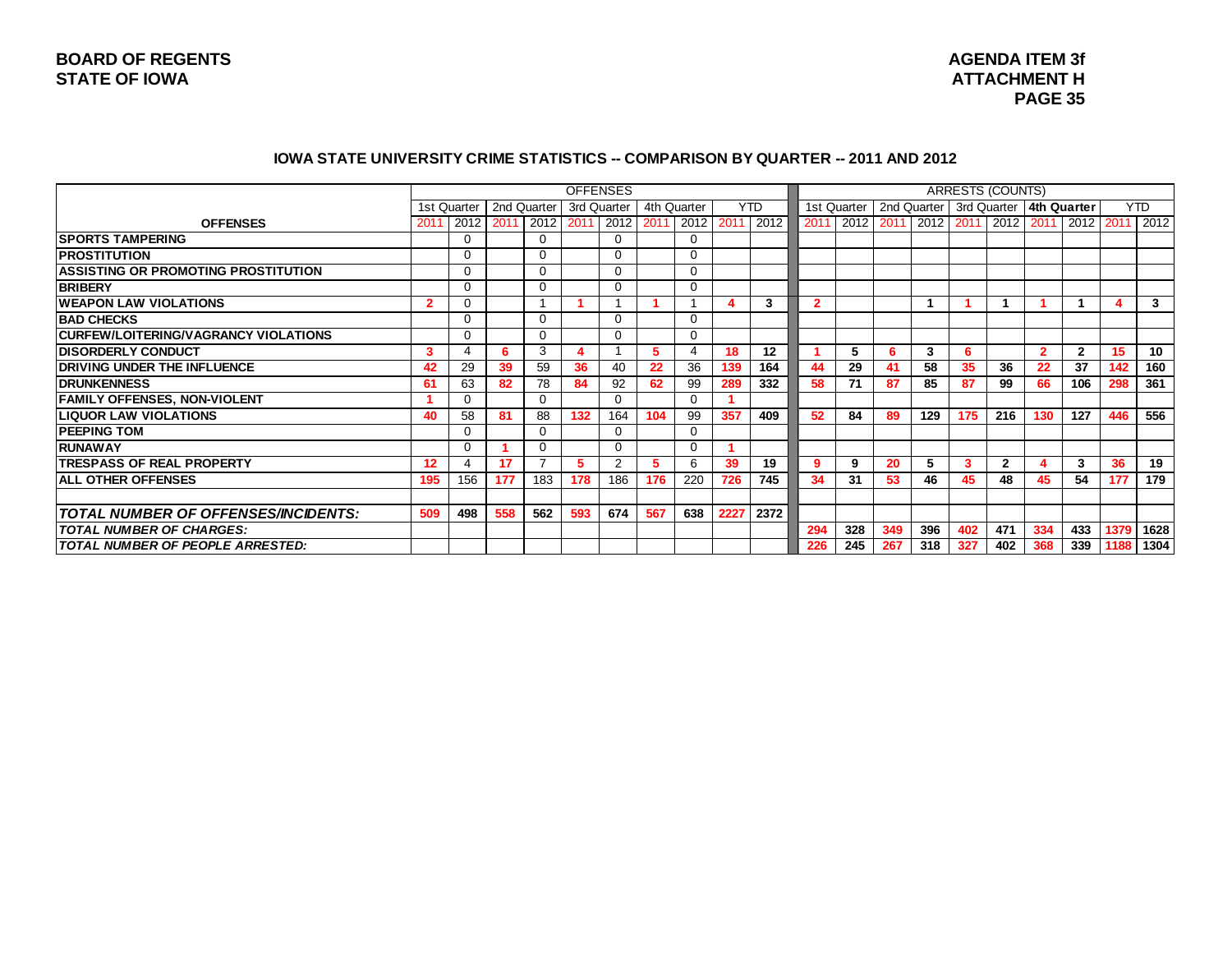#### **IOWA STATE UNIVERSITY CRIME STATISTICS -- COMPARISON BY QUARTER -- 2011 AND 2012**

|                                            |                   |             |             |             |             | <b>OFFENSES</b> |      |             |      |            |      |             |     |             |     | <b>ARRESTS (COUNTS)</b>                               |                |              |      |            |
|--------------------------------------------|-------------------|-------------|-------------|-------------|-------------|-----------------|------|-------------|------|------------|------|-------------|-----|-------------|-----|-------------------------------------------------------|----------------|--------------|------|------------|
|                                            |                   | 1st Quarter | 2nd Quarter |             | 3rd Quarter |                 |      | 4th Quarter |      | <b>YTD</b> |      | 1st Quarter |     | 2nd Quarter |     | 3rd Quarter   4th Quarter                             |                |              |      | <b>YTD</b> |
| <b>OFFENSES</b>                            | 201               | 2012        | 2011        | 2012        | 2011        | 2012            | 2011 | 2012 2011   |      | 2012       | 2011 |             |     |             |     | 2012   2011   2012   2011   2012   2011   2012   2011 |                |              |      | 2012       |
| <b>SPORTS TAMPERING</b>                    |                   | $\Omega$    |             | $\Omega$    |             | $\Omega$        |      | $\Omega$    |      |            |      |             |     |             |     |                                                       |                |              |      |            |
| <b>IPROSTITUTION</b>                       |                   |             |             | $\Omega$    |             | $\Omega$        |      | $\Omega$    |      |            |      |             |     |             |     |                                                       |                |              |      |            |
| <b>ASSISTING OR PROMOTING PROSTITUTION</b> |                   | $\Omega$    |             | $\Omega$    |             | $\Omega$        |      | $\mathbf 0$ |      |            |      |             |     |             |     |                                                       |                |              |      |            |
| <b>BRIBERY</b>                             |                   |             |             | $\mathbf 0$ |             | $\Omega$        |      | $\mathbf 0$ |      |            |      |             |     |             |     |                                                       |                |              |      |            |
| <b>WEAPON LAW VIOLATIONS</b>               | $\overline{2}$    |             |             |             |             |                 |      |             |      | 3          | 2    |             |     |             |     |                                                       |                |              |      | 3          |
| <b>BAD CHECKS</b>                          |                   |             |             | $\Omega$    |             | $\Omega$        |      | $\Omega$    |      |            |      |             |     |             |     |                                                       |                |              |      |            |
| CURFEW/LOITERING/VAGRANCY VIOLATIONS       |                   |             |             | $\Omega$    |             | $\Omega$        |      | $\Omega$    |      |            |      |             |     |             |     |                                                       |                |              |      |            |
| <b>DISORDERLY CONDUCT</b>                  | 3                 |             | 6           | 3           |             |                 | 5.   | 4           | 18   | 12         |      | 5           |     | 3           | 6   |                                                       | $\overline{2}$ | $\mathbf{2}$ | 15   | 10         |
| <b>DRIVING UNDER THE INFLUENCE</b>         | 42                | 29          | 39          | 59          | 36          | 40              | 22   | 36          | 139  | 164        | 44   | 29          | 41  | 58          | 35  | 36                                                    | 22             | 37           | 142  | 160        |
| <b>IDRUNKENNESS</b>                        | 61                | 63          | 82          | 78          | 84          | 92              | 62   | 99          | 289  | 332        | 58   | 71          | 87  | 85          | 87  | 99                                                    | 66             | 106          | 298  | 361        |
| <b>FAMILY OFFENSES, NON-VIOLENT</b>        |                   |             |             | $\Omega$    |             | $\Omega$        |      | $\Omega$    |      |            |      |             |     |             |     |                                                       |                |              |      |            |
| <b>LIQUOR LAW VIOLATIONS</b>               | 40                | 58          | 81          | 88          | 132         | 164             | 104  | 99          | 357  | 409        | 52   | 84          | 89  | 129         | 175 | 216                                                   | 130            | 127          | 446  | 556        |
| <b>PEEPING TOM</b>                         |                   |             |             | 0           |             | $\Omega$        |      | $\mathbf 0$ |      |            |      |             |     |             |     |                                                       |                |              |      |            |
| IRUNAWAY                                   |                   |             |             | 0           |             | $\Omega$        |      | 0           |      |            |      |             |     |             |     |                                                       |                |              |      |            |
| <b>ITRESPASS OF REAL PROPERTY</b>          | $12 \overline{ }$ | 4           | 17          | ⇁           | 5.          | 2               | 5.   | 6           | 39   | 19         | 9    | 9           | 20  | 5           | 3   | $\mathbf{2}$                                          |                | 3            | 36   | 19         |
| <b>ALL OTHER OFFENSES</b>                  | 195               | 156         | 177         | 183         | 178         | 186             | 176  | 220         | 726  | 745        | 34   | 31          | 53  | 46          | 45  | 48                                                    | 45             | 54           | 177  | 179        |
|                                            |                   |             |             |             |             |                 |      |             |      |            |      |             |     |             |     |                                                       |                |              |      |            |
| <b>TOTAL NUMBER OF OFFENSES/INCIDENTS:</b> | 509               | 498         | 558         | 562         | 593         | 674             | 567  | 638         | 2227 | 2372       |      |             |     |             |     |                                                       |                |              |      |            |
| <b>TOTAL NUMBER OF CHARGES:</b>            |                   |             |             |             |             |                 |      |             |      |            | 294  | 328         | 349 | 396         | 402 | 471                                                   | 334            | 433          | 1379 | 1628       |
| TOTAL NUMBER OF PEOPLE ARRESTED:           |                   |             |             |             |             |                 |      |             |      |            | 226  | 245         | 267 | 318         | 327 | 402                                                   | 368            | 339          | 1188 | 1304       |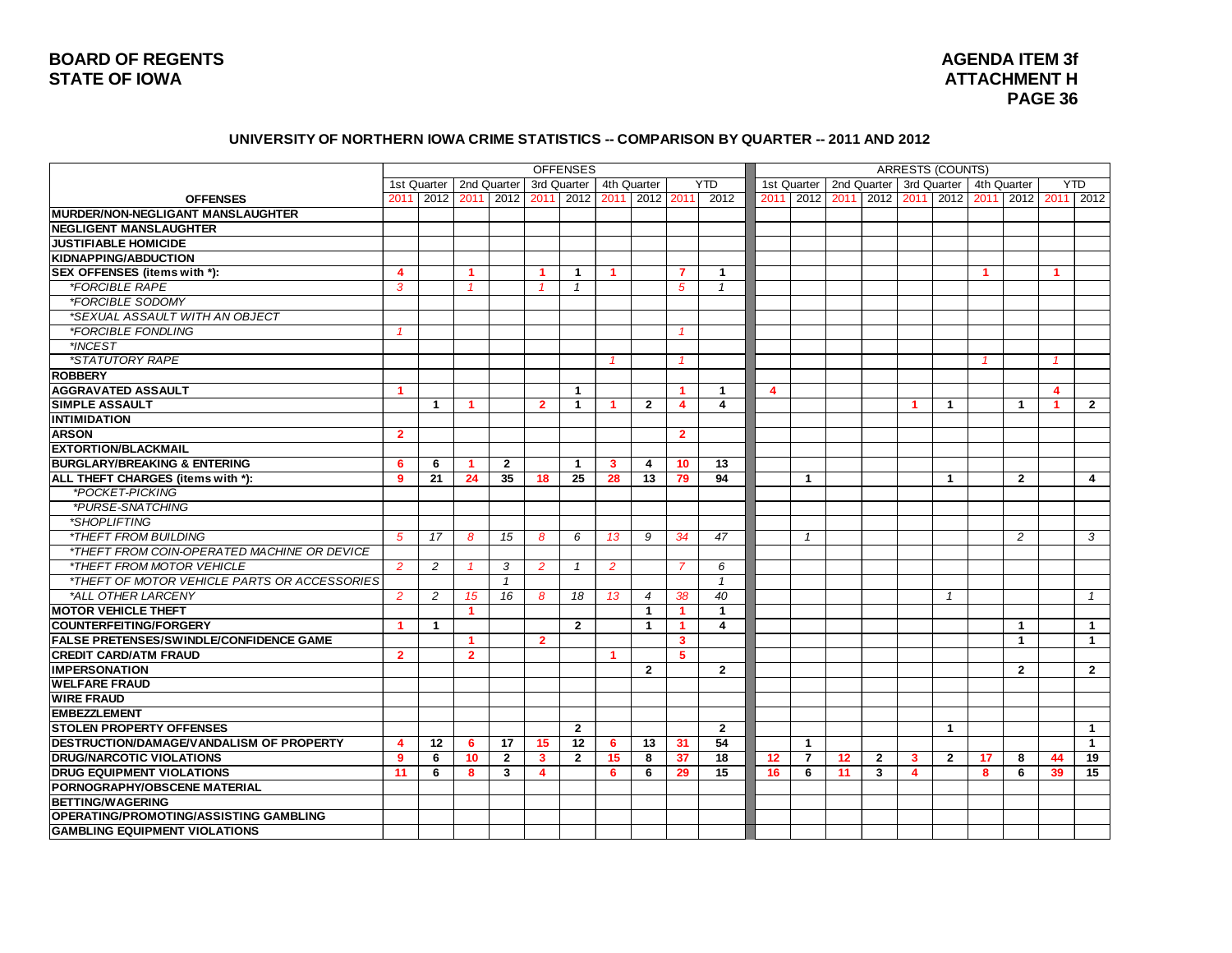### **BOARD OF REGENTS STATE OF IOWA ATTACHMENT H**

# **AGENDA ITEM 3f PAGE 36**

#### **UNIVERSITY OF NORTHERN IOWA CRIME STATISTICS -- COMPARISON BY QUARTER -- 2011 AND 2012**

|                                                |                |                |                      |                |                | <b>OFFENSES</b>          |             |                |                         |                |      |                |      |                | <b>ARRESTS (COUNTS)</b> |                         |             |                |                         |                                    |
|------------------------------------------------|----------------|----------------|----------------------|----------------|----------------|--------------------------|-------------|----------------|-------------------------|----------------|------|----------------|------|----------------|-------------------------|-------------------------|-------------|----------------|-------------------------|------------------------------------|
|                                                |                | 1st Quarter    | 2nd Quarter          |                | 3rd Quarter    |                          | 4th Quarter |                |                         | <b>YTD</b>     |      | 1st Quarter    |      | 2nd Quarter    | 3rd Quarter             |                         | 4th Quarter |                |                         | <b>YTD</b>                         |
| <b>OFFENSES</b>                                | 2011           | 2012           |                      | 2011 2012      |                | 2011 2012 2011 2012 2011 |             |                |                         | 2012           | 2011 | 2012           | 2011 |                |                         |                         |             |                |                         | 2012 2011 2012 2011 2012 2011 2012 |
| <b>IMURDER/NON-NEGLIGANT MANSLAUGHTER</b>      |                |                |                      |                |                |                          |             |                |                         |                |      |                |      |                |                         |                         |             |                |                         |                                    |
| <b>INEGLIGENT MANSLAUGHTER</b>                 |                |                |                      |                |                |                          |             |                |                         |                |      |                |      |                |                         |                         |             |                |                         |                                    |
| <b>JUSTIFIABLE HOMICIDE</b>                    |                |                |                      |                |                |                          |             |                |                         |                |      |                |      |                |                         |                         |             |                |                         |                                    |
| <b>KIDNAPPING/ABDUCTION</b>                    |                |                |                      |                |                |                          |             |                |                         |                |      |                |      |                |                         |                         |             |                |                         |                                    |
| SEX OFFENSES (items with *):                   | 4              |                | -1                   |                | -1             | $\mathbf 1$              | 1           |                | 7                       | $\mathbf 1$    |      |                |      |                |                         |                         | $\mathbf 1$ |                | $\mathbf 1$             |                                    |
| <i><b>*FORCIBLE RAPE</b></i>                   | 3              |                |                      |                |                | $\mathbf{1}$             |             |                | 5                       | $\mathbf{1}$   |      |                |      |                |                         |                         |             |                |                         |                                    |
| *FORCIBLE SODOMY                               |                |                |                      |                |                |                          |             |                |                         |                |      |                |      |                |                         |                         |             |                |                         |                                    |
| *SEXUAL ASSAULT WITH AN OBJECT                 |                |                |                      |                |                |                          |             |                |                         |                |      |                |      |                |                         |                         |             |                |                         |                                    |
| *FORCIBLE FONDLING                             | $\overline{1}$ |                |                      |                |                |                          |             |                | $\overline{1}$          |                |      |                |      |                |                         |                         |             |                |                         |                                    |
| *INCEST                                        |                |                |                      |                |                |                          |             |                |                         |                |      |                |      |                |                         |                         |             |                |                         |                                    |
| <i><b>*STATUTORY RAPE</b></i>                  |                |                |                      |                |                |                          |             |                |                         |                |      |                |      |                |                         |                         |             |                |                         |                                    |
| <b>ROBBERY</b>                                 |                |                |                      |                |                |                          |             |                |                         |                |      |                |      |                |                         |                         |             |                |                         |                                    |
| <b>AGGRAVATED ASSAULT</b>                      | -1             |                |                      |                |                | $\mathbf{1}$             |             |                | -1                      | -1             | 4    |                |      |                |                         |                         |             |                | $\overline{\mathbf{A}}$ |                                    |
| <b>SIMPLE ASSAULT</b>                          |                | $\mathbf{1}$   | -1                   |                | $\overline{2}$ | 1                        | 1           | $\overline{2}$ | $\overline{\mathbf{4}}$ | 4              |      |                |      |                | -1                      | $\overline{1}$          |             | $\mathbf{1}$   | $\overline{1}$          | $\overline{2}$                     |
| <b>INTIMIDATION</b>                            |                |                |                      |                |                |                          |             |                |                         |                |      |                |      |                |                         |                         |             |                |                         |                                    |
| <b>ARSON</b>                                   | $\overline{2}$ |                |                      |                |                |                          |             |                | $\overline{2}$          |                |      |                |      |                |                         |                         |             |                |                         |                                    |
| <b>EXTORTION/BLACKMAIL</b>                     |                |                |                      |                |                |                          |             |                |                         |                |      |                |      |                |                         |                         |             |                |                         |                                    |
| <b>BURGLARY/BREAKING &amp; ENTERING</b>        | 6              | 6              |                      | $\overline{2}$ |                | 1                        | 3           | 4              | 10                      | 13             |      |                |      |                |                         |                         |             |                |                         |                                    |
| ALL THEFT CHARGES (items with *):              | 9              | 21             | 24                   | 35             | 18             | 25                       | 28          | 13             | 79                      | 94             |      | $\mathbf{1}$   |      |                |                         | $\overline{\mathbf{1}}$ |             | $\overline{2}$ |                         | $\overline{\mathbf{4}}$            |
| *POCKET-PICKING                                |                |                |                      |                |                |                          |             |                |                         |                |      |                |      |                |                         |                         |             |                |                         |                                    |
| *PURSE-SNATCHING                               |                |                |                      |                |                |                          |             |                |                         |                |      |                |      |                |                         |                         |             |                |                         |                                    |
| *SHOPLIFTING                                   |                |                |                      |                |                |                          |             |                |                         |                |      |                |      |                |                         |                         |             |                |                         |                                    |
| <i><b>*THEFT FROM BUILDING</b></i>             | 5              | 17             | 8                    | 15             | 8              | 6                        | 13          | 9              | 34                      | 47             |      | $\mathbf{1}$   |      |                |                         |                         |             | $\overline{c}$ |                         | 3                                  |
| *THEFT FROM COIN-OPERATED MACHINE OR DEVICE    |                |                |                      |                |                |                          |             |                |                         |                |      |                |      |                |                         |                         |             |                |                         |                                    |
| *THEFT FROM MOTOR VEHICLE                      | 2              | 2              |                      | 3              | 2              | $\mathcal I$             | 2           |                | 7                       | 6              |      |                |      |                |                         |                         |             |                |                         |                                    |
| *THEFT OF MOTOR VEHICLE PARTS OR ACCESSORIES   |                |                |                      | $\overline{1}$ |                |                          |             |                |                         | $\mathbf{1}$   |      |                |      |                |                         |                         |             |                |                         |                                    |
| *ALL OTHER LARCENY                             | $\overline{2}$ | $\overline{c}$ | 15                   | 16             | 8              | 18                       | 13          | 4              | 38                      | 40             |      |                |      |                |                         | -1                      |             |                |                         | $\mathbf{1}$                       |
| <b>MOTOR VEHICLE THEFT</b>                     |                |                | $\blacktriangleleft$ |                |                |                          |             | $\mathbf{1}$   | -1                      | $\mathbf{1}$   |      |                |      |                |                         |                         |             |                |                         |                                    |
| <b>COUNTERFEITING/FORGERY</b>                  | 1              | $\mathbf{1}$   |                      |                |                | $\overline{2}$           |             | $\mathbf{1}$   | -1                      | 4              |      |                |      |                |                         |                         |             | $\mathbf{1}$   |                         | $\mathbf{1}$                       |
| <b>FALSE PRETENSES/SWINDLE/CONFIDENCE GAME</b> |                |                | -1                   |                | $\overline{2}$ |                          |             |                | 3                       |                |      |                |      |                |                         |                         |             | $\overline{1}$ |                         | $\mathbf 1$                        |
| <b>CREDIT CARD/ATM FRAUD</b>                   | $\overline{2}$ |                | $\overline{2}$       |                |                |                          | 1           |                | 5                       |                |      |                |      |                |                         |                         |             |                |                         |                                    |
| <b>IMPERSONATION</b>                           |                |                |                      |                |                |                          |             | $\overline{2}$ |                         | $\overline{2}$ |      |                |      |                |                         |                         |             | $\overline{2}$ |                         | $\overline{2}$                     |
| <b>WELFARE FRAUD</b>                           |                |                |                      |                |                |                          |             |                |                         |                |      |                |      |                |                         |                         |             |                |                         |                                    |
| <b>WIRE FRAUD</b>                              |                |                |                      |                |                |                          |             |                |                         |                |      |                |      |                |                         |                         |             |                |                         |                                    |
| <b>EMBEZZLEMENT</b>                            |                |                |                      |                |                |                          |             |                |                         |                |      |                |      |                |                         |                         |             |                |                         |                                    |
| <b>STOLEN PROPERTY OFFENSES</b>                |                |                |                      |                |                | $\overline{2}$           |             |                |                         | $\overline{2}$ |      |                |      |                |                         | $\mathbf{1}$            |             |                |                         | $\mathbf{1}$                       |
| DESTRUCTION/DAMAGE/VANDALISM OF PROPERTY       | Δ              | 12             | 6                    | 17             | 15             | 12                       | 6           | 13             | 31                      | 54             |      | $\mathbf{1}$   |      |                |                         |                         |             |                |                         | $\mathbf{1}$                       |
| <b>DRUG/NARCOTIC VIOLATIONS</b>                | 9              | 6              | 10                   | $\overline{2}$ | 3              | $\overline{2}$           | 15          | 8              | 37                      | 18             | 12   | $\overline{7}$ | 12   | $\overline{2}$ | 3                       | $\overline{2}$          | 17          | 8              | 44                      | 19                                 |
| <b>DRUG EQUIPMENT VIOLATIONS</b>               | 11             | 6              | 8                    | 3              | 4              |                          | 6           | 6              | 29                      | 15             | 16   | 6              | 11   | 3              | $\overline{\mathbf{4}}$ |                         | 8           | 6              | 39                      | 15                                 |
| PORNOGRAPHY/OBSCENE MATERIAL                   |                |                |                      |                |                |                          |             |                |                         |                |      |                |      |                |                         |                         |             |                |                         |                                    |
| <b>BETTING/WAGERING</b>                        |                |                |                      |                |                |                          |             |                |                         |                |      |                |      |                |                         |                         |             |                |                         |                                    |
| <b>OPERATING/PROMOTING/ASSISTING GAMBLING</b>  |                |                |                      |                |                |                          |             |                |                         |                |      |                |      |                |                         |                         |             |                |                         |                                    |
| <b>GAMBLING EQUIPMENT VIOLATIONS</b>           |                |                |                      |                |                |                          |             |                |                         |                |      |                |      |                |                         |                         |             |                |                         |                                    |